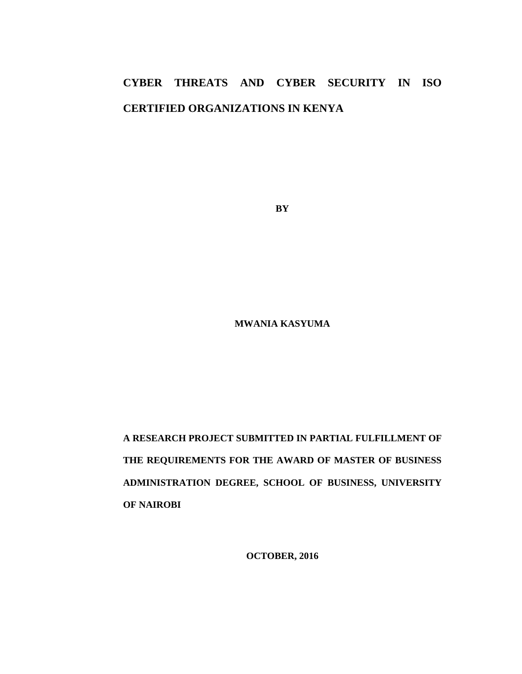# **CYBER THREATS AND CYBER SECURITY IN ISO CERTIFIED ORGANIZATIONS IN KENYA**

**BY** 

**MWANIA KASYUMA** 

**A RESEARCH PROJECT SUBMITTED IN PARTIAL FULFILLMENT OF THE REQUIREMENTS FOR THE AWARD OF MASTER OF BUSINESS ADMINISTRATION DEGREE, SCHOOL OF BUSINESS, UNIVERSITY OF NAIROBI**

**OCTOBER, 2016**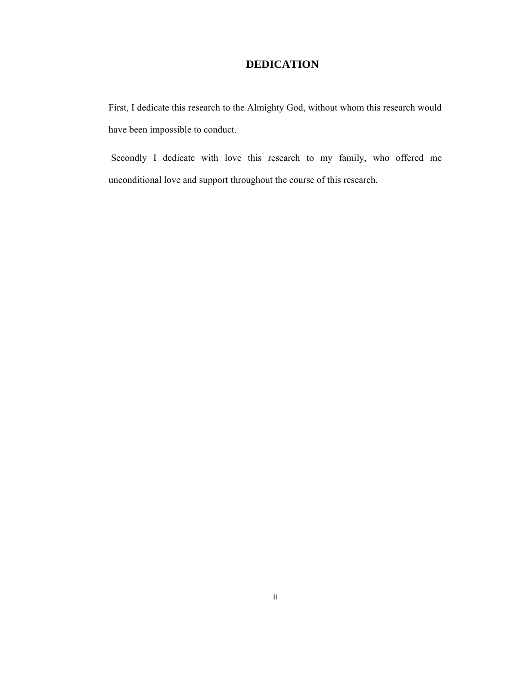# **DEDICATION**

First, I dedicate this research to the Almighty God, without whom this research would have been impossible to conduct.

 Secondly I dedicate with love this research to my family, who offered me unconditional love and support throughout the course of this research.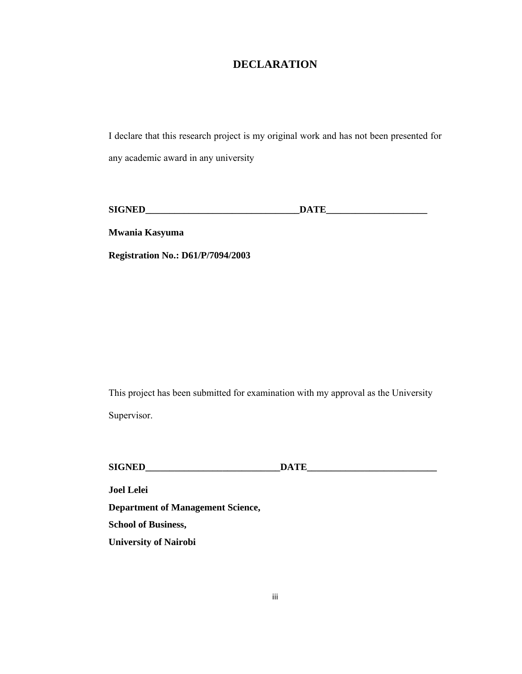# **DECLARATION**

I declare that this research project is my original work and has not been presented for any academic award in any university

| <b>SIGNED</b> | DATE |
|---------------|------|
|               |      |

**Mwania Kasyuma** 

**Registration No.: D61/P/7094/2003** 

This project has been submitted for examination with my approval as the University Supervisor.

**SIGNED\_\_\_\_\_\_\_\_\_\_\_\_\_\_\_\_\_\_\_\_\_\_\_\_\_\_\_\_DATE\_\_\_\_\_\_\_\_\_\_\_\_\_\_\_\_\_\_\_\_\_\_\_\_\_\_\_** 

**Joel Lelei** 

**Department of Management Science,** 

**School of Business,** 

**University of Nairobi**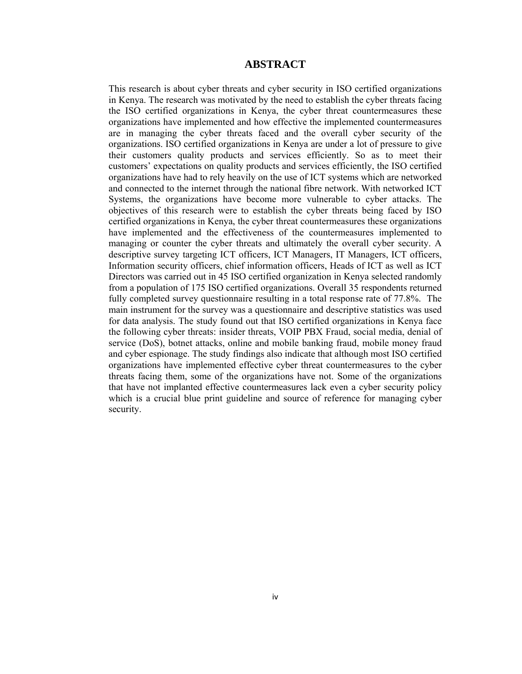# **ABSTRACT**

This research is about cyber threats and cyber security in ISO certified organizations in Kenya. The research was motivated by the need to establish the cyber threats facing the ISO certified organizations in Kenya, the cyber threat countermeasures these organizations have implemented and how effective the implemented countermeasures are in managing the cyber threats faced and the overall cyber security of the organizations. ISO certified organizations in Kenya are under a lot of pressure to give their customers quality products and services efficiently. So as to meet their customers' expectations on quality products and services efficiently, the ISO certified organizations have had to rely heavily on the use of ICT systems which are networked and connected to the internet through the national fibre network. With networked ICT Systems, the organizations have become more vulnerable to cyber attacks. The objectives of this research were to establish the cyber threats being faced by ISO certified organizations in Kenya, the cyber threat countermeasures these organizations have implemented and the effectiveness of the countermeasures implemented to managing or counter the cyber threats and ultimately the overall cyber security. A descriptive survey targeting ICT officers, ICT Managers, IT Managers, ICT officers, Information security officers, chief information officers, Heads of ICT as well as ICT Directors was carried out in 45 ISO certified organization in Kenya selected randomly from a population of 175 ISO certified organizations. Overall 35 respondents returned fully completed survey questionnaire resulting in a total response rate of 77.8%. The main instrument for the survey was a questionnaire and descriptive statistics was used for data analysis. The study found out that ISO certified organizations in Kenya face the following cyber threats: insider threats, VOIP PBX Fraud, social media, denial of service (DoS), botnet attacks, online and mobile banking fraud, mobile money fraud and cyber espionage. The study findings also indicate that although most ISO certified organizations have implemented effective cyber threat countermeasures to the cyber threats facing them, some of the organizations have not. Some of the organizations that have not implanted effective countermeasures lack even a cyber security policy which is a crucial blue print guideline and source of reference for managing cyber security.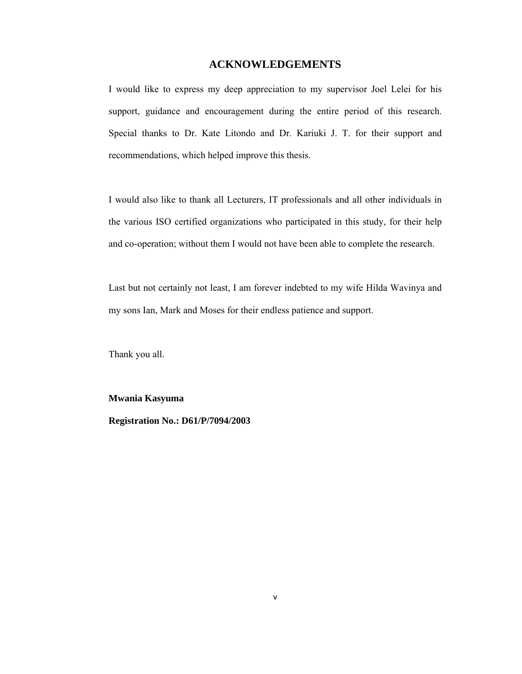# **ACKNOWLEDGEMENTS**

I would like to express my deep appreciation to my supervisor Joel Lelei for his support, guidance and encouragement during the entire period of this research. Special thanks to Dr. Kate Litondo and Dr. Kariuki J. T. for their support and recommendations, which helped improve this thesis.

I would also like to thank all Lecturers, IT professionals and all other individuals in the various ISO certified organizations who participated in this study, for their help and co-operation; without them I would not have been able to complete the research.

Last but not certainly not least, I am forever indebted to my wife Hilda Wavinya and my sons Ian, Mark and Moses for their endless patience and support.

Thank you all.

**Mwania Kasyuma** 

**Registration No.: D61/P/7094/2003**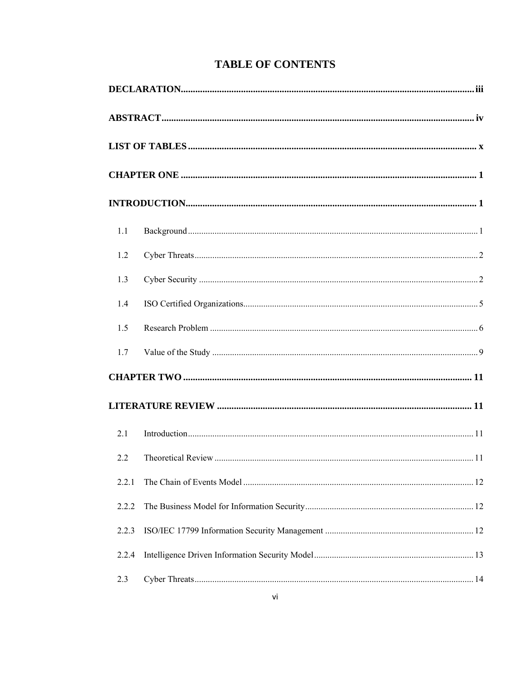| <b>TABLE OF CONTENTS</b> |  |  |  |  |  |  |
|--------------------------|--|--|--|--|--|--|
|--------------------------|--|--|--|--|--|--|

| 1.1   |  |
|-------|--|
| 1.2   |  |
| 1.3   |  |
| 1.4   |  |
| 1.5   |  |
| 1.7   |  |
|       |  |
|       |  |
| 2.1   |  |
| 2.2   |  |
| 2.2.1 |  |
| 2.2.2 |  |
| 2.2.3 |  |
| 2.2.4 |  |
| 2.3   |  |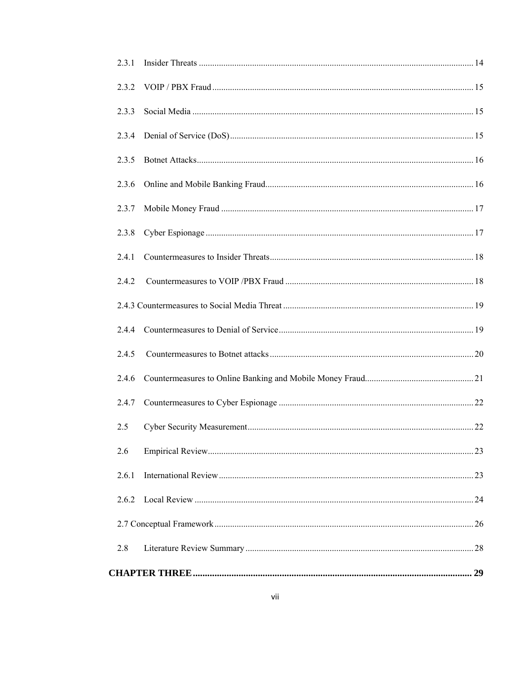| 2.3.1 |    |
|-------|----|
| 232   |    |
| 2.3.3 |    |
| 2.3.4 |    |
| 2.3.5 |    |
| 2.3.6 |    |
| 2.3.7 |    |
| 2.3.8 |    |
| 2.4.1 |    |
| 2.4.2 |    |
|       |    |
|       |    |
| 2.4.5 |    |
| 2.4.6 |    |
| 2.4.7 |    |
| 2.5   |    |
| 2.6   |    |
| 2.6.1 |    |
| 2.6.2 |    |
|       |    |
| 2.8   |    |
|       | 29 |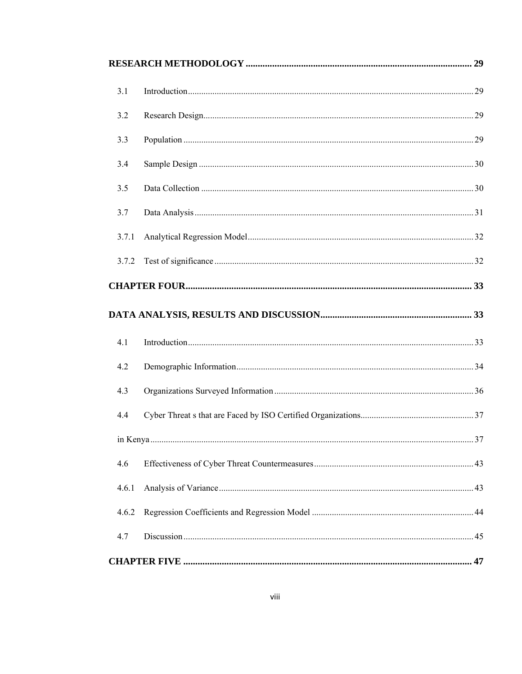| 3.1   |  |  |  |
|-------|--|--|--|
| 3.2   |  |  |  |
| 3.3   |  |  |  |
| 3.4   |  |  |  |
| 3.5   |  |  |  |
| 3.7   |  |  |  |
| 3.7.1 |  |  |  |
| 3.7.2 |  |  |  |
|       |  |  |  |
|       |  |  |  |
| 4.1   |  |  |  |
| 4.2   |  |  |  |
| 4.3   |  |  |  |
| 4.4   |  |  |  |
|       |  |  |  |
| 4.6   |  |  |  |
| 4.6.1 |  |  |  |
| 4.6.2 |  |  |  |
| 4.7   |  |  |  |
|       |  |  |  |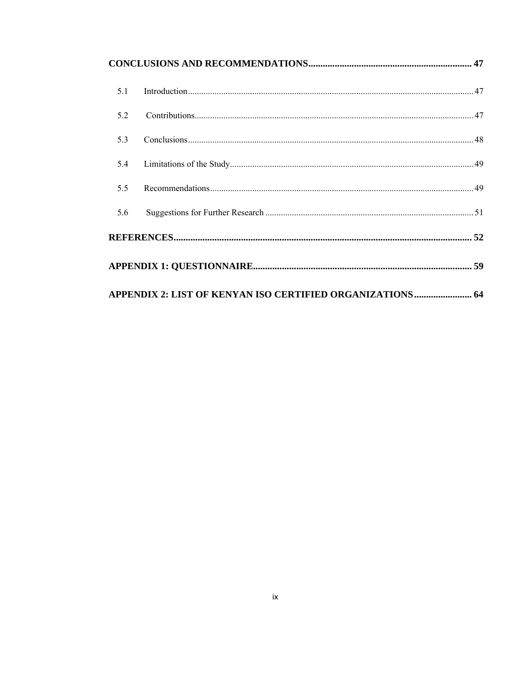| 5.1 |                                                           |  |
|-----|-----------------------------------------------------------|--|
| 5.2 |                                                           |  |
| 5.3 |                                                           |  |
| 5.4 |                                                           |  |
| 5.5 |                                                           |  |
| 5.6 |                                                           |  |
|     |                                                           |  |
|     |                                                           |  |
|     | APPENDIX 2: LIST OF KENYAN ISO CERTIFIED ORGANIZATIONS 64 |  |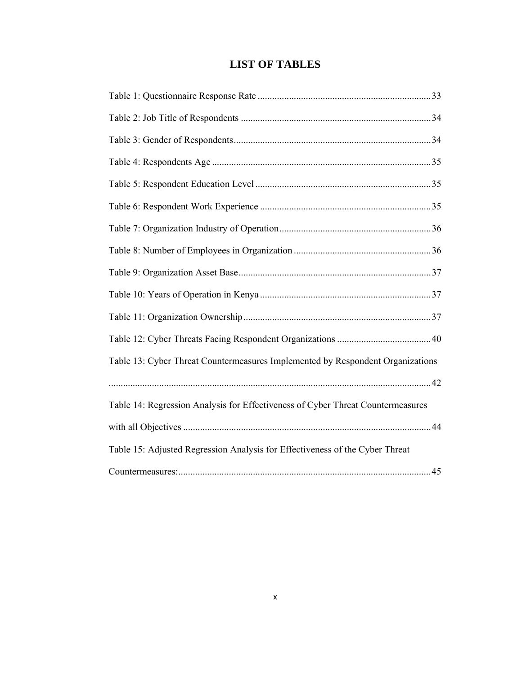# **LIST OF TABLES**

| Table 13: Cyber Threat Countermeasures Implemented by Respondent Organizations  |
|---------------------------------------------------------------------------------|
|                                                                                 |
| Table 14: Regression Analysis for Effectiveness of Cyber Threat Countermeasures |
|                                                                                 |
| Table 15: Adjusted Regression Analysis for Effectiveness of the Cyber Threat    |
|                                                                                 |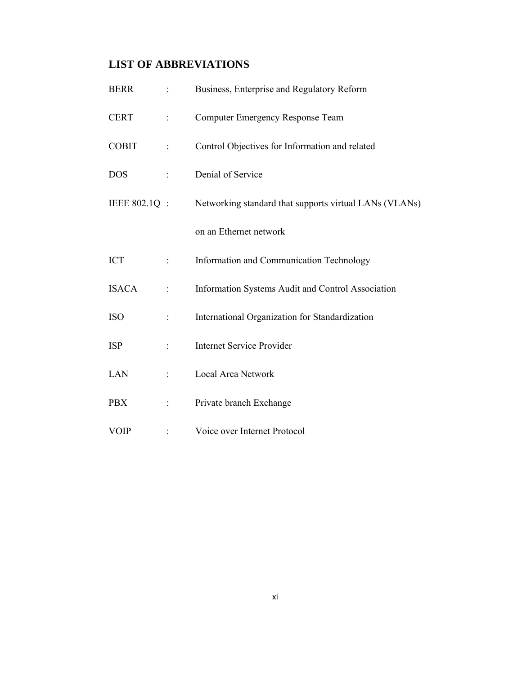# **LIST OF ABBREVIATIONS**

| <b>BERR</b>   | $\ddot{\cdot}$                     | Business, Enterprise and Regulatory Reform             |
|---------------|------------------------------------|--------------------------------------------------------|
| <b>CERT</b>   | $\mathbb{Z}^{\mathbb{Z}^{\times}}$ | Computer Emergency Response Team                       |
| <b>COBIT</b>  | $\mathcal{I}^{\mathcal{I}}$ .      | Control Objectives for Information and related         |
| <b>DOS</b>    | $\mathbb{Z}^{n+1}$                 | Denial of Service                                      |
| IEEE 802.1Q : |                                    | Networking standard that supports virtual LANs (VLANs) |
|               |                                    | on an Ethernet network                                 |
| ICT           | $\frac{1}{2}$ .                    | Information and Communication Technology               |
| <b>ISACA</b>  | $\mathcal{L}^{\mathcal{L}}$        | Information Systems Audit and Control Association      |
| <b>ISO</b>    | $\mathbb{R}^{\mathbb{Z}}$          | International Organization for Standardization         |
| <b>ISP</b>    | $\bullet$                          | <b>Internet Service Provider</b>                       |
| <b>LAN</b>    | $\mathbb{R}^{\mathbb{Z}}$          | Local Area Network                                     |
| <b>PBX</b>    | $\mathbb{Z}^{n+1}$                 | Private branch Exchange                                |
| <b>VOIP</b>   |                                    | Voice over Internet Protocol                           |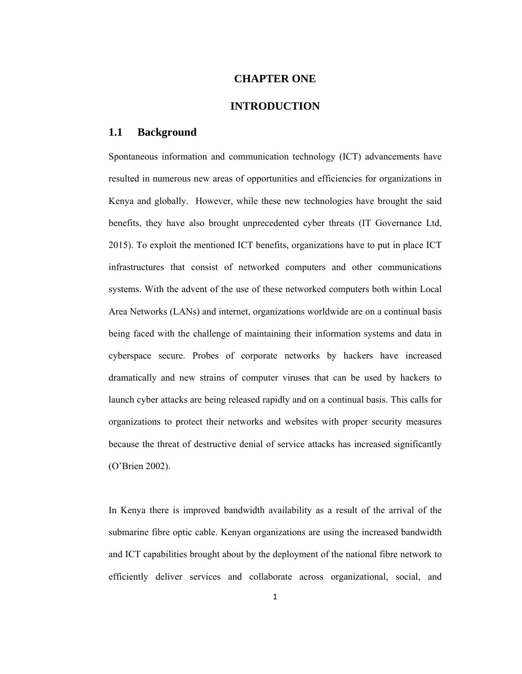#### **CHAPTER ONE**

# **INTRODUCTION**

# **1.1 Background**

Spontaneous information and communication technology (ICT) advancements have resulted in numerous new areas of opportunities and efficiencies for organizations in Kenya and globally. However, while these new technologies have brought the said benefits, they have also brought unprecedented cyber threats (IT Governance Ltd, 2015). To exploit the mentioned ICT benefits, organizations have to put in place ICT infrastructures that consist of networked computers and other communications systems. With the advent of the use of these networked computers both within Local Area Networks (LANs) and internet, organizations worldwide are on a continual basis being faced with the challenge of maintaining their information systems and data in cyberspace secure. Probes of corporate networks by hackers have increased dramatically and new strains of computer viruses that can be used by hackers to launch cyber attacks are being released rapidly and on a continual basis. This calls for organizations to protect their networks and websites with proper security measures because the threat of destructive denial of service attacks has increased significantly (O'Brien 2002).

In Kenya there is improved bandwidth availability as a result of the arrival of the submarine fibre optic cable. Kenyan organizations are using the increased bandwidth and ICT capabilities brought about by the deployment of the national fibre network to efficiently deliver services and collaborate across organizational, social, and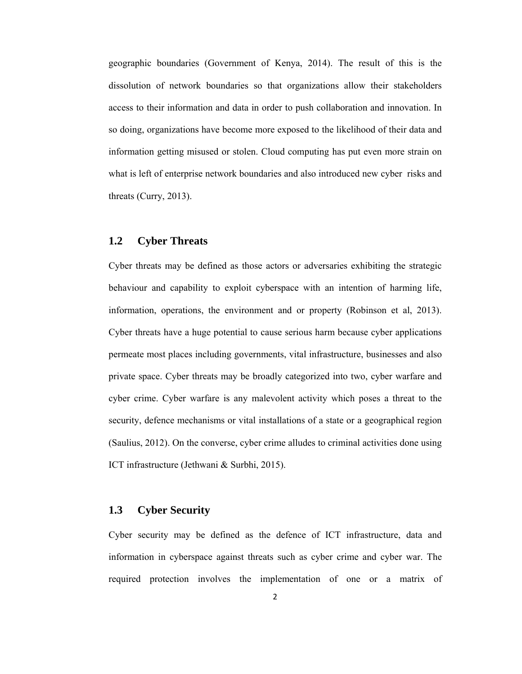geographic boundaries (Government of Kenya, 2014). The result of this is the dissolution of network boundaries so that organizations allow their stakeholders access to their information and data in order to push collaboration and innovation. In so doing, organizations have become more exposed to the likelihood of their data and information getting misused or stolen. Cloud computing has put even more strain on what is left of enterprise network boundaries and also introduced new cyber risks and threats (Curry, 2013).

# **1.2 Cyber Threats**

Cyber threats may be defined as those actors or adversaries exhibiting the strategic behaviour and capability to exploit cyberspace with an intention of harming life, information, operations, the environment and or property (Robinson et al, 2013). Cyber threats have a huge potential to cause serious harm because cyber applications permeate most places including governments, vital infrastructure, businesses and also private space. Cyber threats may be broadly categorized into two, cyber warfare and cyber crime. Cyber warfare is any malevolent activity which poses a threat to the security, defence mechanisms or vital installations of a state or a geographical region (Saulius, 2012). On the converse, cyber crime alludes to criminal activities done using ICT infrastructure (Jethwani & Surbhi, 2015).

# **1.3 Cyber Security**

Cyber security may be defined as the defence of ICT infrastructure, data and information in cyberspace against threats such as cyber crime and cyber war. The required protection involves the implementation of one or a matrix of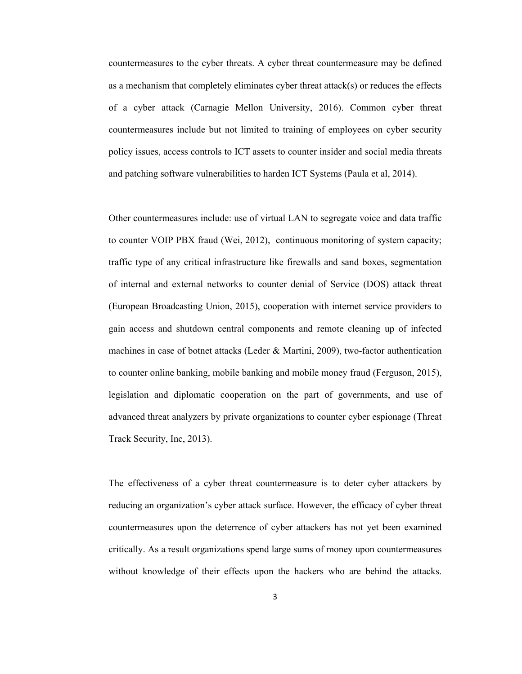countermeasures to the cyber threats. A cyber threat countermeasure may be defined as a mechanism that completely eliminates cyber threat attack(s) or reduces the effects of a cyber attack (Carnagie Mellon University, 2016). Common cyber threat countermeasures include but not limited to training of employees on cyber security policy issues, access controls to ICT assets to counter insider and social media threats and patching software vulnerabilities to harden ICT Systems (Paula et al, 2014).

Other countermeasures include: use of virtual LAN to segregate voice and data traffic to counter VOIP PBX fraud (Wei, 2012), continuous monitoring of system capacity; traffic type of any critical infrastructure like firewalls and sand boxes, segmentation of internal and external networks to counter denial of Service (DOS) attack threat (European Broadcasting Union, 2015), cooperation with internet service providers to gain access and shutdown central components and remote cleaning up of infected machines in case of botnet attacks (Leder & Martini, 2009), two-factor authentication to counter online banking, mobile banking and mobile money fraud (Ferguson, 2015), legislation and diplomatic cooperation on the part of governments, and use of advanced threat analyzers by private organizations to counter cyber espionage (Threat Track Security, Inc, 2013).

The effectiveness of a cyber threat countermeasure is to deter cyber attackers by reducing an organization's cyber attack surface. However, the efficacy of cyber threat countermeasures upon the deterrence of cyber attackers has not yet been examined critically. As a result organizations spend large sums of money upon countermeasures without knowledge of their effects upon the hackers who are behind the attacks.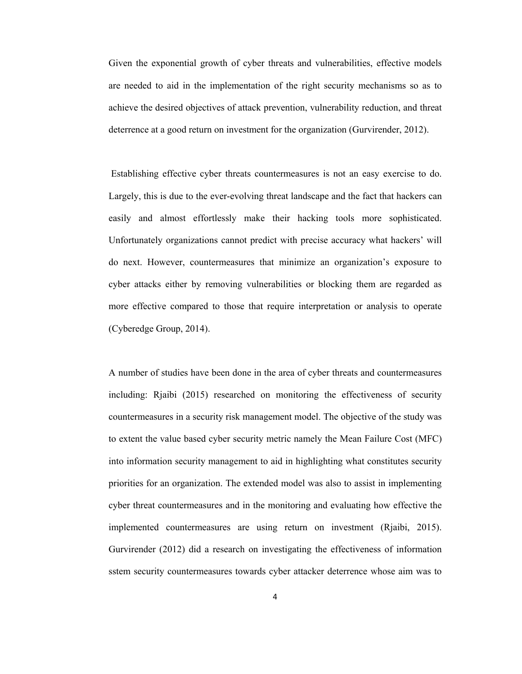Given the exponential growth of cyber threats and vulnerabilities, effective models are needed to aid in the implementation of the right security mechanisms so as to achieve the desired objectives of attack prevention, vulnerability reduction, and threat deterrence at a good return on investment for the organization (Gurvirender, 2012).

 Establishing effective cyber threats countermeasures is not an easy exercise to do. Largely, this is due to the ever-evolving threat landscape and the fact that hackers can easily and almost effortlessly make their hacking tools more sophisticated. Unfortunately organizations cannot predict with precise accuracy what hackers' will do next. However, countermeasures that minimize an organization's exposure to cyber attacks either by removing vulnerabilities or blocking them are regarded as more effective compared to those that require interpretation or analysis to operate (Cyberedge Group, 2014).

A number of studies have been done in the area of cyber threats and countermeasures including: Rjaibi (2015) researched on monitoring the effectiveness of security countermeasures in a security risk management model. The objective of the study was to extent the value based cyber security metric namely the Mean Failure Cost (MFC) into information security management to aid in highlighting what constitutes security priorities for an organization. The extended model was also to assist in implementing cyber threat countermeasures and in the monitoring and evaluating how effective the implemented countermeasures are using return on investment (Rjaibi, 2015). Gurvirender (2012) did a research on investigating the effectiveness of information sstem security countermeasures towards cyber attacker deterrence whose aim was to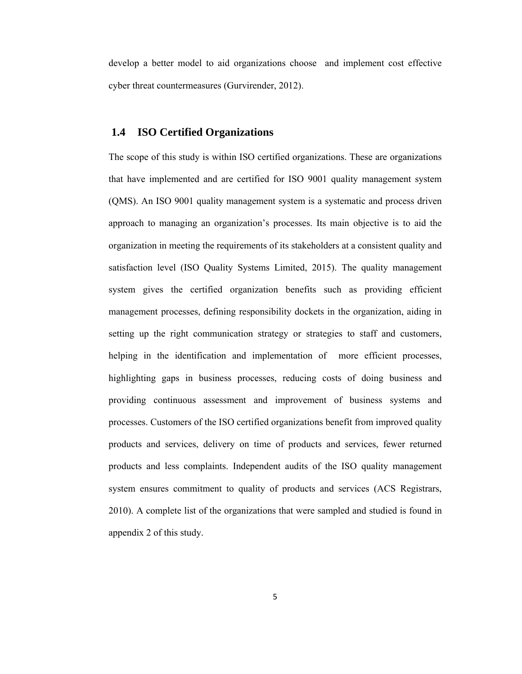develop a better model to aid organizations choose and implement cost effective cyber threat countermeasures (Gurvirender, 2012).

# **1.4 ISO Certified Organizations**

The scope of this study is within ISO certified organizations. These are organizations that have implemented and are certified for ISO 9001 quality management system (QMS). An ISO 9001 quality management system is a systematic and process driven approach to managing an organization's processes. Its main objective is to aid the organization in meeting the requirements of its stakeholders at a consistent quality and satisfaction level (ISO Quality Systems Limited, 2015). The quality management system gives the certified organization benefits such as providing efficient management processes, defining responsibility dockets in the organization, aiding in setting up the right communication strategy or strategies to staff and customers, helping in the identification and implementation of more efficient processes, highlighting gaps in business processes, reducing costs of doing business and providing continuous assessment and improvement of business systems and processes. Customers of the ISO certified organizations benefit from improved quality products and services, delivery on time of products and services, fewer returned products and less complaints. Independent audits of the ISO quality management system ensures commitment to quality of products and services (ACS Registrars, 2010). A complete list of the organizations that were sampled and studied is found in appendix 2 of this study.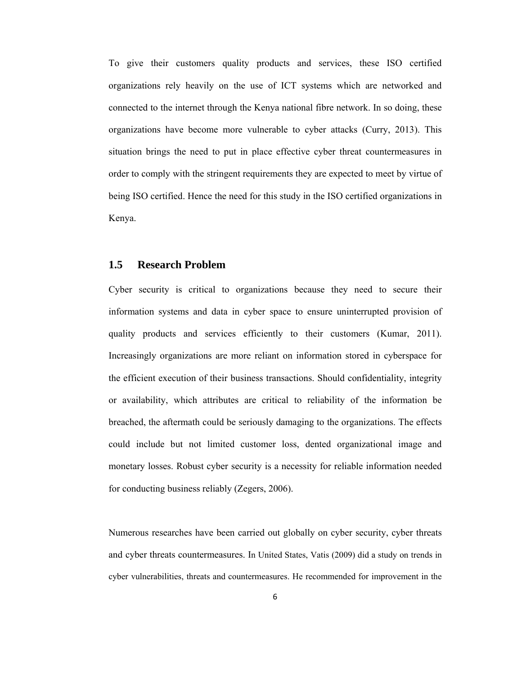To give their customers quality products and services, these ISO certified organizations rely heavily on the use of ICT systems which are networked and connected to the internet through the Kenya national fibre network. In so doing, these organizations have become more vulnerable to cyber attacks (Curry, 2013). This situation brings the need to put in place effective cyber threat countermeasures in order to comply with the stringent requirements they are expected to meet by virtue of being ISO certified. Hence the need for this study in the ISO certified organizations in Kenya.

# **1.5 Research Problem**

Cyber security is critical to organizations because they need to secure their information systems and data in cyber space to ensure uninterrupted provision of quality products and services efficiently to their customers (Kumar, 2011). Increasingly organizations are more reliant on information stored in cyberspace for the efficient execution of their business transactions. Should confidentiality, integrity or availability, which attributes are critical to reliability of the information be breached, the aftermath could be seriously damaging to the organizations. The effects could include but not limited customer loss, dented organizational image and monetary losses. Robust cyber security is a necessity for reliable information needed for conducting business reliably (Zegers, 2006).

Numerous researches have been carried out globally on cyber security, cyber threats and cyber threats countermeasures. In United States, Vatis (2009) did a study on trends in cyber vulnerabilities, threats and countermeasures. He recommended for improvement in the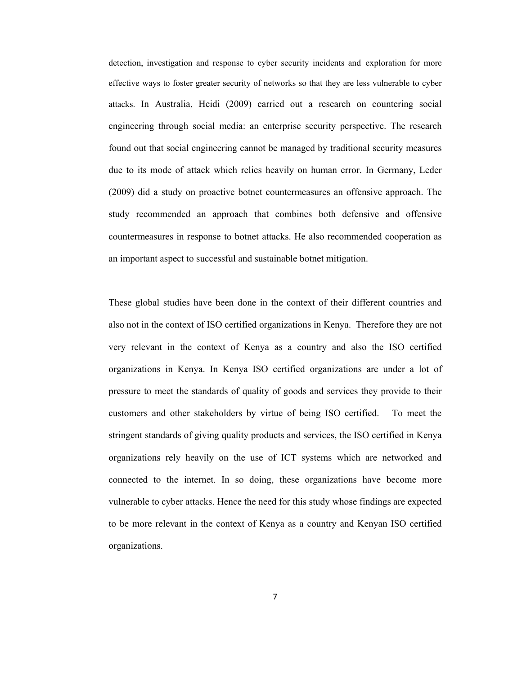detection, investigation and response to cyber security incidents and exploration for more effective ways to foster greater security of networks so that they are less vulnerable to cyber attacks. In Australia, Heidi (2009) carried out a research on countering social engineering through social media: an enterprise security perspective. The research found out that social engineering cannot be managed by traditional security measures due to its mode of attack which relies heavily on human error. In Germany, Leder (2009) did a study on proactive botnet countermeasures an offensive approach. The study recommended an approach that combines both defensive and offensive countermeasures in response to botnet attacks. He also recommended cooperation as an important aspect to successful and sustainable botnet mitigation.

These global studies have been done in the context of their different countries and also not in the context of ISO certified organizations in Kenya. Therefore they are not very relevant in the context of Kenya as a country and also the ISO certified organizations in Kenya. In Kenya ISO certified organizations are under a lot of pressure to meet the standards of quality of goods and services they provide to their customers and other stakeholders by virtue of being ISO certified. To meet the stringent standards of giving quality products and services, the ISO certified in Kenya organizations rely heavily on the use of ICT systems which are networked and connected to the internet. In so doing, these organizations have become more vulnerable to cyber attacks. Hence the need for this study whose findings are expected to be more relevant in the context of Kenya as a country and Kenyan ISO certified organizations.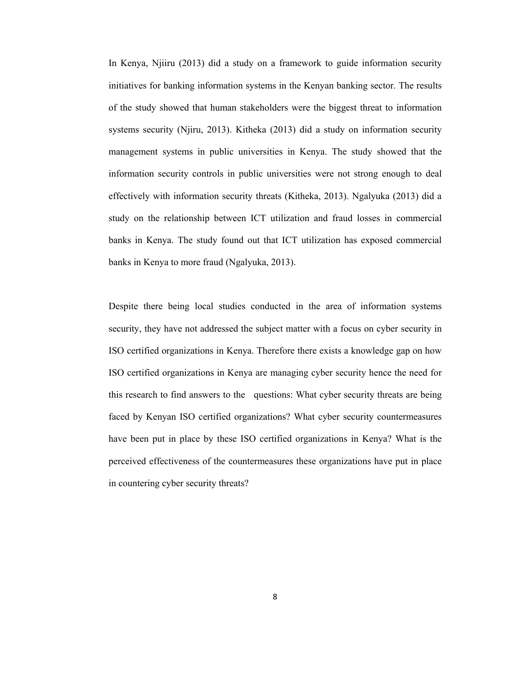In Kenya, Njiiru (2013) did a study on a framework to guide information security initiatives for banking information systems in the Kenyan banking sector. The results of the study showed that human stakeholders were the biggest threat to information systems security (Njiru, 2013). Kitheka (2013) did a study on information security management systems in public universities in Kenya. The study showed that the information security controls in public universities were not strong enough to deal effectively with information security threats (Kitheka, 2013). Ngalyuka (2013) did a study on the relationship between ICT utilization and fraud losses in commercial banks in Kenya. The study found out that ICT utilization has exposed commercial banks in Kenya to more fraud (Ngalyuka, 2013).

Despite there being local studies conducted in the area of information systems security, they have not addressed the subject matter with a focus on cyber security in ISO certified organizations in Kenya. Therefore there exists a knowledge gap on how ISO certified organizations in Kenya are managing cyber security hence the need for this research to find answers to the questions: What cyber security threats are being faced by Kenyan ISO certified organizations? What cyber security countermeasures have been put in place by these ISO certified organizations in Kenya? What is the perceived effectiveness of the countermeasures these organizations have put in place in countering cyber security threats?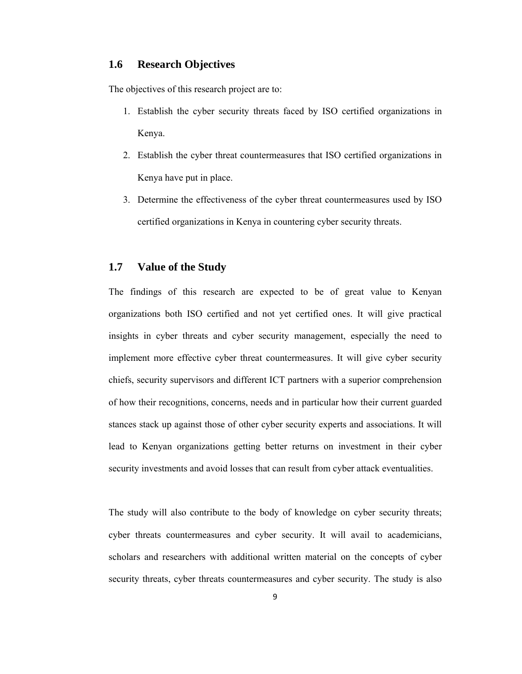#### **1.6 Research Objectives**

The objectives of this research project are to:

- 1. Establish the cyber security threats faced by ISO certified organizations in Kenya.
- 2. Establish the cyber threat countermeasures that ISO certified organizations in Kenya have put in place.
- 3. Determine the effectiveness of the cyber threat countermeasures used by ISO certified organizations in Kenya in countering cyber security threats.

# **1.7 Value of the Study**

The findings of this research are expected to be of great value to Kenyan organizations both ISO certified and not yet certified ones. It will give practical insights in cyber threats and cyber security management, especially the need to implement more effective cyber threat countermeasures. It will give cyber security chiefs, security supervisors and different ICT partners with a superior comprehension of how their recognitions, concerns, needs and in particular how their current guarded stances stack up against those of other cyber security experts and associations. It will lead to Kenyan organizations getting better returns on investment in their cyber security investments and avoid losses that can result from cyber attack eventualities.

The study will also contribute to the body of knowledge on cyber security threats; cyber threats countermeasures and cyber security. It will avail to academicians, scholars and researchers with additional written material on the concepts of cyber security threats, cyber threats countermeasures and cyber security. The study is also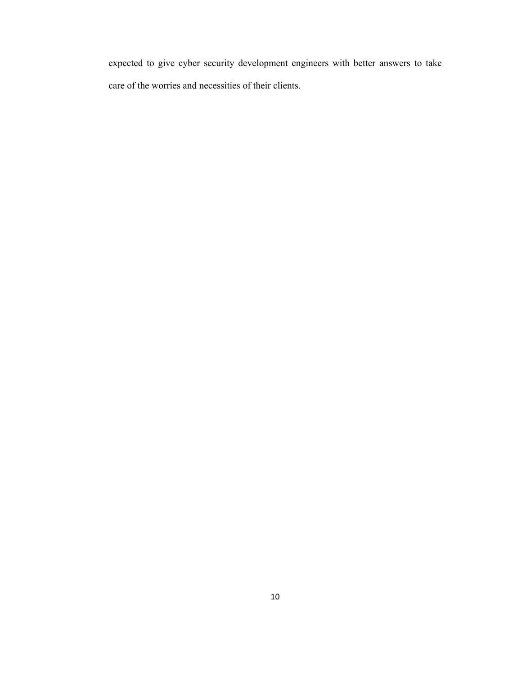expected to give cyber security development engineers with better answers to take care of the worries and necessities of their clients.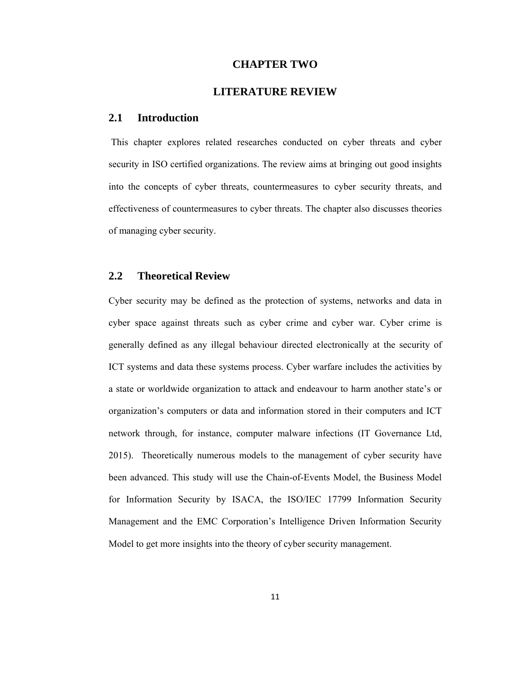#### **CHAPTER TWO**

# **LITERATURE REVIEW**

# **2.1 Introduction**

 This chapter explores related researches conducted on cyber threats and cyber security in ISO certified organizations. The review aims at bringing out good insights into the concepts of cyber threats, countermeasures to cyber security threats, and effectiveness of countermeasures to cyber threats. The chapter also discusses theories of managing cyber security.

# **2.2 Theoretical Review**

Cyber security may be defined as the protection of systems, networks and data in cyber space against threats such as cyber crime and cyber war. Cyber crime is generally defined as any illegal behaviour directed electronically at the security of ICT systems and data these systems process. Cyber warfare includes the activities by a state or worldwide organization to attack and endeavour to harm another state's or organization's computers or data and information stored in their computers and ICT network through, for instance, computer malware infections (IT Governance Ltd, 2015). Theoretically numerous models to the management of cyber security have been advanced. This study will use the Chain-of-Events Model, the Business Model for Information Security by ISACA, the ISO/IEC 17799 Information Security Management and the EMC Corporation's Intelligence Driven Information Security Model to get more insights into the theory of cyber security management.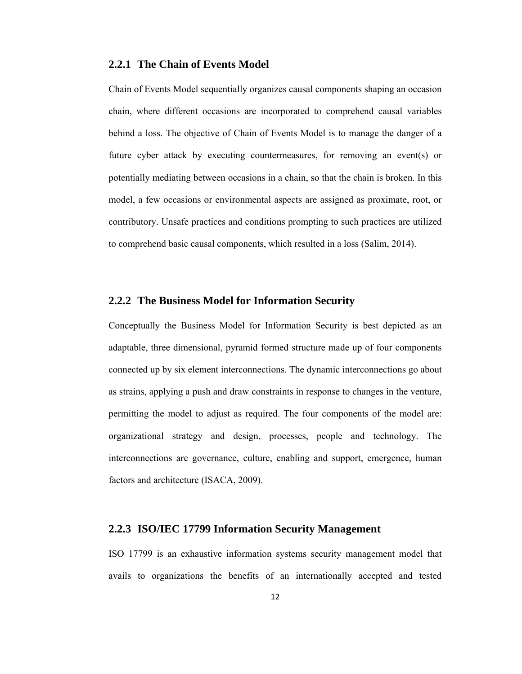### **2.2.1 The Chain of Events Model**

Chain of Events Model sequentially organizes causal components shaping an occasion chain, where different occasions are incorporated to comprehend causal variables behind a loss. The objective of Chain of Events Model is to manage the danger of a future cyber attack by executing countermeasures, for removing an event(s) or potentially mediating between occasions in a chain, so that the chain is broken. In this model, a few occasions or environmental aspects are assigned as proximate, root, or contributory. Unsafe practices and conditions prompting to such practices are utilized to comprehend basic causal components, which resulted in a loss (Salim, 2014).

## **2.2.2 The Business Model for Information Security**

Conceptually the Business Model for Information Security is best depicted as an adaptable, three dimensional, pyramid formed structure made up of four components connected up by six element interconnections. The dynamic interconnections go about as strains, applying a push and draw constraints in response to changes in the venture, permitting the model to adjust as required. The four components of the model are: organizational strategy and design, processes, people and technology. The interconnections are governance, culture, enabling and support, emergence, human factors and architecture (ISACA, 2009).

# **2.2.3 ISO/IEC 17799 Information Security Management**

ISO 17799 is an exhaustive information systems security management model that avails to organizations the benefits of an internationally accepted and tested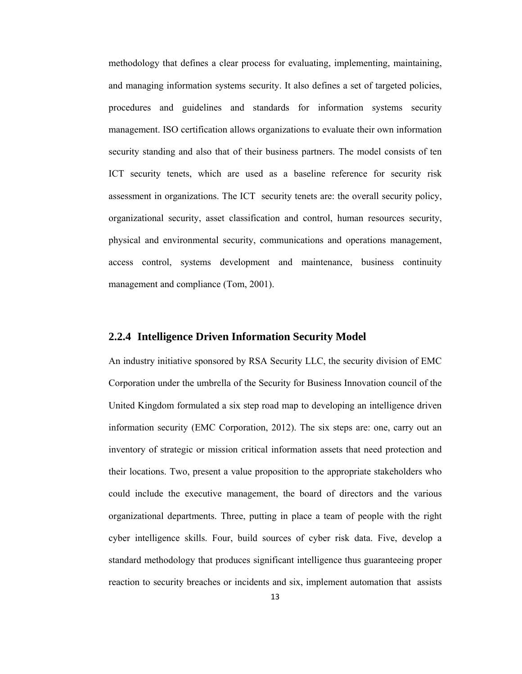methodology that defines a clear process for evaluating, implementing, maintaining, and managing information systems security. It also defines a set of targeted policies, procedures and guidelines and standards for information systems security management. ISO certification allows organizations to evaluate their own information security standing and also that of their business partners. The model consists of ten ICT security tenets, which are used as a baseline reference for security risk assessment in organizations. The ICT security tenets are: the overall security policy, organizational security, asset classification and control, human resources security, physical and environmental security, communications and operations management, access control, systems development and maintenance, business continuity management and compliance (Tom, 2001).

# **2.2.4 Intelligence Driven Information Security Model**

An industry initiative sponsored by RSA Security LLC, the security division of EMC Corporation under the umbrella of the Security for Business Innovation council of the United Kingdom formulated a six step road map to developing an intelligence driven information security (EMC Corporation, 2012). The six steps are: one, carry out an inventory of strategic or mission critical information assets that need protection and their locations. Two, present a value proposition to the appropriate stakeholders who could include the executive management, the board of directors and the various organizational departments. Three, putting in place a team of people with the right cyber intelligence skills. Four, build sources of cyber risk data. Five, develop a standard methodology that produces significant intelligence thus guaranteeing proper reaction to security breaches or incidents and six, implement automation that assists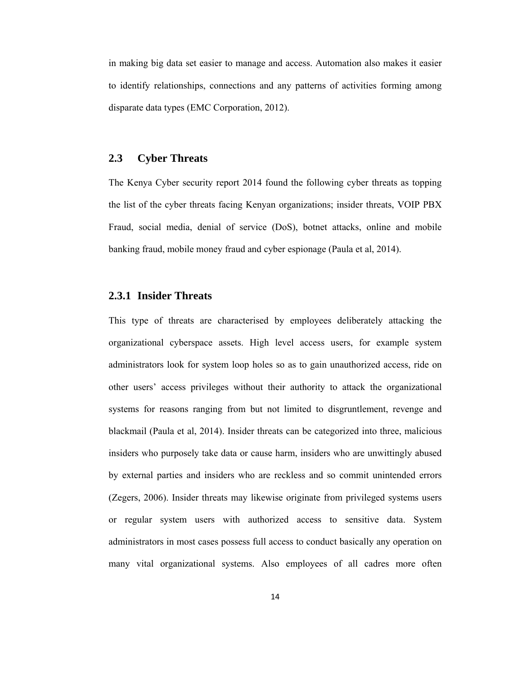in making big data set easier to manage and access. Automation also makes it easier to identify relationships, connections and any patterns of activities forming among disparate data types (EMC Corporation, 2012).

# **2.3 Cyber Threats**

The Kenya Cyber security report 2014 found the following cyber threats as topping the list of the cyber threats facing Kenyan organizations; insider threats, VOIP PBX Fraud, social media, denial of service (DoS), botnet attacks, online and mobile banking fraud, mobile money fraud and cyber espionage (Paula et al, 2014).

# **2.3.1 Insider Threats**

This type of threats are characterised by employees deliberately attacking the organizational cyberspace assets. High level access users, for example system administrators look for system loop holes so as to gain unauthorized access, ride on other users' access privileges without their authority to attack the organizational systems for reasons ranging from but not limited to disgruntlement, revenge and blackmail (Paula et al, 2014). Insider threats can be categorized into three, malicious insiders who purposely take data or cause harm, insiders who are unwittingly abused by external parties and insiders who are reckless and so commit unintended errors (Zegers, 2006). Insider threats may likewise originate from privileged systems users or regular system users with authorized access to sensitive data. System administrators in most cases possess full access to conduct basically any operation on many vital organizational systems. Also employees of all cadres more often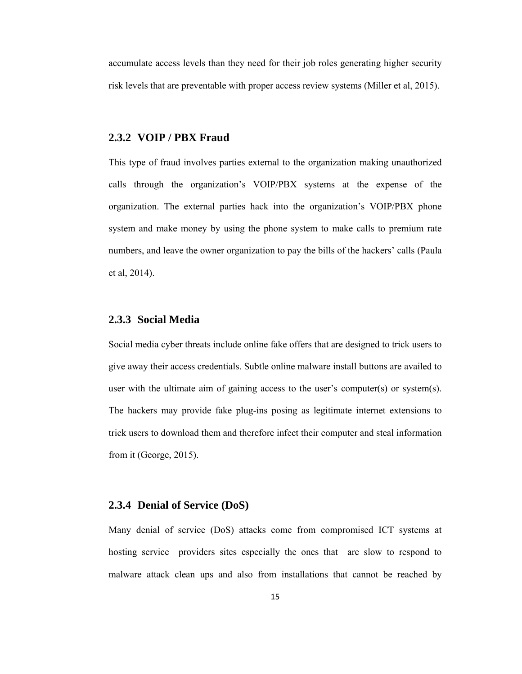accumulate access levels than they need for their job roles generating higher security risk levels that are preventable with proper access review systems (Miller et al, 2015).

# **2.3.2 VOIP / PBX Fraud**

This type of fraud involves parties external to the organization making unauthorized calls through the organization's VOIP/PBX systems at the expense of the organization. The external parties hack into the organization's VOIP/PBX phone system and make money by using the phone system to make calls to premium rate numbers, and leave the owner organization to pay the bills of the hackers' calls (Paula et al, 2014).

# **2.3.3 Social Media**

Social media cyber threats include online fake offers that are designed to trick users to give away their access credentials. Subtle online malware install buttons are availed to user with the ultimate aim of gaining access to the user's computer(s) or system(s). The hackers may provide fake plug-ins posing as legitimate internet extensions to trick users to download them and therefore infect their computer and steal information from it (George, 2015).

### **2.3.4 Denial of Service (DoS)**

Many denial of service (DoS) attacks come from compromised ICT systems at hosting service providers sites especially the ones that are slow to respond to malware attack clean ups and also from installations that cannot be reached by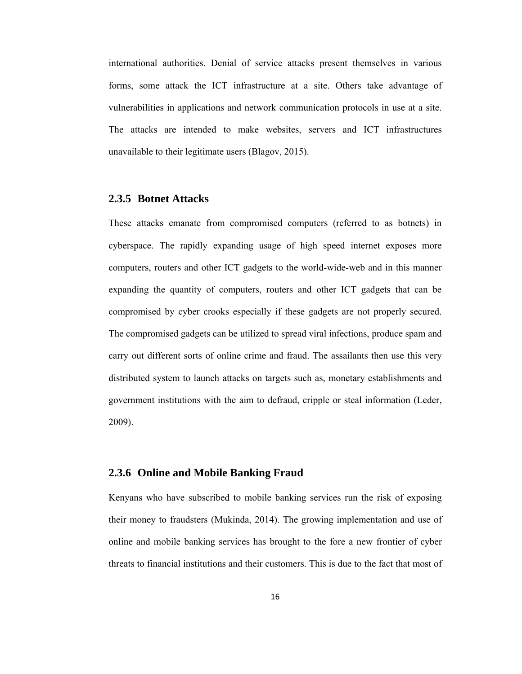international authorities. Denial of service attacks present themselves in various forms, some attack the ICT infrastructure at a site. Others take advantage of vulnerabilities in applications and network communication protocols in use at a site. The attacks are intended to make websites, servers and ICT infrastructures unavailable to their legitimate users (Blagov, 2015).

#### **2.3.5 Botnet Attacks**

These attacks emanate from compromised computers (referred to as botnets) in cyberspace. The rapidly expanding usage of high speed internet exposes more computers, routers and other ICT gadgets to the world-wide-web and in this manner expanding the quantity of computers, routers and other ICT gadgets that can be compromised by cyber crooks especially if these gadgets are not properly secured. The compromised gadgets can be utilized to spread viral infections, produce spam and carry out different sorts of online crime and fraud. The assailants then use this very distributed system to launch attacks on targets such as, monetary establishments and government institutions with the aim to defraud, cripple or steal information (Leder, 2009).

# **2.3.6 Online and Mobile Banking Fraud**

Kenyans who have subscribed to mobile banking services run the risk of exposing their money to fraudsters (Mukinda, 2014). The growing implementation and use of online and mobile banking services has brought to the fore a new frontier of cyber threats to financial institutions and their customers. This is due to the fact that most of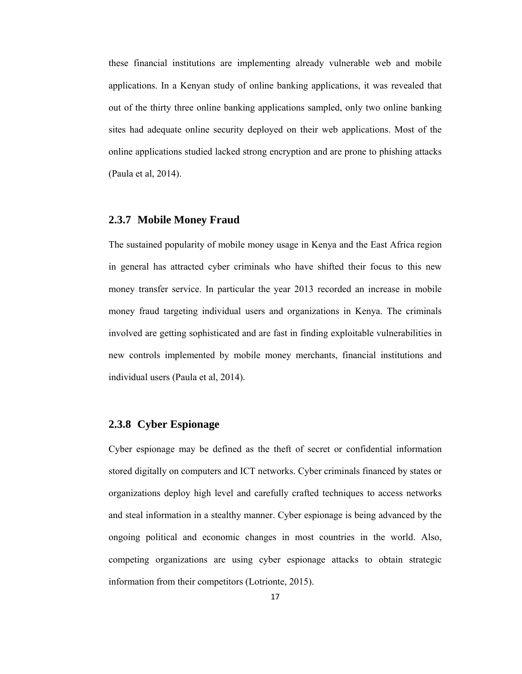these financial institutions are implementing already vulnerable web and mobile applications. In a Kenyan study of online banking applications, it was revealed that out of the thirty three online banking applications sampled, only two online banking sites had adequate online security deployed on their web applications. Most of the online applications studied lacked strong encryption and are prone to phishing attacks (Paula et al, 2014).

#### **2.3.7 Mobile Money Fraud**

The sustained popularity of mobile money usage in Kenya and the East Africa region in general has attracted cyber criminals who have shifted their focus to this new money transfer service. In particular the year 2013 recorded an increase in mobile money fraud targeting individual users and organizations in Kenya. The criminals involved are getting sophisticated and are fast in finding exploitable vulnerabilities in new controls implemented by mobile money merchants, financial institutions and individual users (Paula et al, 2014).

# **2.3.8 Cyber Espionage**

Cyber espionage may be defined as the theft of secret or confidential information stored digitally on computers and ICT networks. Cyber criminals financed by states or organizations deploy high level and carefully crafted techniques to access networks and steal information in a stealthy manner. Cyber espionage is being advanced by the ongoing political and economic changes in most countries in the world. Also, competing organizations are using cyber espionage attacks to obtain strategic information from their competitors (Lotrionte, 2015).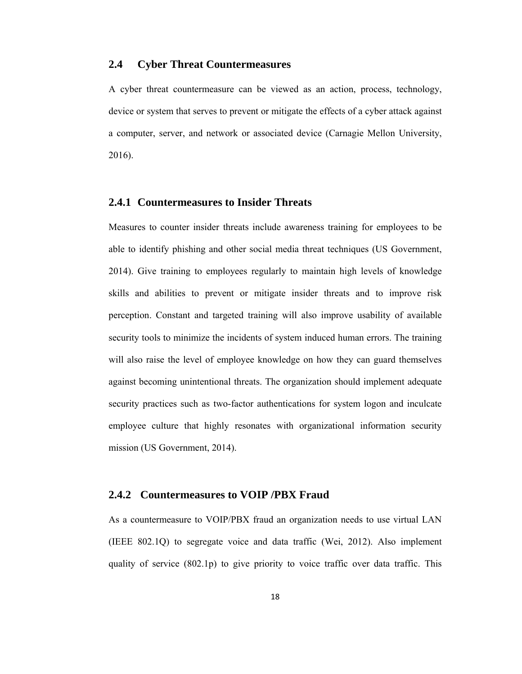#### **2.4 Cyber Threat Countermeasures**

A cyber threat countermeasure can be viewed as an action, process, technology, device or system that serves to prevent or mitigate the effects of a cyber attack against a computer, server, and network or associated device (Carnagie Mellon University, 2016).

#### **2.4.1 Countermeasures to Insider Threats**

Measures to counter insider threats include awareness training for employees to be able to identify phishing and other social media threat techniques (US Government, 2014). Give training to employees regularly to maintain high levels of knowledge skills and abilities to prevent or mitigate insider threats and to improve risk perception. Constant and targeted training will also improve usability of available security tools to minimize the incidents of system induced human errors. The training will also raise the level of employee knowledge on how they can guard themselves against becoming unintentional threats. The organization should implement adequate security practices such as two-factor authentications for system logon and inculcate employee culture that highly resonates with organizational information security mission (US Government, 2014).

#### **2.4.2 Countermeasures to VOIP /PBX Fraud**

As a countermeasure to VOIP/PBX fraud an organization needs to use virtual LAN (IEEE 802.1Q) to segregate voice and data traffic (Wei, 2012). Also implement quality of service (802.1p) to give priority to voice traffic over data traffic. This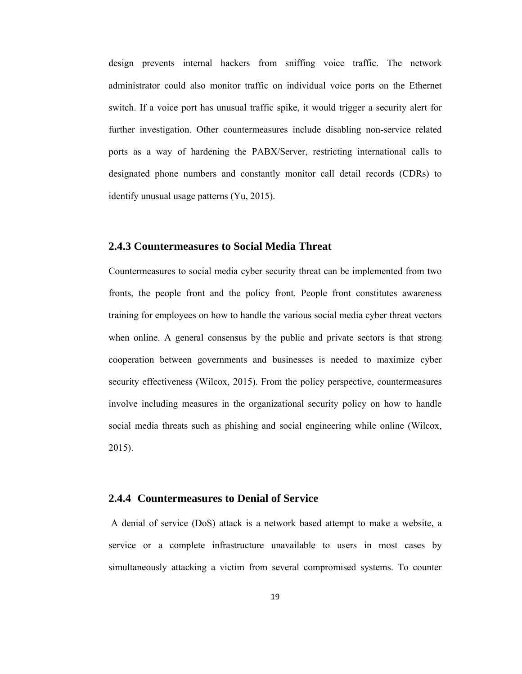design prevents internal hackers from sniffing voice traffic. The network administrator could also monitor traffic on individual voice ports on the Ethernet switch. If a voice port has unusual traffic spike, it would trigger a security alert for further investigation. Other countermeasures include disabling non-service related ports as a way of hardening the PABX/Server, restricting international calls to designated phone numbers and constantly monitor call detail records (CDRs) to identify unusual usage patterns (Yu, 2015).

#### **2.4.3 Countermeasures to Social Media Threat**

Countermeasures to social media cyber security threat can be implemented from two fronts, the people front and the policy front. People front constitutes awareness training for employees on how to handle the various social media cyber threat vectors when online. A general consensus by the public and private sectors is that strong cooperation between governments and businesses is needed to maximize cyber security effectiveness (Wilcox, 2015). From the policy perspective, countermeasures involve including measures in the organizational security policy on how to handle social media threats such as phishing and social engineering while online (Wilcox, 2015).

# **2.4.4 Countermeasures to Denial of Service**

 A denial of service (DoS) attack is a network based attempt to make a website, a service or a complete infrastructure unavailable to users in most cases by simultaneously attacking a victim from several compromised systems. To counter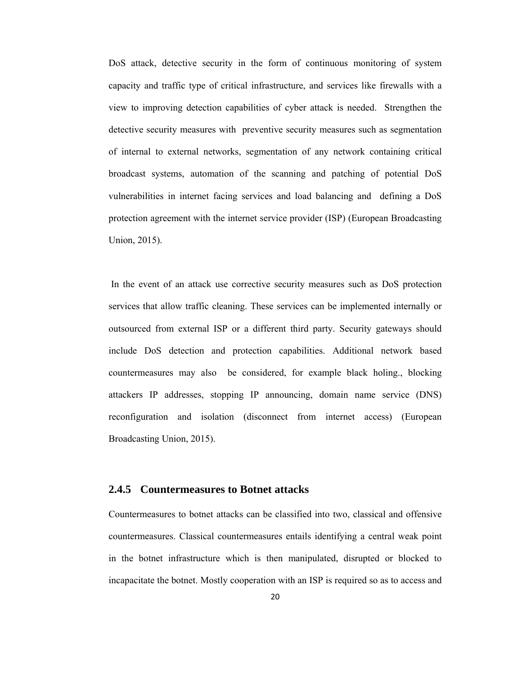DoS attack, detective security in the form of continuous monitoring of system capacity and traffic type of critical infrastructure, and services like firewalls with a view to improving detection capabilities of cyber attack is needed. Strengthen the detective security measures with preventive security measures such as segmentation of internal to external networks, segmentation of any network containing critical broadcast systems, automation of the scanning and patching of potential DoS vulnerabilities in internet facing services and load balancing and defining a DoS protection agreement with the internet service provider (ISP) (European Broadcasting Union, 2015).

 In the event of an attack use corrective security measures such as DoS protection services that allow traffic cleaning. These services can be implemented internally or outsourced from external ISP or a different third party. Security gateways should include DoS detection and protection capabilities. Additional network based countermeasures may also be considered, for example black holing., blocking attackers IP addresses, stopping IP announcing, domain name service (DNS) reconfiguration and isolation (disconnect from internet access) (European Broadcasting Union, 2015).

# **2.4.5 Countermeasures to Botnet attacks**

Countermeasures to botnet attacks can be classified into two, classical and offensive countermeasures. Classical countermeasures entails identifying a central weak point in the botnet infrastructure which is then manipulated, disrupted or blocked to incapacitate the botnet. Mostly cooperation with an ISP is required so as to access and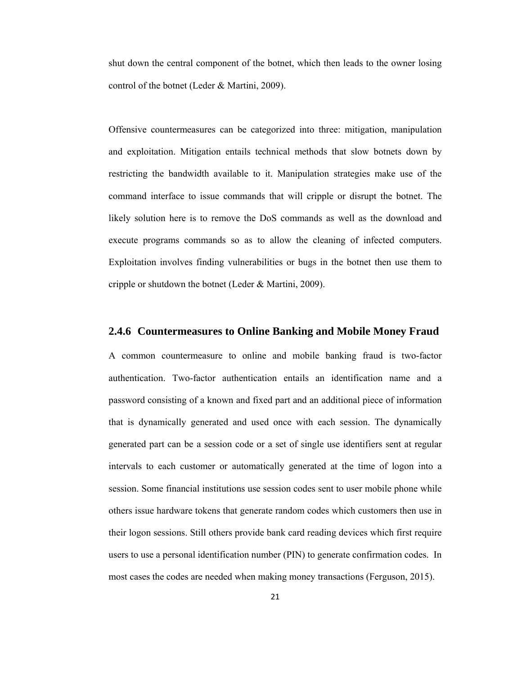shut down the central component of the botnet, which then leads to the owner losing control of the botnet (Leder & Martini, 2009).

Offensive countermeasures can be categorized into three: mitigation, manipulation and exploitation. Mitigation entails technical methods that slow botnets down by restricting the bandwidth available to it. Manipulation strategies make use of the command interface to issue commands that will cripple or disrupt the botnet. The likely solution here is to remove the DoS commands as well as the download and execute programs commands so as to allow the cleaning of infected computers. Exploitation involves finding vulnerabilities or bugs in the botnet then use them to cripple or shutdown the botnet (Leder & Martini, 2009).

#### **2.4.6 Countermeasures to Online Banking and Mobile Money Fraud**

A common countermeasure to online and mobile banking fraud is two-factor authentication. Two-factor authentication entails an identification name and a password consisting of a known and fixed part and an additional piece of information that is dynamically generated and used once with each session. The dynamically generated part can be a session code or a set of single use identifiers sent at regular intervals to each customer or automatically generated at the time of logon into a session. Some financial institutions use session codes sent to user mobile phone while others issue hardware tokens that generate random codes which customers then use in their logon sessions. Still others provide bank card reading devices which first require users to use a personal identification number (PIN) to generate confirmation codes. In most cases the codes are needed when making money transactions (Ferguson, 2015).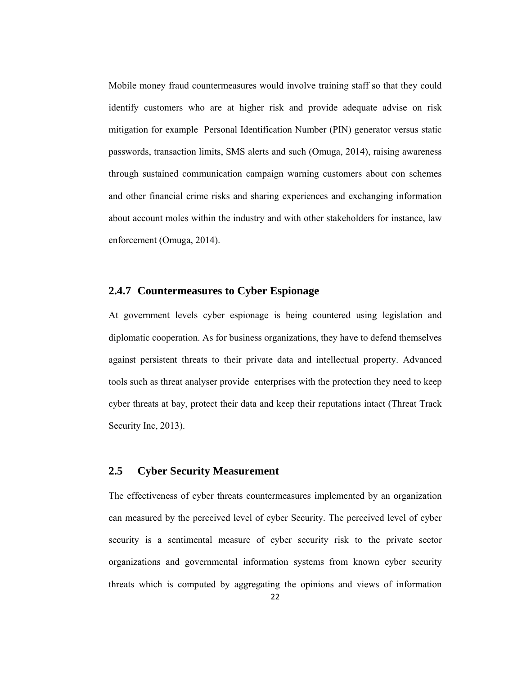Mobile money fraud countermeasures would involve training staff so that they could identify customers who are at higher risk and provide adequate advise on risk mitigation for example Personal Identification Number (PIN) generator versus static passwords, transaction limits, SMS alerts and such (Omuga, 2014), raising awareness through sustained communication campaign warning customers about con schemes and other financial crime risks and sharing experiences and exchanging information about account moles within the industry and with other stakeholders for instance, law enforcement (Omuga, 2014).

#### **2.4.7 Countermeasures to Cyber Espionage**

At government levels cyber espionage is being countered using legislation and diplomatic cooperation. As for business organizations, they have to defend themselves against persistent threats to their private data and intellectual property. Advanced tools such as threat analyser provide enterprises with the protection they need to keep cyber threats at bay, protect their data and keep their reputations intact (Threat Track Security Inc, 2013).

# **2.5 Cyber Security Measurement**

The effectiveness of cyber threats countermeasures implemented by an organization can measured by the perceived level of cyber Security. The perceived level of cyber security is a sentimental measure of cyber security risk to the private sector organizations and governmental information systems from known cyber security threats which is computed by aggregating the opinions and views of information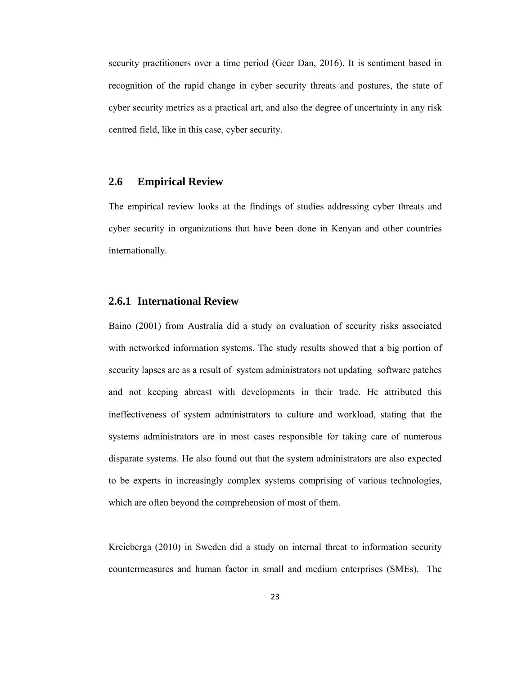security practitioners over a time period (Geer Dan, 2016). It is sentiment based in recognition of the rapid change in cyber security threats and postures, the state of cyber security metrics as a practical art, and also the degree of uncertainty in any risk centred field, like in this case, cyber security.

# **2.6 Empirical Review**

The empirical review looks at the findings of studies addressing cyber threats and cyber security in organizations that have been done in Kenyan and other countries internationally.

## **2.6.1 International Review**

Baino (2001) from Australia did a study on evaluation of security risks associated with networked information systems. The study results showed that a big portion of security lapses are as a result of system administrators not updating software patches and not keeping abreast with developments in their trade. He attributed this ineffectiveness of system administrators to culture and workload, stating that the systems administrators are in most cases responsible for taking care of numerous disparate systems. He also found out that the system administrators are also expected to be experts in increasingly complex systems comprising of various technologies, which are often beyond the comprehension of most of them.

Kreicberga (2010) in Sweden did a study on internal threat to information security countermeasures and human factor in small and medium enterprises (SMEs). The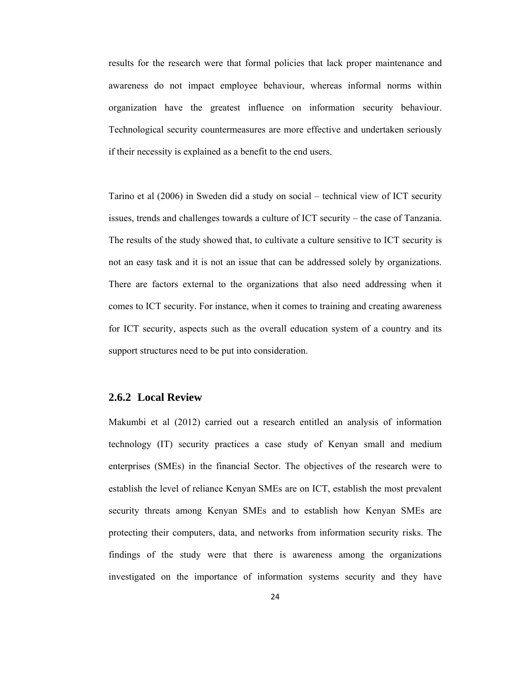results for the research were that formal policies that lack proper maintenance and awareness do not impact employee behaviour, whereas informal norms within organization have the greatest influence on information security behaviour. Technological security countermeasures are more effective and undertaken seriously if their necessity is explained as a benefit to the end users.

Tarino et al (2006) in Sweden did a study on social – technical view of ICT security issues, trends and challenges towards a culture of ICT security – the case of Tanzania. The results of the study showed that, to cultivate a culture sensitive to ICT security is not an easy task and it is not an issue that can be addressed solely by organizations. There are factors external to the organizations that also need addressing when it comes to ICT security. For instance, when it comes to training and creating awareness for ICT security, aspects such as the overall education system of a country and its support structures need to be put into consideration.

# **2.6.2 Local Review**

Makumbi et al (2012) carried out a research entitled an analysis of information technology (IT) security practices a case study of Kenyan small and medium enterprises (SMEs) in the financial Sector. The objectives of the research were to establish the level of reliance Kenyan SMEs are on ICT, establish the most prevalent security threats among Kenyan SMEs and to establish how Kenyan SMEs are protecting their computers, data, and networks from information security risks. The findings of the study were that there is awareness among the organizations investigated on the importance of information systems security and they have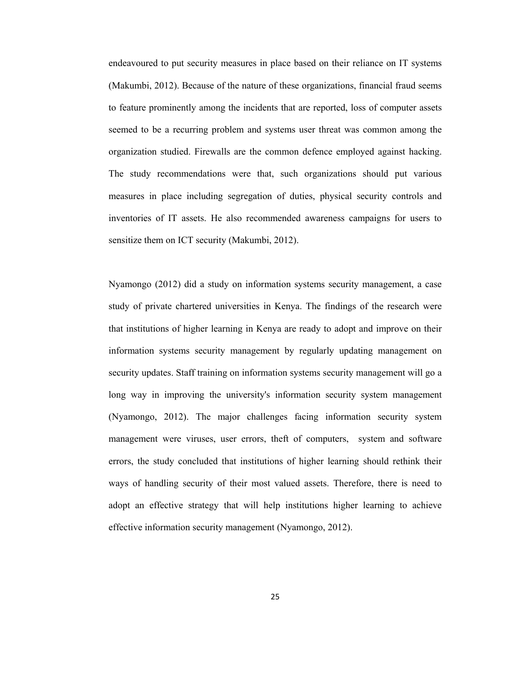endeavoured to put security measures in place based on their reliance on IT systems (Makumbi, 2012). Because of the nature of these organizations, financial fraud seems to feature prominently among the incidents that are reported, loss of computer assets seemed to be a recurring problem and systems user threat was common among the organization studied. Firewalls are the common defence employed against hacking. The study recommendations were that, such organizations should put various measures in place including segregation of duties, physical security controls and inventories of IT assets. He also recommended awareness campaigns for users to sensitize them on ICT security (Makumbi, 2012).

Nyamongo (2012) did a study on information systems security management, a case study of private chartered universities in Kenya. The findings of the research were that institutions of higher learning in Kenya are ready to adopt and improve on their information systems security management by regularly updating management on security updates. Staff training on information systems security management will go a long way in improving the university's information security system management (Nyamongo, 2012). The major challenges facing information security system management were viruses, user errors, theft of computers, system and software errors, the study concluded that institutions of higher learning should rethink their ways of handling security of their most valued assets. Therefore, there is need to adopt an effective strategy that will help institutions higher learning to achieve effective information security management (Nyamongo, 2012).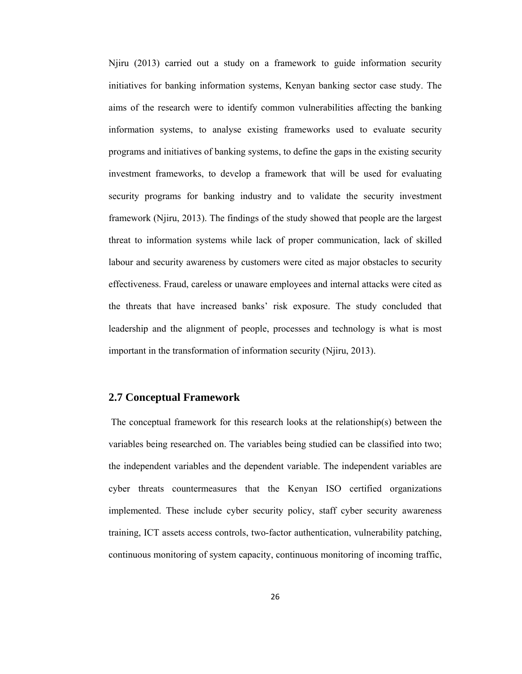Njiru (2013) carried out a study on a framework to guide information security initiatives for banking information systems, Kenyan banking sector case study. The aims of the research were to identify common vulnerabilities affecting the banking information systems, to analyse existing frameworks used to evaluate security programs and initiatives of banking systems, to define the gaps in the existing security investment frameworks, to develop a framework that will be used for evaluating security programs for banking industry and to validate the security investment framework (Njiru, 2013). The findings of the study showed that people are the largest threat to information systems while lack of proper communication, lack of skilled labour and security awareness by customers were cited as major obstacles to security effectiveness. Fraud, careless or unaware employees and internal attacks were cited as the threats that have increased banks' risk exposure. The study concluded that leadership and the alignment of people, processes and technology is what is most important in the transformation of information security (Njiru, 2013).

## **2.7 Conceptual Framework**

 The conceptual framework for this research looks at the relationship(s) between the variables being researched on. The variables being studied can be classified into two; the independent variables and the dependent variable. The independent variables are cyber threats countermeasures that the Kenyan ISO certified organizations implemented. These include cyber security policy, staff cyber security awareness training, ICT assets access controls, two-factor authentication, vulnerability patching, continuous monitoring of system capacity, continuous monitoring of incoming traffic,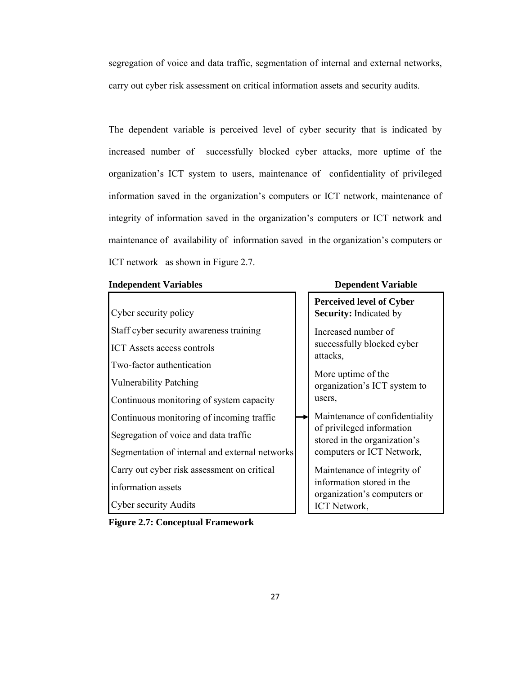segregation of voice and data traffic, segmentation of internal and external networks, carry out cyber risk assessment on critical information assets and security audits.

The dependent variable is perceived level of cyber security that is indicated by increased number of successfully blocked cyber attacks, more uptime of the organization's ICT system to users, maintenance of confidentiality of privileged information saved in the organization's computers or ICT network, maintenance of integrity of information saved in the organization's computers or ICT network and maintenance of availability of information saved in the organization's computers or ICT network as shown in Figure 2.7.

#### **Independent Variables Dependent Variable**



**Figure 2.7: Conceptual Framework** 

| <b>Perceived level of Cyber</b><br><b>Security:</b> Indicated by                                                         |
|--------------------------------------------------------------------------------------------------------------------------|
| Increased number of<br>successfully blocked cyber<br>attacks,                                                            |
| More uptime of the<br>organization's ICT system to<br>users,                                                             |
| Maintenance of confidentiality<br>of privileged information<br>stored in the organization's<br>computers or ICT Network, |
| Maintenance of integrity of<br>information stored in the                                                                 |

information stored in the organization's computers or ICT Network,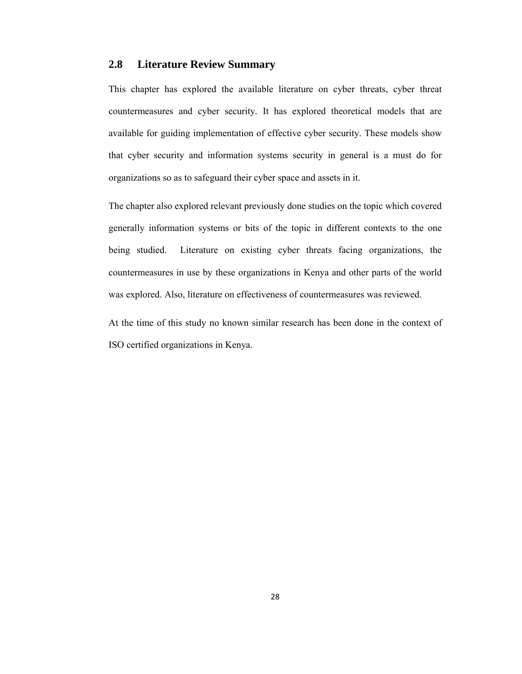# **2.8 Literature Review Summary**

This chapter has explored the available literature on cyber threats, cyber threat countermeasures and cyber security. It has explored theoretical models that are available for guiding implementation of effective cyber security. These models show that cyber security and information systems security in general is a must do for organizations so as to safeguard their cyber space and assets in it.

The chapter also explored relevant previously done studies on the topic which covered generally information systems or bits of the topic in different contexts to the one being studied. Literature on existing cyber threats facing organizations, the countermeasures in use by these organizations in Kenya and other parts of the world was explored. Also, literature on effectiveness of countermeasures was reviewed.

At the time of this study no known similar research has been done in the context of ISO certified organizations in Kenya.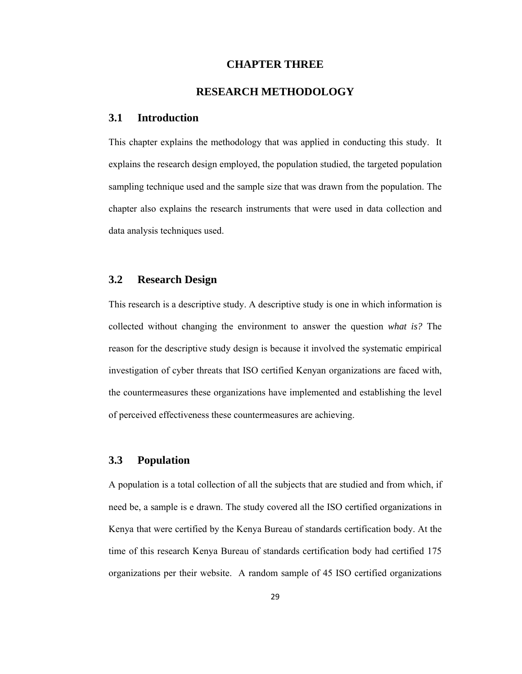#### **CHAPTER THREE**

## **RESEARCH METHODOLOGY**

## **3.1 Introduction**

This chapter explains the methodology that was applied in conducting this study. It explains the research design employed, the population studied, the targeted population sampling technique used and the sample size that was drawn from the population. The chapter also explains the research instruments that were used in data collection and data analysis techniques used.

## **3.2 Research Design**

This research is a descriptive study. A descriptive study is one in which information is collected without changing the environment to answer the question *what is?* The reason for the descriptive study design is because it involved the systematic empirical investigation of cyber threats that ISO certified Kenyan organizations are faced with, the countermeasures these organizations have implemented and establishing the level of perceived effectiveness these countermeasures are achieving.

# **3.3 Population**

A population is a total collection of all the subjects that are studied and from which, if need be, a sample is e drawn. The study covered all the ISO certified organizations in Kenya that were certified by the Kenya Bureau of standards certification body. At the time of this research Kenya Bureau of standards certification body had certified 175 organizations per their website. A random sample of 45 ISO certified organizations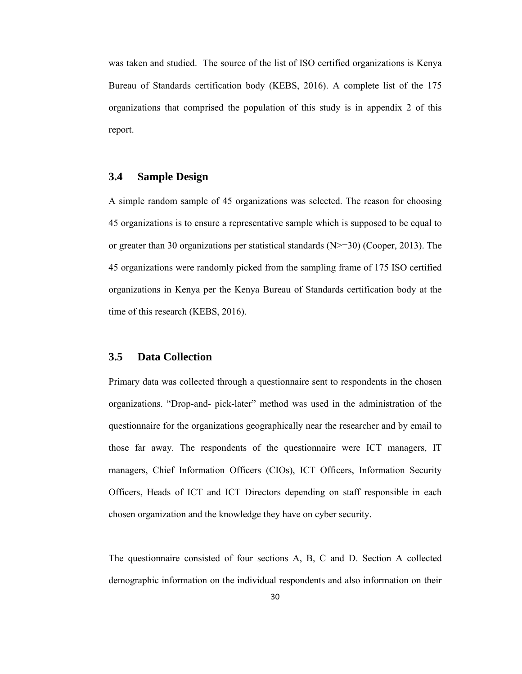was taken and studied. The source of the list of ISO certified organizations is Kenya Bureau of Standards certification body (KEBS, 2016). A complete list of the 175 organizations that comprised the population of this study is in appendix 2 of this report.

#### **3.4 Sample Design**

A simple random sample of 45 organizations was selected. The reason for choosing 45 organizations is to ensure a representative sample which is supposed to be equal to or greater than 30 organizations per statistical standards  $(N>=30)$  (Cooper, 2013). The 45 organizations were randomly picked from the sampling frame of 175 ISO certified organizations in Kenya per the Kenya Bureau of Standards certification body at the time of this research (KEBS, 2016).

# **3.5 Data Collection**

Primary data was collected through a questionnaire sent to respondents in the chosen organizations. "Drop-and- pick-later" method was used in the administration of the questionnaire for the organizations geographically near the researcher and by email to those far away. The respondents of the questionnaire were ICT managers, IT managers, Chief Information Officers (CIOs), ICT Officers, Information Security Officers, Heads of ICT and ICT Directors depending on staff responsible in each chosen organization and the knowledge they have on cyber security.

The questionnaire consisted of four sections A, B, C and D. Section A collected demographic information on the individual respondents and also information on their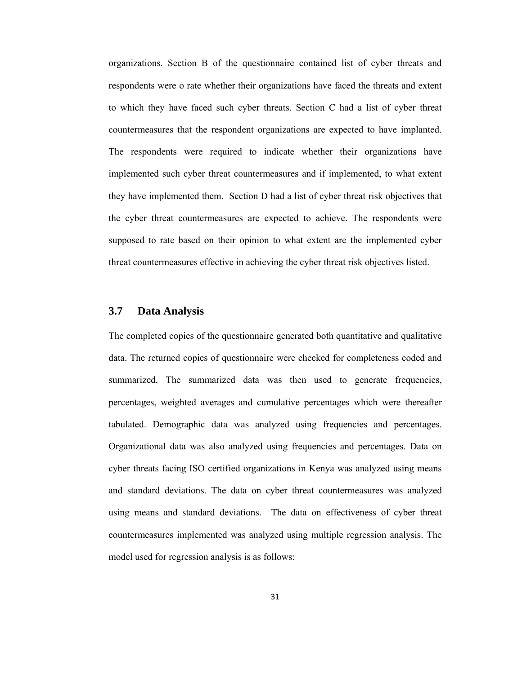organizations. Section B of the questionnaire contained list of cyber threats and respondents were o rate whether their organizations have faced the threats and extent to which they have faced such cyber threats. Section C had a list of cyber threat countermeasures that the respondent organizations are expected to have implanted. The respondents were required to indicate whether their organizations have implemented such cyber threat countermeasures and if implemented, to what extent they have implemented them. Section D had a list of cyber threat risk objectives that the cyber threat countermeasures are expected to achieve. The respondents were supposed to rate based on their opinion to what extent are the implemented cyber threat countermeasures effective in achieving the cyber threat risk objectives listed.

# **3.7 Data Analysis**

The completed copies of the questionnaire generated both quantitative and qualitative data. The returned copies of questionnaire were checked for completeness coded and summarized. The summarized data was then used to generate frequencies, percentages, weighted averages and cumulative percentages which were thereafter tabulated. Demographic data was analyzed using frequencies and percentages. Organizational data was also analyzed using frequencies and percentages. Data on cyber threats facing ISO certified organizations in Kenya was analyzed using means and standard deviations. The data on cyber threat countermeasures was analyzed using means and standard deviations. The data on effectiveness of cyber threat countermeasures implemented was analyzed using multiple regression analysis. The model used for regression analysis is as follows: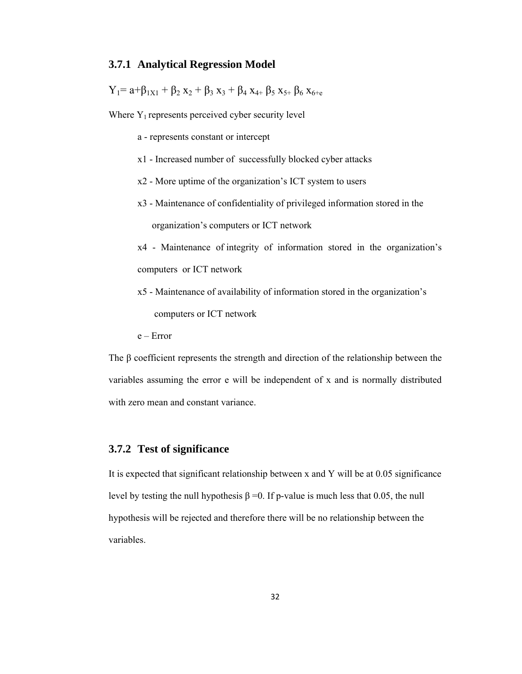### **3.7.1 Analytical Regression Model**

 $Y_1 = a + \beta_{1X1} + \beta_2 x_2 + \beta_3 x_3 + \beta_4 x_{4+} \beta_5 x_{5+} \beta_6 x_{6+e}$ 

Where  $Y_1$  represents perceived cyber security level

- a represents constant or intercept
- x1 Increased number of successfully blocked cyber attacks
- x2 More uptime of the organization's ICT system to users
- x3 Maintenance of confidentiality of privileged information stored in the organization's computers or ICT network
- x4 Maintenance of integrity of information stored in the organization's computers or ICT network
- x5 Maintenance of availability of information stored in the organization's computers or ICT network
- e Error

The β coefficient represents the strength and direction of the relationship between the variables assuming the error e will be independent of x and is normally distributed with zero mean and constant variance.

# **3.7.2 Test of significance**

It is expected that significant relationship between x and Y will be at 0.05 significance level by testing the null hypothesis β = 0. If p-value is much less that 0.05, the null hypothesis will be rejected and therefore there will be no relationship between the variables.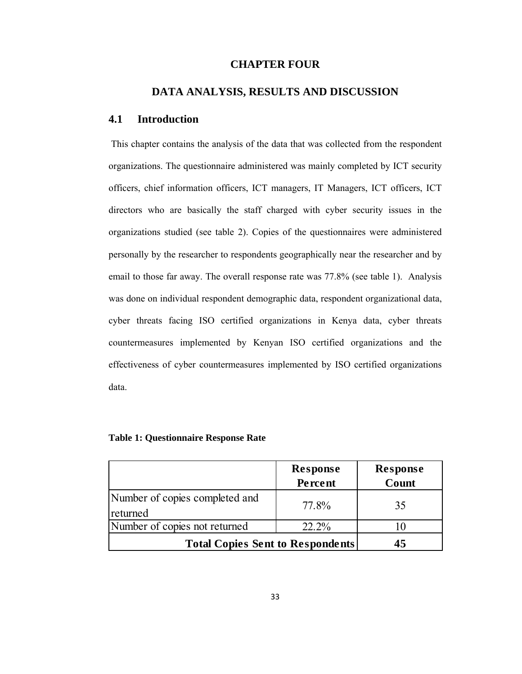### **CHAPTER FOUR**

# **DATA ANALYSIS, RESULTS AND DISCUSSION**

# **4.1 Introduction**

 This chapter contains the analysis of the data that was collected from the respondent organizations. The questionnaire administered was mainly completed by ICT security officers, chief information officers, ICT managers, IT Managers, ICT officers, ICT directors who are basically the staff charged with cyber security issues in the organizations studied (see table 2). Copies of the questionnaires were administered personally by the researcher to respondents geographically near the researcher and by email to those far away. The overall response rate was 77.8% (see table 1). Analysis was done on individual respondent demographic data, respondent organizational data, cyber threats facing ISO certified organizations in Kenya data, cyber threats countermeasures implemented by Kenyan ISO certified organizations and the effectiveness of cyber countermeasures implemented by ISO certified organizations data.

|                                            | Response<br>Percent | Response<br>$\overline{\mathrm{Count}}$ |
|--------------------------------------------|---------------------|-----------------------------------------|
| Number of copies completed and<br>returned | 77.8%               | 35                                      |
| Number of copies not returned              | 22.2%               |                                         |
| <b>Total Copies Sent to Respondents</b>    |                     |                                         |

**Table 1: Questionnaire Response Rate**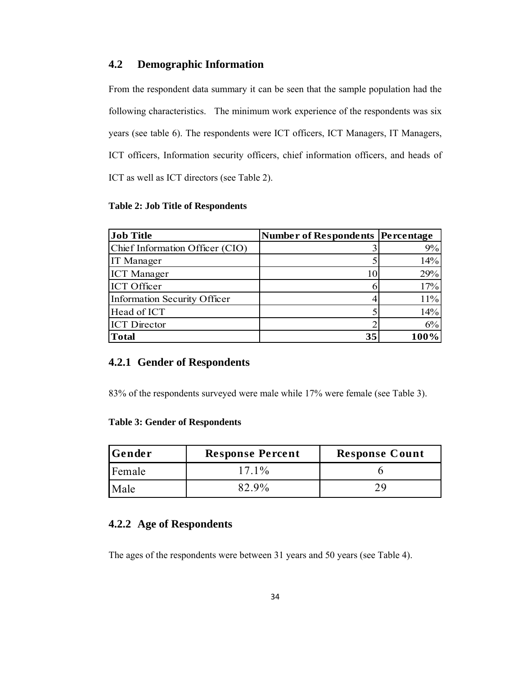# **4.2 Demographic Information**

From the respondent data summary it can be seen that the sample population had the following characteristics. The minimum work experience of the respondents was six years (see table 6). The respondents were ICT officers, ICT Managers, IT Managers, ICT officers, Information security officers, chief information officers, and heads of ICT as well as ICT directors (see Table 2).

## **Table 2: Job Title of Respondents**

| <b>Job Title</b>                    | <b>Number of Respondents Percentage</b> |      |
|-------------------------------------|-----------------------------------------|------|
| Chief Information Officer (CIO)     |                                         | 9%   |
| <b>IT Manager</b>                   |                                         | 14%  |
| <b>ICT</b> Manager                  |                                         | 29%  |
| <b>ICT</b> Officer                  |                                         | 17%  |
| <b>Information Security Officer</b> |                                         | 11%  |
| Head of ICT                         |                                         | 14%  |
| <b>ICT</b> Director                 |                                         | 6%   |
| <b>Total</b>                        | 35                                      | 100% |

# **4.2.1 Gender of Respondents**

83% of the respondents surveyed were male while 17% were female (see Table 3).

#### **Table 3: Gender of Respondents**

| <b>Sender</b> | <b>Response Percent</b> | <b>Response Count</b> |
|---------------|-------------------------|-----------------------|
| Female        | $17.1\%$                |                       |
| Male          | $82.9\%$                |                       |

# **4.2.2 Age of Respondents**

The ages of the respondents were between 31 years and 50 years (see Table 4).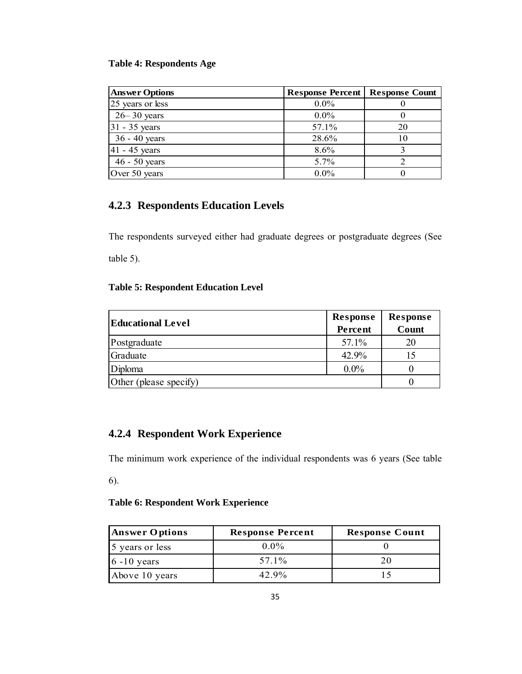## **Table 4: Respondents Age**

| <b>Answer Options</b> | <b>Response Percent</b> | <b>Response Count</b> |
|-----------------------|-------------------------|-----------------------|
| 25 years or less      | $0.0\%$                 |                       |
| $26 - 30$ years       | $0.0\%$                 |                       |
| $31 - 35$ years       | 57.1%                   | 20                    |
| $36 - 40$ years       | 28.6%                   | 10                    |
| $41 - 45$ years       | 8.6%                    |                       |
| $46 - 50$ years       | 5.7%                    |                       |
| Over 50 years         | $0.0\%$                 |                       |

# **4.2.3 Respondents Education Levels**

The respondents surveyed either had graduate degrees or postgraduate degrees (See table 5).

# **Table 5: Respondent Education Level**

| <b>Educational Level</b> | <b>Response</b> | Response |
|--------------------------|-----------------|----------|
|                          | Percent         | Count    |
| Postgraduate             | 57.1%           | 20       |
| Graduate                 | 42.9%           | 15       |
| Diploma                  | $0.0\%$         |          |
| Other (please specify)   |                 |          |

# **4.2.4 Respondent Work Experience**

The minimum work experience of the individual respondents was 6 years (See table

6).

# **Table 6: Respondent Work Experience**

| <b>Answer Options</b> | <b>Response Percent</b> | <b>Response Count</b> |
|-----------------------|-------------------------|-----------------------|
| 5 years or less       | $0.0\%$                 |                       |
| $6 - 10$ years        | 57 1%                   | 20                    |
| Above 10 years        | $42.9\%$                |                       |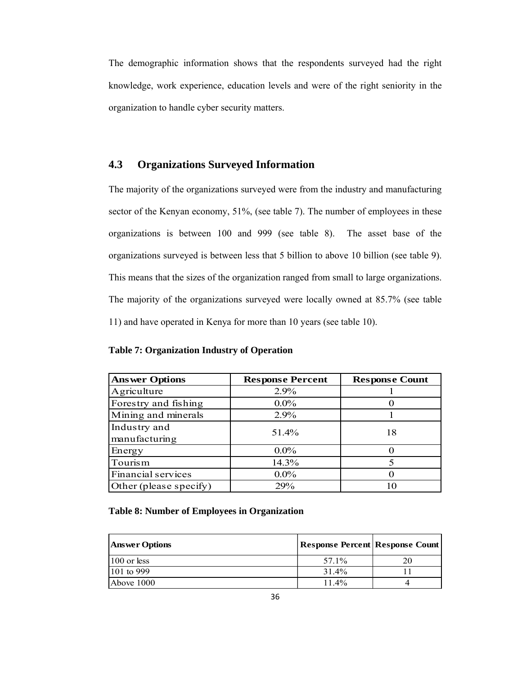The demographic information shows that the respondents surveyed had the right knowledge, work experience, education levels and were of the right seniority in the organization to handle cyber security matters.

# **4.3 Organizations Surveyed Information**

The majority of the organizations surveyed were from the industry and manufacturing sector of the Kenyan economy, 51%, (see table 7). The number of employees in these organizations is between 100 and 999 (see table 8). The asset base of the organizations surveyed is between less that 5 billion to above 10 billion (see table 9). This means that the sizes of the organization ranged from small to large organizations. The majority of the organizations surveyed were locally owned at 85.7% (see table 11) and have operated in Kenya for more than 10 years (see table 10).

**Table 7: Organization Industry of Operation**

| <b>Answer Options</b>  | <b>Response Percent</b> | <b>Response Count</b> |
|------------------------|-------------------------|-----------------------|
| Agriculture            | 2.9%                    |                       |
| Forestry and fishing   | $0.0\%$                 |                       |
| Mining and minerals    | 2.9%                    |                       |
| Industry and           | 51.4%                   | 18                    |
| manufacturing          |                         |                       |
| Energy                 | $0.0\%$                 |                       |
| Tourism                | 14.3%                   |                       |
| Financial services     | $0.0\%$                 |                       |
| Other (please specify) | 29%                     |                       |

#### **Table 8: Number of Employees in Organization**

| <b>Answer Options</b> | <b>Response Percent Response Count</b> |  |
|-----------------------|----------------------------------------|--|
| $100$ or less         | 57 1\%                                 |  |
| 101 to 999            | 31.4%                                  |  |
| Above 1000            | $11.4\%$                               |  |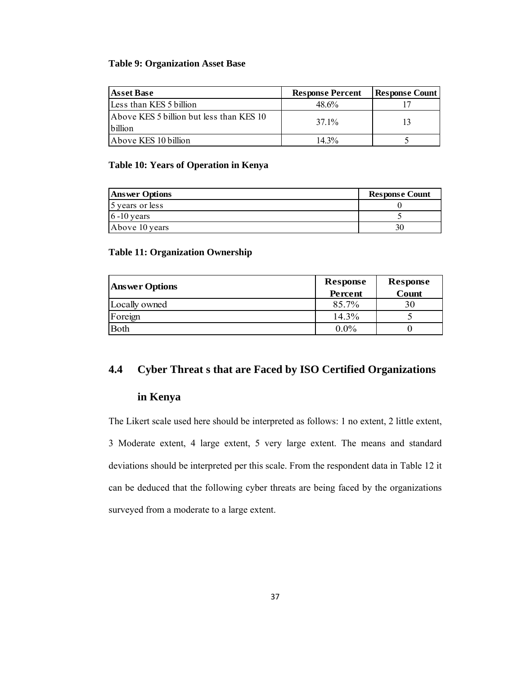#### **Table 9: Organization Asset Base**

| <b>Asset Base</b>                                   | <b>Response Percent</b> | <b>Response Count</b> |
|-----------------------------------------------------|-------------------------|-----------------------|
| Less than KES 5 billion                             | 48.6%                   |                       |
| Above KES 5 billion but less than KES 10<br>billion | 37.1%                   |                       |
| Above KES 10 billion                                | $14.3\%$                |                       |

# **Table 10: Years of Operation in Kenya**

| <b>Answer Options</b> | <b>Response Count</b> |
|-----------------------|-----------------------|
| 5 years or less       |                       |
| $6 - 10$ years        |                       |
| Above 10 years        |                       |

### **Table 11: Organization Ownership**

| <b>Answer Options</b> | Response<br>Percent | <b>Response</b><br><b>Count</b> |
|-----------------------|---------------------|---------------------------------|
| Locally owned         | 85.7%               | 30                              |
| Foreign               | $14.3\%$            |                                 |
| <b>Both</b>           | $0.0\%$             |                                 |

# **4.4 Cyber Threat s that are Faced by ISO Certified Organizations**

# **in Kenya**

The Likert scale used here should be interpreted as follows: 1 no extent, 2 little extent, 3 Moderate extent, 4 large extent, 5 very large extent. The means and standard deviations should be interpreted per this scale. From the respondent data in Table 12 it can be deduced that the following cyber threats are being faced by the organizations surveyed from a moderate to a large extent.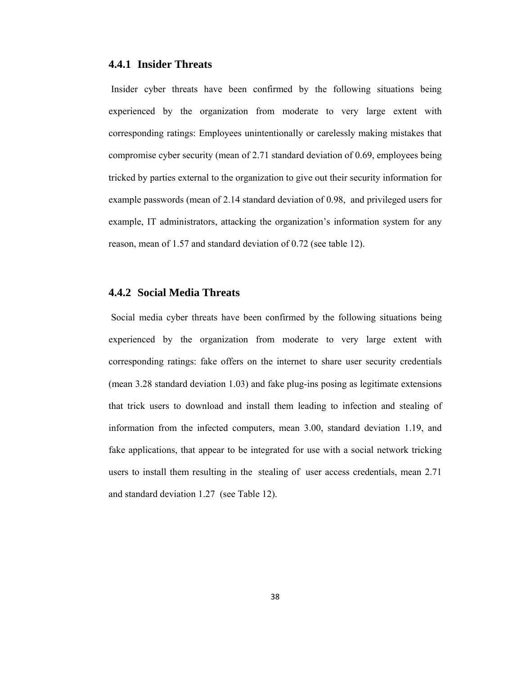# **4.4.1 Insider Threats**

 Insider cyber threats have been confirmed by the following situations being experienced by the organization from moderate to very large extent with corresponding ratings: Employees unintentionally or carelessly making mistakes that compromise cyber security (mean of 2.71 standard deviation of 0.69, employees being tricked by parties external to the organization to give out their security information for example passwords (mean of 2.14 standard deviation of 0.98, and privileged users for example, IT administrators, attacking the organization's information system for any reason, mean of 1.57 and standard deviation of 0.72 (see table 12).

## **4.4.2 Social Media Threats**

 Social media cyber threats have been confirmed by the following situations being experienced by the organization from moderate to very large extent with corresponding ratings: fake offers on the internet to share user security credentials (mean 3.28 standard deviation 1.03) and fake plug-ins posing as legitimate extensions that trick users to download and install them leading to infection and stealing of information from the infected computers, mean 3.00, standard deviation 1.19, and fake applications, that appear to be integrated for use with a social network tricking users to install them resulting in the stealing of user access credentials, mean 2.71 and standard deviation 1.27 (see Table 12).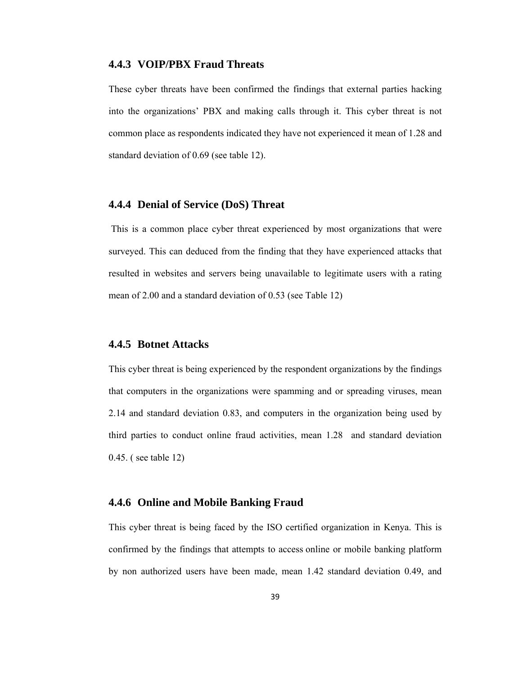#### **4.4.3 VOIP/PBX Fraud Threats**

These cyber threats have been confirmed the findings that external parties hacking into the organizations' PBX and making calls through it. This cyber threat is not common place as respondents indicated they have not experienced it mean of 1.28 and standard deviation of 0.69 (see table 12).

#### **4.4.4 Denial of Service (DoS) Threat**

 This is a common place cyber threat experienced by most organizations that were surveyed. This can deduced from the finding that they have experienced attacks that resulted in websites and servers being unavailable to legitimate users with a rating mean of 2.00 and a standard deviation of 0.53 (see Table 12)

## **4.4.5 Botnet Attacks**

This cyber threat is being experienced by the respondent organizations by the findings that computers in the organizations were spamming and or spreading viruses, mean 2.14 and standard deviation 0.83, and computers in the organization being used by third parties to conduct online fraud activities, mean 1.28 and standard deviation 0.45. ( see table 12)

## **4.4.6 Online and Mobile Banking Fraud**

This cyber threat is being faced by the ISO certified organization in Kenya. This is confirmed by the findings that attempts to access online or mobile banking platform by non authorized users have been made, mean 1.42 standard deviation 0.49, and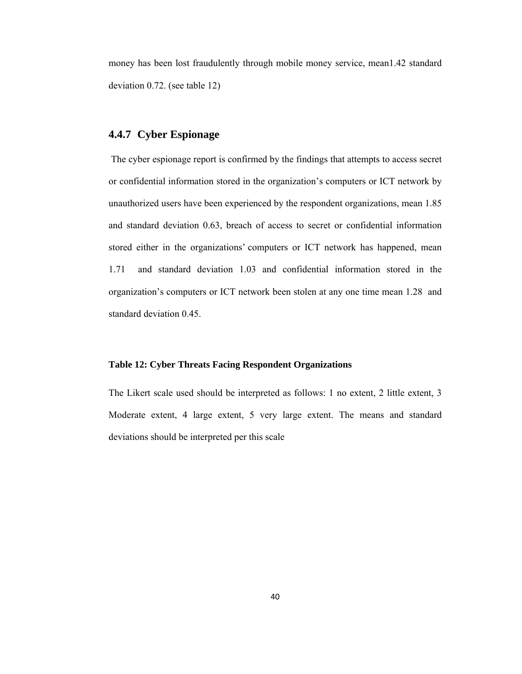money has been lost fraudulently through mobile money service, mean1.42 standard deviation 0.72. (see table 12)

# **4.4.7 Cyber Espionage**

 The cyber espionage report is confirmed by the findings that attempts to access secret or confidential information stored in the organization's computers or ICT network by unauthorized users have been experienced by the respondent organizations, mean 1.85 and standard deviation 0.63, breach of access to secret or confidential information stored either in the organizations' computers or ICT network has happened, mean 1.71 and standard deviation 1.03 and confidential information stored in the organization's computers or ICT network been stolen at any one time mean 1.28 and standard deviation 0.45.

#### **Table 12: Cyber Threats Facing Respondent Organizations**

The Likert scale used should be interpreted as follows: 1 no extent, 2 little extent, 3 Moderate extent, 4 large extent, 5 very large extent. The means and standard deviations should be interpreted per this scale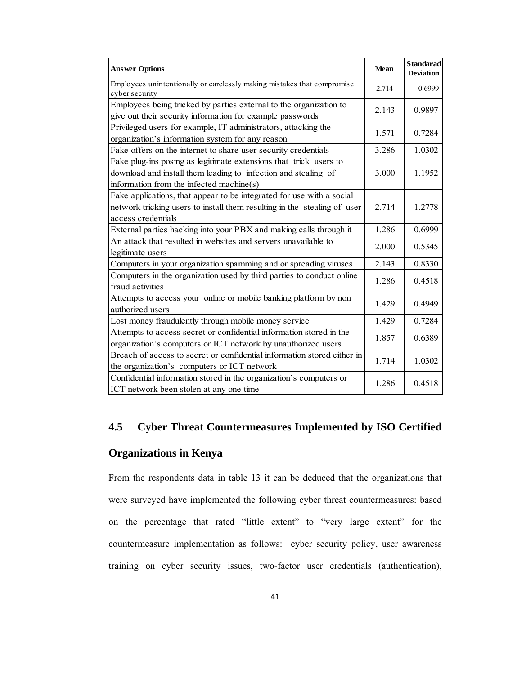| <b>Answer Options</b>                                                                                                                                                           | <b>Mean</b> | <b>Standarad</b><br><b>Deviation</b> |
|---------------------------------------------------------------------------------------------------------------------------------------------------------------------------------|-------------|--------------------------------------|
| Employees unintentionally or carelessly making mistakes that compromise<br>cyber security                                                                                       | 2.714       | 0.6999                               |
| Employees being tricked by parties external to the organization to<br>give out their security information for example passwords                                                 | 2.143       | 0.9897                               |
| Privileged users for example, IT administrators, attacking the<br>organization's information system for any reason                                                              | 1.571       | 0.7284                               |
| Fake offers on the internet to share user security credentials                                                                                                                  | 3.286       | 1.0302                               |
| Fake plug-ins posing as legitimate extensions that trick users to<br>download and install them leading to infection and stealing of<br>information from the infected machine(s) | 3.000       | 1.1952                               |
| Fake applications, that appear to be integrated for use with a social<br>network tricking users to install them resulting in the stealing of user<br>access credentials         | 2.714       | 1.2778                               |
| External parties hacking into your PBX and making calls through it                                                                                                              | 1.286       | 0.6999                               |
| An attack that resulted in websites and servers unavailable to<br>legitimate users                                                                                              | 2.000       | 0.5345                               |
| Computers in your organization spamming and or spreading viruses                                                                                                                | 2.143       | 0.8330                               |
| Computers in the organization used by third parties to conduct online<br>fraud activities                                                                                       | 1.286       | 0.4518                               |
| Attempts to access your online or mobile banking platform by non<br>authorized users                                                                                            | 1.429       | 0.4949                               |
| Lost money fraudulently through mobile money service                                                                                                                            | 1.429       | 0.7284                               |
| Attempts to access secret or confidential information stored in the<br>organization's computers or ICT network by unauthorized users                                            | 1.857       | 0.6389                               |
| Breach of access to secret or confidential information stored either in<br>the organization's computers or ICT network                                                          | 1.714       | 1.0302                               |
| Confidential information stored in the organization's computers or<br>ICT network been stolen at any one time                                                                   | 1.286       | 0.4518                               |

# **4.5 Cyber Threat Countermeasures Implemented by ISO Certified**

# **Organizations in Kenya**

From the respondents data in table 13 it can be deduced that the organizations that were surveyed have implemented the following cyber threat countermeasures: based on the percentage that rated "little extent" to "very large extent" for the countermeasure implementation as follows: cyber security policy, user awareness training on cyber security issues, two-factor user credentials (authentication),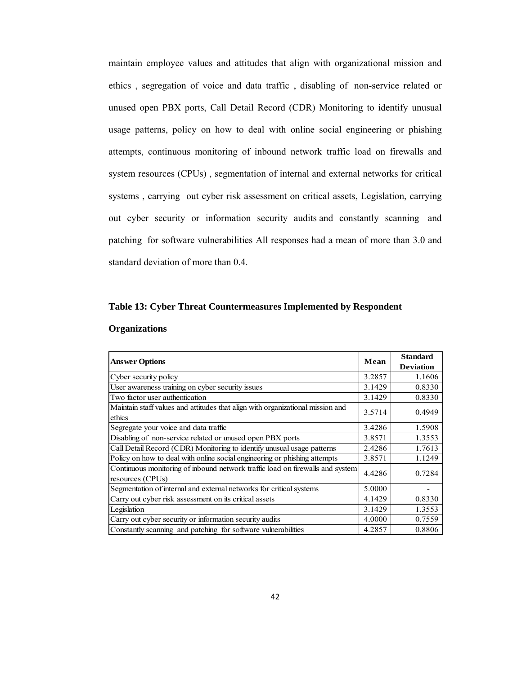maintain employee values and attitudes that align with organizational mission and ethics , segregation of voice and data traffic , disabling of non-service related or unused open PBX ports, Call Detail Record (CDR) Monitoring to identify unusual usage patterns, policy on how to deal with online social engineering or phishing attempts, continuous monitoring of inbound network traffic load on firewalls and system resources (CPUs) , segmentation of internal and external networks for critical systems , carrying out cyber risk assessment on critical assets, Legislation, carrying out cyber security or information security audits and constantly scanning and patching for software vulnerabilities All responses had a mean of more than 3.0 and standard deviation of more than 0.4.

#### **Table 13: Cyber Threat Countermeasures Implemented by Respondent**

#### **Organizations**

| <b>Answer Options</b>                                                          |        | <b>Standard</b>  |
|--------------------------------------------------------------------------------|--------|------------------|
|                                                                                | Mean   | <b>Deviation</b> |
| Cyber security policy                                                          | 3.2857 | 1.1606           |
| User awareness training on cyber security issues                               | 3.1429 | 0.8330           |
| Two factor user authentication                                                 | 3.1429 | 0.8330           |
| Maintain staff values and attitudes that align with organizational mission and | 3.5714 | 0.4949           |
| ethics                                                                         |        |                  |
| Segregate your voice and data traffic                                          | 3.4286 | 1.5908           |
| Disabling of non-service related or unused open PBX ports                      | 3.8571 | 1.3553           |
| Call Detail Record (CDR) Monitoring to identify unusual usage patterns         | 2.4286 | 1.7613           |
| Policy on how to deal with online social engineering or phishing attempts      | 3.8571 | 1.1249           |
| Continuous monitoring of inbound network traffic load on firewalls and system  | 4.4286 | 0.7284           |
| resources (CPUs)                                                               |        |                  |
| Segmentation of internal and external networks for critical systems            | 5.0000 |                  |
| Carry out cyber risk assessment on its critical assets                         | 4.1429 | 0.8330           |
| Legislation                                                                    | 3.1429 | 1.3553           |
| Carry out cyber security or information security audits                        | 4.0000 | 0.7559           |
| Constantly scanning and patching for software vulnerabilities                  | 4.2857 | 0.8806           |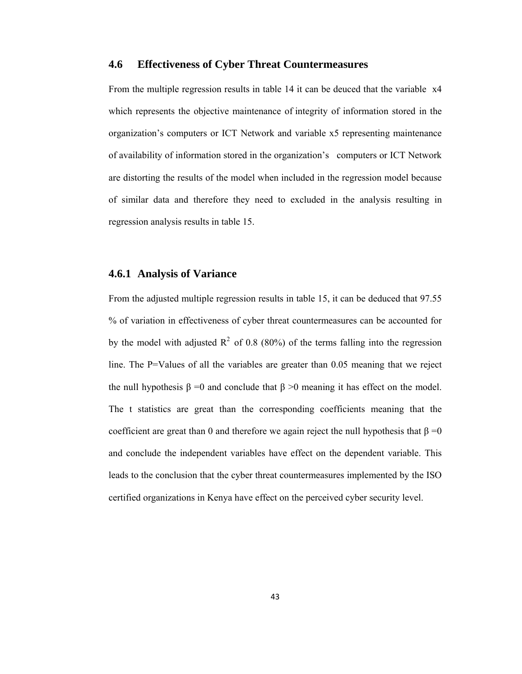# **4.6 Effectiveness of Cyber Threat Countermeasures**

From the multiple regression results in table 14 it can be deuced that the variable x4 which represents the objective maintenance of integrity of information stored in the organization's computers or ICT Network and variable x5 representing maintenance of availability of information stored in the organization's computers or ICT Network are distorting the results of the model when included in the regression model because of similar data and therefore they need to excluded in the analysis resulting in regression analysis results in table 15.

# **4.6.1 Analysis of Variance**

From the adjusted multiple regression results in table 15, it can be deduced that 97.55 % of variation in effectiveness of cyber threat countermeasures can be accounted for by the model with adjusted  $R^2$  of 0.8 (80%) of the terms falling into the regression line. The P=Values of all the variables are greater than 0.05 meaning that we reject the null hypothesis  $\beta = 0$  and conclude that  $\beta > 0$  meaning it has effect on the model. The t statistics are great than the corresponding coefficients meaning that the coefficient are great than 0 and therefore we again reject the null hypothesis that  $\beta = 0$ and conclude the independent variables have effect on the dependent variable. This leads to the conclusion that the cyber threat countermeasures implemented by the ISO certified organizations in Kenya have effect on the perceived cyber security level.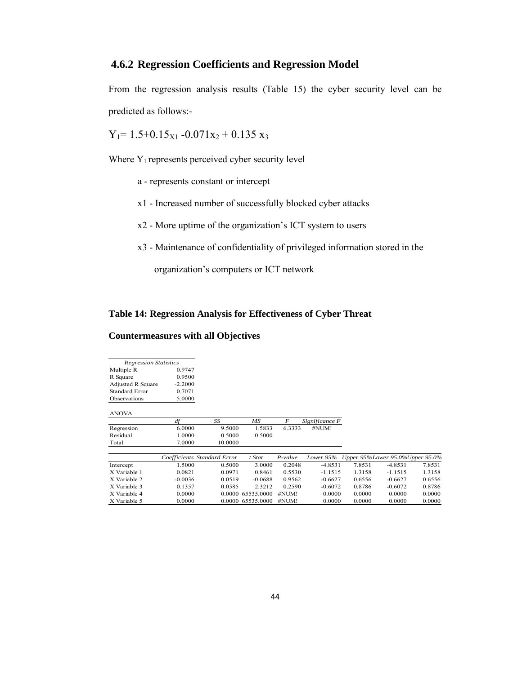# **4.6.2 Regression Coefficients and Regression Model**

From the regression analysis results (Table 15) the cyber security level can be predicted as follows:-

$$
Y_1 = 1.5 + 0.15_{X1} - 0.071x_2 + 0.135x_3
$$

Where  $Y_1$  represents perceived cyber security level

- a represents constant or intercept
- x1 Increased number of successfully blocked cyber attacks
- x2 More uptime of the organization's ICT system to users
- x3 Maintenance of confidentiality of privileged information stored in the

organization's computers or ICT network

# **Table 14: Regression Analysis for Effectiveness of Cyber Threat**

#### **Countermeasures with all Objectives**

| <b>Regression Statistics</b> |           |  |  |  |  |  |
|------------------------------|-----------|--|--|--|--|--|
| Multiple R                   | 0.9747    |  |  |  |  |  |
| R Square                     | 0.9500    |  |  |  |  |  |
| Adjusted R Square            | $-2.2000$ |  |  |  |  |  |
| <b>Standard Error</b>        | 0.7071    |  |  |  |  |  |
| Observations                 | 5.0000    |  |  |  |  |  |

ANOVA

|            |        | SS      | ΜS     |        | Significance F |
|------------|--------|---------|--------|--------|----------------|
| Regression | 6.0000 | 9.5000  | 1.5833 | 6.3333 | #NUM!          |
| Residual   | 1.0000 | 0.5000  | 0.5000 |        |                |
| Total      | 7.0000 | 10.0000 |        |        |                |

|              |           | Coefficients Standard Error | t Stat            | $P-value$ | Lower 95% |        | Upper 95%Lower 95.0%Upper 95.0% |        |
|--------------|-----------|-----------------------------|-------------------|-----------|-----------|--------|---------------------------------|--------|
| Intercept    | .5000     | 0.5000                      | 3.0000            | 0.2048    | $-4.8531$ | 7.8531 | $-4.8531$                       | 7.8531 |
| X Variable 1 | 0.0821    | 0.0971                      | 0.8461            | 0.5530    | $-1.1515$ | 1.3158 | $-1.1515$                       | 1.3158 |
| X Variable 2 | $-0.0036$ | 0.0519                      | $-0.0688$         | 0.9562    | $-0.6627$ | 0.6556 | $-0.6627$                       | 0.6556 |
| X Variable 3 | 0.1357    | 0.0585                      | 2 3 2 1 2         | 0.2590    | $-0.6072$ | 0.8786 | $-0.6072$                       | 0.8786 |
| X Variable 4 | 0.0000    |                             | 0.0000 65535 0000 | #NI IM!   | 0.0000    | 0.0000 | 0.0000                          | 0.0000 |
| X Variable 5 | 0.0000    |                             | 0.0000 65535,0000 | #NUM!     | 0.0000    | 0.0000 | 0.0000                          | 0.0000 |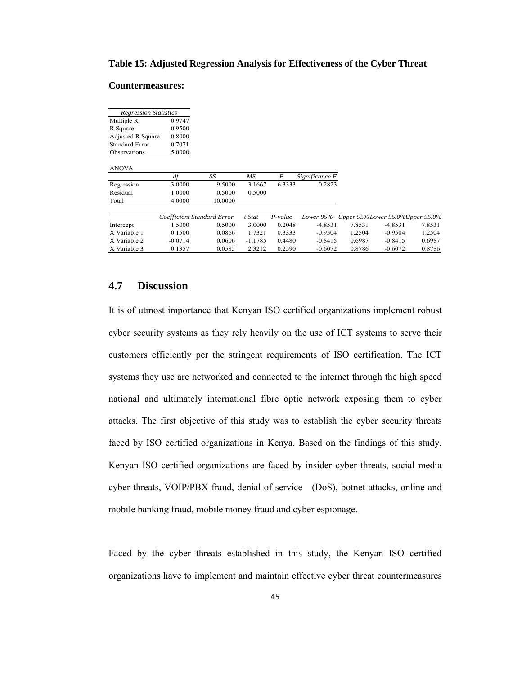#### **Table 15: Adjusted Regression Analysis for Effectiveness of the Cyber Threat**

#### **Countermeasures:**

| <b>Regression Statistics</b> |        |  |  |  |  |  |
|------------------------------|--------|--|--|--|--|--|
| Multiple R                   | 0.9747 |  |  |  |  |  |
| R Square                     | 0.9500 |  |  |  |  |  |
| <b>Adjusted R Square</b>     | 0.8000 |  |  |  |  |  |
| <b>Standard Error</b>        | 0.7071 |  |  |  |  |  |
| Observations                 | 5.0000 |  |  |  |  |  |
|                              |        |  |  |  |  |  |

ANOVA

| ANOVA      |        |         |        |        |                |
|------------|--------|---------|--------|--------|----------------|
|            |        | SS      | МS     |        | Significance F |
| Regression | 3.0000 | 9.5000  | 3.1667 | 6.3333 | 0.2823         |
| Residual   | 1.0000 | 0.5000  | 0.5000 |        |                |
| Total      | 4.0000 | 10.0000 |        |        |                |
|            |        |         |        |        |                |

|              | Coefficient Standard Error |        | t Stat    | P-value |           | Lower 95% Upper 95%Lower 95.0%Upper 95.0% |           |        |
|--------------|----------------------------|--------|-----------|---------|-----------|-------------------------------------------|-----------|--------|
| Intercept    | .5000                      | 0.5000 | 3.0000    | 0.2048  | $-4.8531$ | 7.8531                                    | $-4.8531$ | 7.8531 |
| X Variable 1 | 0.1500                     | 0.0866 | .7321     | 0.3333  | $-0.9504$ | 1.2504                                    | $-0.9504$ | 1.2504 |
| X Variable 2 | $-0.0714$                  | 0.0606 | $-1.1785$ | 0.4480  | $-0.8415$ | 0.6987                                    | $-0.8415$ | 0.6987 |
| X Variable 3 | 0.1357                     | 0.0585 | 2.3212    | 0.2590  | $-0.6072$ | 0.8786                                    | $-0.6072$ | 0.8786 |

# **4.7 Discussion**

It is of utmost importance that Kenyan ISO certified organizations implement robust cyber security systems as they rely heavily on the use of ICT systems to serve their customers efficiently per the stringent requirements of ISO certification. The ICT systems they use are networked and connected to the internet through the high speed national and ultimately international fibre optic network exposing them to cyber attacks. The first objective of this study was to establish the cyber security threats faced by ISO certified organizations in Kenya. Based on the findings of this study, Kenyan ISO certified organizations are faced by insider cyber threats, social media cyber threats, VOIP/PBX fraud, denial of service (DoS), botnet attacks, online and mobile banking fraud, mobile money fraud and cyber espionage.

Faced by the cyber threats established in this study, the Kenyan ISO certified organizations have to implement and maintain effective cyber threat countermeasures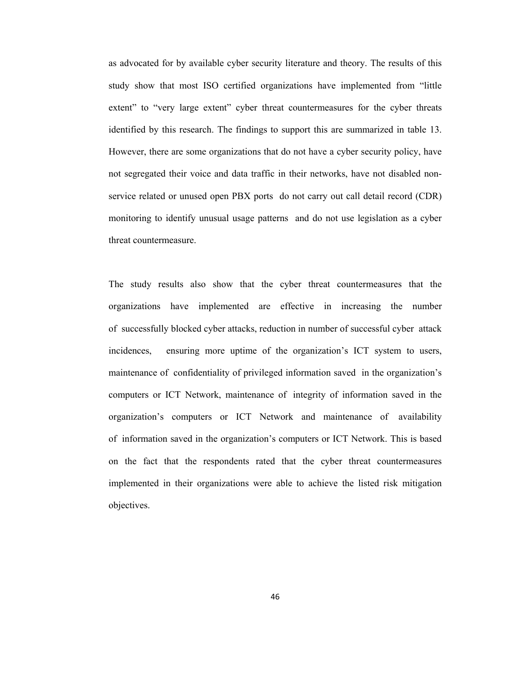as advocated for by available cyber security literature and theory. The results of this study show that most ISO certified organizations have implemented from "little extent" to "very large extent" cyber threat countermeasures for the cyber threats identified by this research. The findings to support this are summarized in table 13. However, there are some organizations that do not have a cyber security policy, have not segregated their voice and data traffic in their networks, have not disabled nonservice related or unused open PBX ports do not carry out call detail record (CDR) monitoring to identify unusual usage patterns and do not use legislation as a cyber threat countermeasure.

The study results also show that the cyber threat countermeasures that the organizations have implemented are effective in increasing the number of successfully blocked cyber attacks, reduction in number of successful cyber attack incidences, ensuring more uptime of the organization's ICT system to users, maintenance of confidentiality of privileged information saved in the organization's computers or ICT Network, maintenance of integrity of information saved in the organization's computers or ICT Network and maintenance of availability of information saved in the organization's computers or ICT Network. This is based on the fact that the respondents rated that the cyber threat countermeasures implemented in their organizations were able to achieve the listed risk mitigation objectives.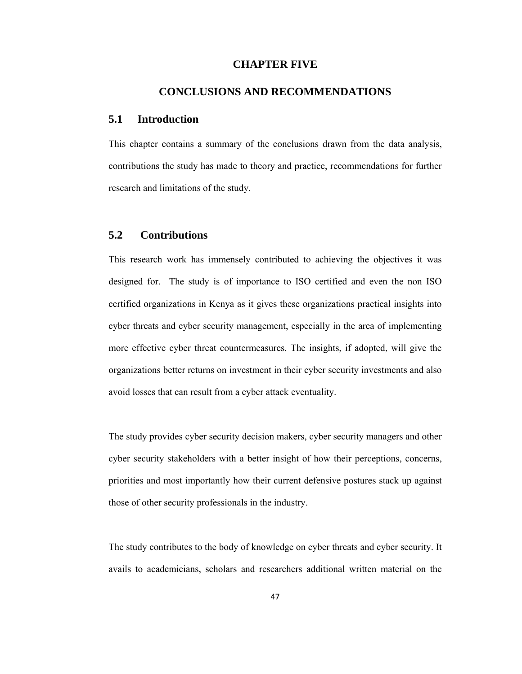#### **CHAPTER FIVE**

# **CONCLUSIONS AND RECOMMENDATIONS**

# **5.1 Introduction**

This chapter contains a summary of the conclusions drawn from the data analysis, contributions the study has made to theory and practice, recommendations for further research and limitations of the study.

# **5.2 Contributions**

This research work has immensely contributed to achieving the objectives it was designed for. The study is of importance to ISO certified and even the non ISO certified organizations in Kenya as it gives these organizations practical insights into cyber threats and cyber security management, especially in the area of implementing more effective cyber threat countermeasures. The insights, if adopted, will give the organizations better returns on investment in their cyber security investments and also avoid losses that can result from a cyber attack eventuality.

The study provides cyber security decision makers, cyber security managers and other cyber security stakeholders with a better insight of how their perceptions, concerns, priorities and most importantly how their current defensive postures stack up against those of other security professionals in the industry.

The study contributes to the body of knowledge on cyber threats and cyber security. It avails to academicians, scholars and researchers additional written material on the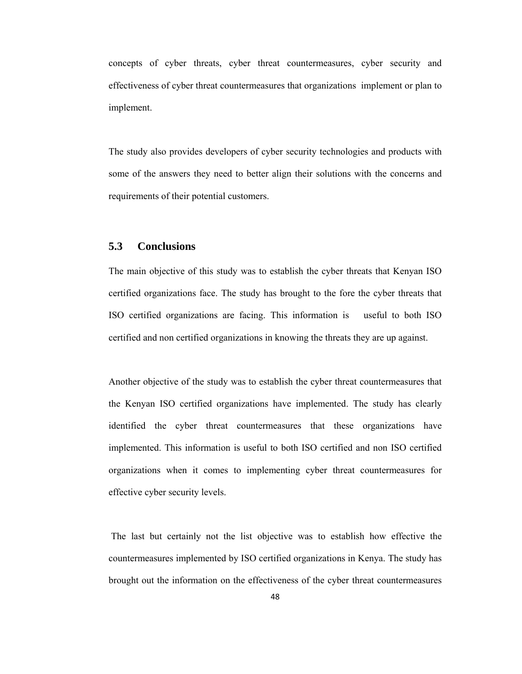concepts of cyber threats, cyber threat countermeasures, cyber security and effectiveness of cyber threat countermeasures that organizations implement or plan to implement.

The study also provides developers of cyber security technologies and products with some of the answers they need to better align their solutions with the concerns and requirements of their potential customers.

# **5.3 Conclusions**

The main objective of this study was to establish the cyber threats that Kenyan ISO certified organizations face. The study has brought to the fore the cyber threats that ISO certified organizations are facing. This information is useful to both ISO certified and non certified organizations in knowing the threats they are up against.

Another objective of the study was to establish the cyber threat countermeasures that the Kenyan ISO certified organizations have implemented. The study has clearly identified the cyber threat countermeasures that these organizations have implemented. This information is useful to both ISO certified and non ISO certified organizations when it comes to implementing cyber threat countermeasures for effective cyber security levels.

 The last but certainly not the list objective was to establish how effective the countermeasures implemented by ISO certified organizations in Kenya. The study has brought out the information on the effectiveness of the cyber threat countermeasures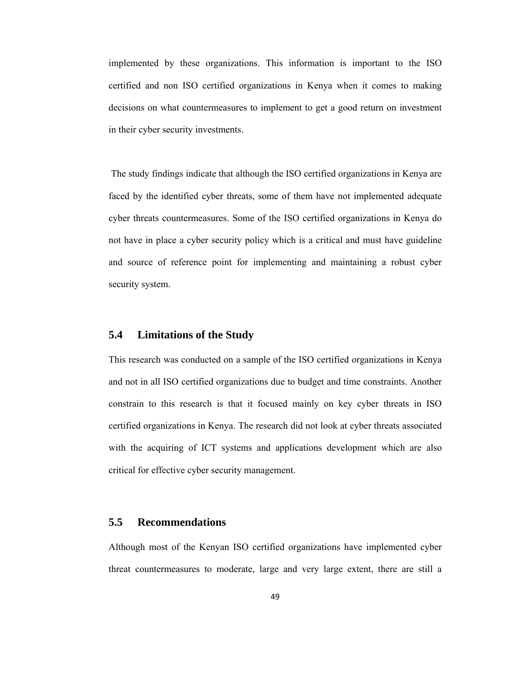implemented by these organizations. This information is important to the ISO certified and non ISO certified organizations in Kenya when it comes to making decisions on what countermeasures to implement to get a good return on investment in their cyber security investments.

 The study findings indicate that although the ISO certified organizations in Kenya are faced by the identified cyber threats, some of them have not implemented adequate cyber threats countermeasures. Some of the ISO certified organizations in Kenya do not have in place a cyber security policy which is a critical and must have guideline and source of reference point for implementing and maintaining a robust cyber security system.

## **5.4 Limitations of the Study**

This research was conducted on a sample of the ISO certified organizations in Kenya and not in all ISO certified organizations due to budget and time constraints. Another constrain to this research is that it focused mainly on key cyber threats in ISO certified organizations in Kenya. The research did not look at cyber threats associated with the acquiring of ICT systems and applications development which are also critical for effective cyber security management.

# **5.5 Recommendations**

Although most of the Kenyan ISO certified organizations have implemented cyber threat countermeasures to moderate, large and very large extent, there are still a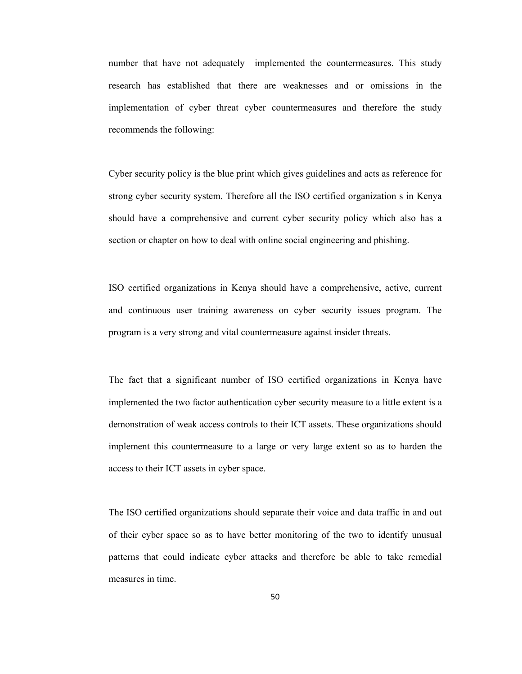number that have not adequately implemented the countermeasures. This study research has established that there are weaknesses and or omissions in the implementation of cyber threat cyber countermeasures and therefore the study recommends the following:

Cyber security policy is the blue print which gives guidelines and acts as reference for strong cyber security system. Therefore all the ISO certified organization s in Kenya should have a comprehensive and current cyber security policy which also has a section or chapter on how to deal with online social engineering and phishing.

ISO certified organizations in Kenya should have a comprehensive, active, current and continuous user training awareness on cyber security issues program. The program is a very strong and vital countermeasure against insider threats.

The fact that a significant number of ISO certified organizations in Kenya have implemented the two factor authentication cyber security measure to a little extent is a demonstration of weak access controls to their ICT assets. These organizations should implement this countermeasure to a large or very large extent so as to harden the access to their ICT assets in cyber space.

The ISO certified organizations should separate their voice and data traffic in and out of their cyber space so as to have better monitoring of the two to identify unusual patterns that could indicate cyber attacks and therefore be able to take remedial measures in time.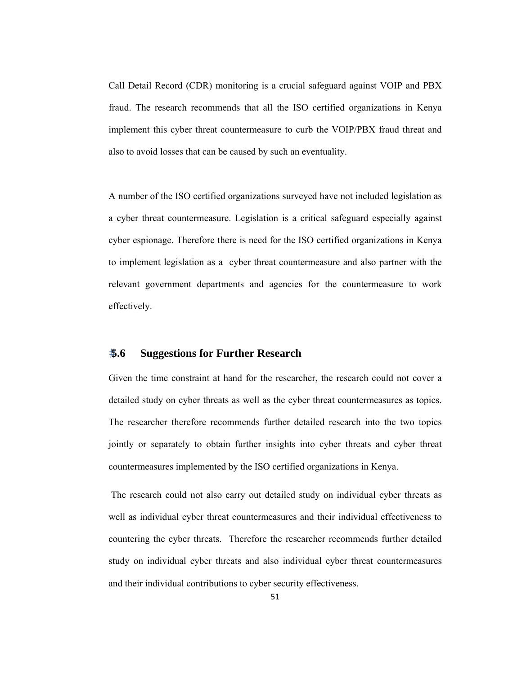Call Detail Record (CDR) monitoring is a crucial safeguard against VOIP and PBX fraud. The research recommends that all the ISO certified organizations in Kenya implement this cyber threat countermeasure to curb the VOIP/PBX fraud threat and also to avoid losses that can be caused by such an eventuality.

A number of the ISO certified organizations surveyed have not included legislation as a cyber threat countermeasure. Legislation is a critical safeguard especially against cyber espionage. Therefore there is need for the ISO certified organizations in Kenya to implement legislation as a cyber threat countermeasure and also partner with the relevant government departments and agencies for the countermeasure to work effectively.

# **5.6 Suggestions for Further Research**

Given the time constraint at hand for the researcher, the research could not cover a detailed study on cyber threats as well as the cyber threat countermeasures as topics. The researcher therefore recommends further detailed research into the two topics jointly or separately to obtain further insights into cyber threats and cyber threat countermeasures implemented by the ISO certified organizations in Kenya.

 The research could not also carry out detailed study on individual cyber threats as well as individual cyber threat countermeasures and their individual effectiveness to countering the cyber threats. Therefore the researcher recommends further detailed study on individual cyber threats and also individual cyber threat countermeasures and their individual contributions to cyber security effectiveness.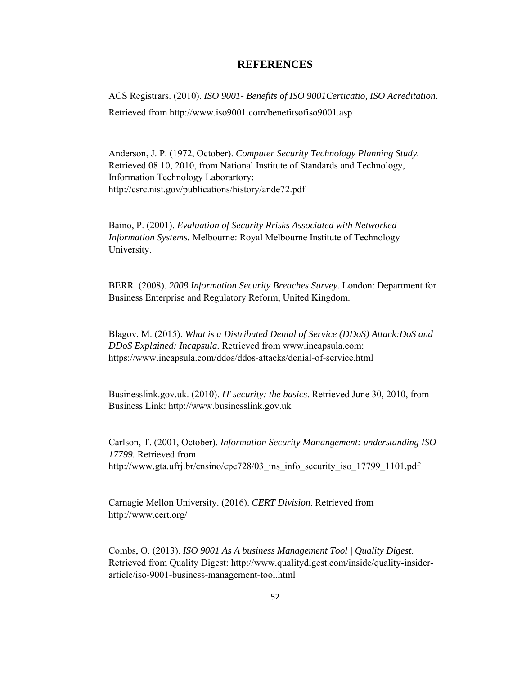#### **REFERENCES**

ACS Registrars. (2010). *ISO 9001- Benefits of ISO 9001Certicatio, ISO Acreditation*. Retrieved from http://www.iso9001.com/benefitsofiso9001.asp

Anderson, J. P. (1972, October). *Computer Security Technology Planning Study.* Retrieved 08 10, 2010, from National Institute of Standards and Technology, Information Technology Laborartory: http://csrc.nist.gov/publications/history/ande72.pdf

Baino, P. (2001). *Evaluation of Security Rrisks Associated with Networked Information Systems.* Melbourne: Royal Melbourne Institute of Technology University.

BERR. (2008). *2008 Information Security Breaches Survey.* London: Department for Business Enterprise and Regulatory Reform, United Kingdom.

Blagov, M. (2015). *What is a Distributed Denial of Service (DDoS) Attack:DoS and DDoS Explained: Incapsula*. Retrieved from www.incapsula.com: https://www.incapsula.com/ddos/ddos-attacks/denial-of-service.html

Businesslink.gov.uk. (2010). *IT security: the basics*. Retrieved June 30, 2010, from Business Link: http://www.businesslink.gov.uk

Carlson, T. (2001, October). *Information Security Manangement: understanding ISO 17799.* Retrieved from http://www.gta.ufrj.br/ensino/cpe728/03 ins info\_security\_iso\_17799\_1101.pdf

Carnagie Mellon University. (2016). *CERT Division*. Retrieved from http://www.cert.org/

Combs, O. (2013). *ISO 9001 As A business Management Tool | Quality Digest*. Retrieved from Quality Digest: http://www.qualitydigest.com/inside/quality-insiderarticle/iso-9001-business-management-tool.html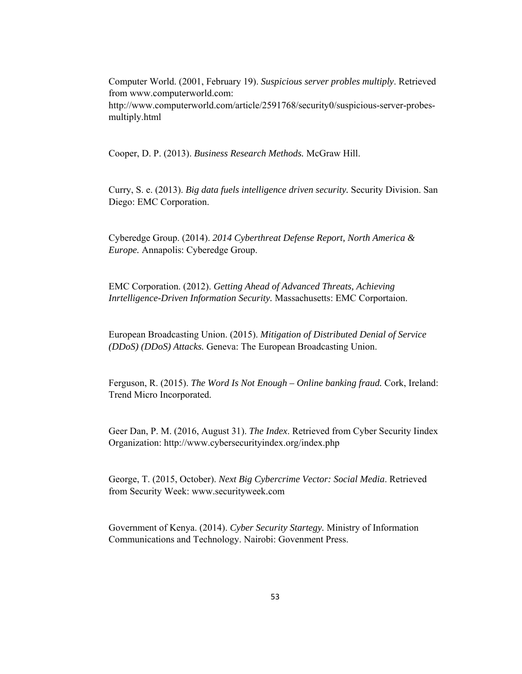Computer World. (2001, February 19). *Suspicious server probles multiply*. Retrieved from www.computerworld.com:

http://www.computerworld.com/article/2591768/security0/suspicious-server-probesmultiply.html

Cooper, D. P. (2013). *Business Research Methods.* McGraw Hill.

Curry, S. e. (2013). *Big data fuels intelligence driven security.* Security Division. San Diego: EMC Corporation.

Cyberedge Group. (2014). *2014 Cyberthreat Defense Report, North America & Europe.* Annapolis: Cyberedge Group.

EMC Corporation. (2012). *Getting Ahead of Advanced Threats, Achieving Inrtelligence-Driven Information Security.* Massachusetts: EMC Corportaion.

European Broadcasting Union. (2015). *Mitigation of Distributed Denial of Service (DDoS) (DDoS) Attacks.* Geneva: The European Broadcasting Union.

Ferguson, R. (2015). *The Word Is Not Enough – Online banking fraud.* Cork, Ireland: Trend Micro Incorporated.

Geer Dan, P. M. (2016, August 31). *The Index*. Retrieved from Cyber Security Iindex Organization: http://www.cybersecurityindex.org/index.php

George, T. (2015, October). *Next Big Cybercrime Vector: Social Media*. Retrieved from Security Week: www.securityweek.com

Government of Kenya. (2014). *Cyber Security Startegy.* Ministry of Information Communications and Technology. Nairobi: Govenment Press.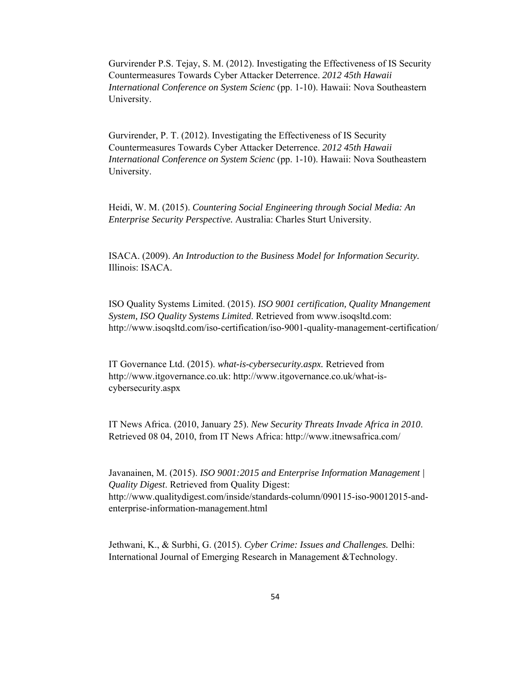Gurvirender P.S. Tejay, S. M. (2012). Investigating the Effectiveness of IS Security Countermeasures Towards Cyber Attacker Deterrence. *2012 45th Hawaii International Conference on System Scienc* (pp. 1-10). Hawaii: Nova Southeastern University.

Gurvirender, P. T. (2012). Investigating the Effectiveness of IS Security Countermeasures Towards Cyber Attacker Deterrence. *2012 45th Hawaii International Conference on System Scienc* (pp. 1-10). Hawaii: Nova Southeastern University.

Heidi, W. M. (2015). *Countering Social Engineering through Social Media: An Enterprise Security Perspective.* Australia: Charles Sturt University.

ISACA. (2009). *An Introduction to the Business Model for Information Security.* Illinois: ISACA.

ISO Quality Systems Limited. (2015). *ISO 9001 certification, Quality Mnangement System, ISO Quality Systems Limited*. Retrieved from www.isoqsltd.com: http://www.isoqsltd.com/iso-certification/iso-9001-quality-management-certification/

IT Governance Ltd. (2015). *what-is-cybersecurity.aspx.* Retrieved from http://www.itgovernance.co.uk: http://www.itgovernance.co.uk/what-iscybersecurity.aspx

IT News Africa. (2010, January 25). *New Security Threats Invade Africa in 2010*. Retrieved 08 04, 2010, from IT News Africa: http://www.itnewsafrica.com/

Javanainen, M. (2015). *ISO 9001:2015 and Enterprise Information Management | Quality Digest*. Retrieved from Quality Digest: http://www.qualitydigest.com/inside/standards-column/090115-iso-90012015-andenterprise-information-management.html

Jethwani, K., & Surbhi, G. (2015). *Cyber Crime: Issues and Challenges.* Delhi: International Journal of Emerging Research in Management &Technology.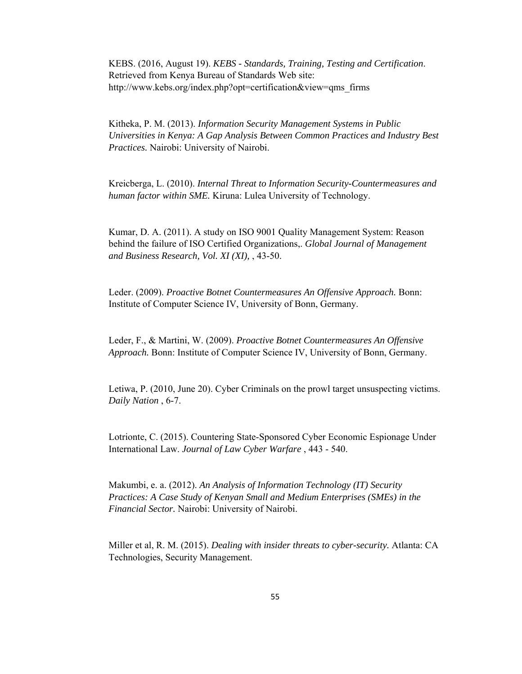KEBS. (2016, August 19). *KEBS - Standards, Training, Testing and Certification*. Retrieved from Kenya Bureau of Standards Web site: http://www.kebs.org/index.php?opt=certification&view=qms\_firms

Kitheka, P. M. (2013). *Information Security Management Systems in Public Universities in Kenya: A Gap Analysis Between Common Practices and Industry Best Practices.* Nairobi: University of Nairobi.

Kreicberga, L. (2010). *Internal Threat to Information Security-Countermeasures and human factor within SME.* Kiruna: Lulea University of Technology.

Kumar, D. A. (2011). A study on ISO 9001 Quality Management System: Reason behind the failure of ISO Certified Organizations,. *Global Journal of Management and Business Research, Vol. XI (XI),* , 43-50.

Leder. (2009). *Proactive Botnet Countermeasures An Offensive Approach.* Bonn: Institute of Computer Science IV, University of Bonn, Germany.

Leder, F., & Martini, W. (2009). *Proactive Botnet Countermeasures An Offensive Approach.* Bonn: Institute of Computer Science IV, University of Bonn, Germany.

Letiwa, P. (2010, June 20). Cyber Criminals on the prowl target unsuspecting victims. *Daily Nation* , 6-7.

Lotrionte, C. (2015). Countering State-Sponsored Cyber Economic Espionage Under International Law. *Journal of Law Cyber Warfare* , 443 - 540.

Makumbi, e. a. (2012). *An Analysis of Information Technology (IT) Security Practices: A Case Study of Kenyan Small and Medium Enterprises (SMEs) in the Financial Sector.* Nairobi: University of Nairobi.

Miller et al, R. M. (2015). *Dealing with insider threats to cyber-security.* Atlanta: CA Technologies, Security Management.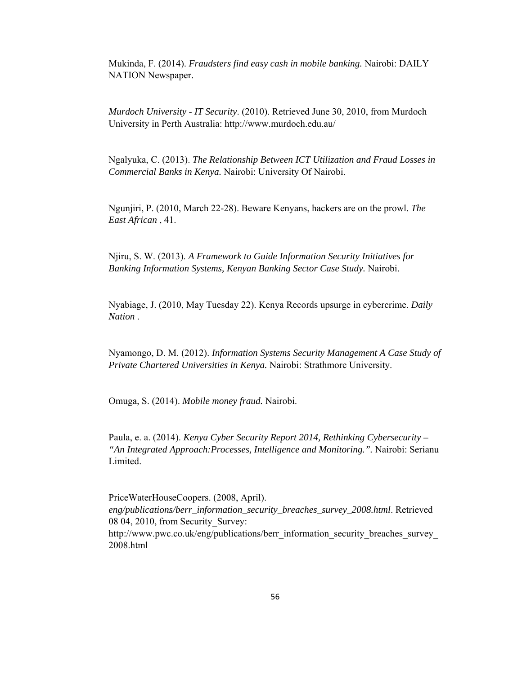Mukinda, F. (2014). *Fraudsters find easy cash in mobile banking.* Nairobi: DAILY NATION Newspaper.

*Murdoch University - IT Security*. (2010). Retrieved June 30, 2010, from Murdoch University in Perth Australia: http://www.murdoch.edu.au/

Ngalyuka, C. (2013). *The Relationship Between ICT Utilization and Fraud Losses in Commercial Banks in Kenya.* Nairobi: University Of Nairobi.

Ngunjiri, P. (2010, March 22-28). Beware Kenyans, hackers are on the prowl. *The East African* , 41.

Njiru, S. W. (2013). *A Framework to Guide Information Security Initiatives for Banking Information Systems, Kenyan Banking Sector Case Study.* Nairobi.

Nyabiage, J. (2010, May Tuesday 22). Kenya Records upsurge in cybercrime. *Daily Nation* .

Nyamongo, D. M. (2012). *Information Systems Security Management A Case Study of Private Chartered Universities in Kenya.* Nairobi: Strathmore University.

Omuga, S. (2014). *Mobile money fraud.* Nairobi.

Paula, e. a. (2014). *Kenya Cyber Security Report 2014, Rethinking Cybersecurity – "An Integrated Approach:Processes, Intelligence and Monitoring.".* Nairobi: Serianu Limited.

PriceWaterHouseCoopers. (2008, April). *eng/publications/berr\_information\_security\_breaches\_survey\_2008.html*. Retrieved 08 04, 2010, from Security Survey: http://www.pwc.co.uk/eng/publications/berr\_information\_security\_breaches\_survey\_ 2008.html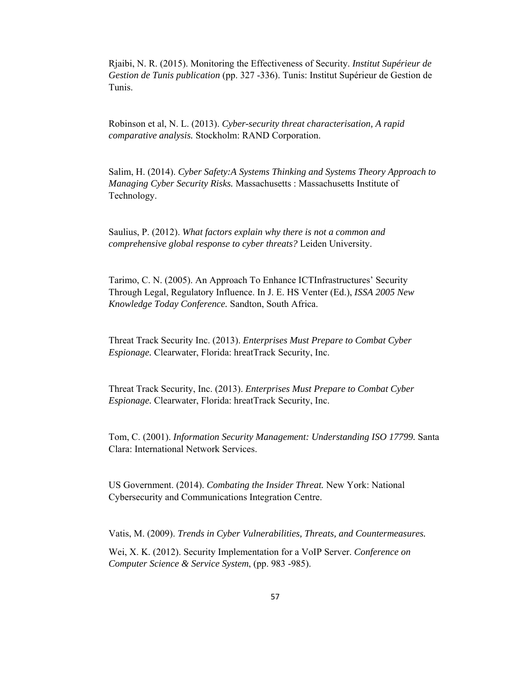Rjaibi, N. R. (2015). Monitoring the Effectiveness of Security. *Institut Supérieur de Gestion de Tunis publication* (pp. 327 -336). Tunis: Institut Supérieur de Gestion de Tunis.

Robinson et al, N. L. (2013). *Cyber-security threat characterisation, A rapid comparative analysis.* Stockholm: RAND Corporation.

Salim, H. (2014). *Cyber Safety:A Systems Thinking and Systems Theory Approach to Managing Cyber Security Risks.* Massachusetts : Massachusetts Institute of Technology.

Saulius, P. (2012). *What factors explain why there is not a common and comprehensive global response to cyber threats?* Leiden University.

Tarimo, C. N. (2005). An Approach To Enhance ICTInfrastructures' Security Through Legal, Regulatory Influence. In J. E. HS Venter (Ed.), *ISSA 2005 New Knowledge Today Conference.* Sandton, South Africa.

Threat Track Security Inc. (2013). *Enterprises Must Prepare to Combat Cyber Espionage.* Clearwater, Florida: hreatTrack Security, Inc.

Threat Track Security, Inc. (2013). *Enterprises Must Prepare to Combat Cyber Espionage.* Clearwater, Florida: hreatTrack Security, Inc.

Tom, C. (2001). *Information Security Management: Understanding ISO 17799.* Santa Clara: International Network Services.

US Government. (2014). *Combating the Insider Threat.* New York: National Cybersecurity and Communications Integration Centre.

Vatis, M. (2009). *Trends in Cyber Vulnerabilities, Threats, and Countermeasures.*

Wei, X. K. (2012). Security Implementation for a VoIP Server. *Conference on Computer Science & Service System*, (pp. 983 -985).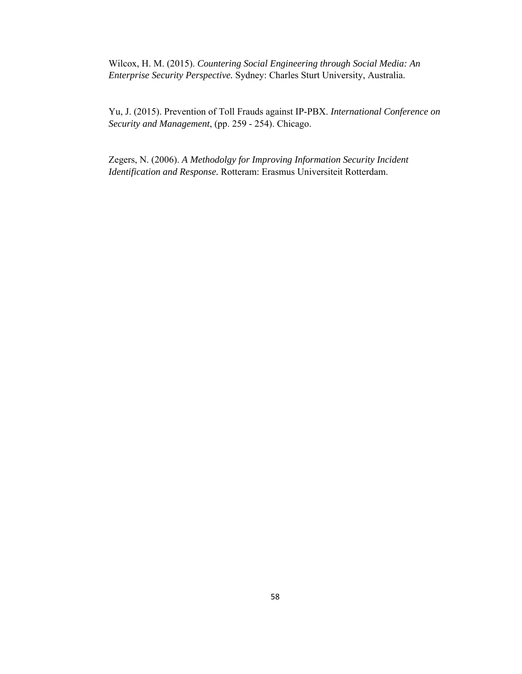Wilcox, H. M. (2015). *Countering Social Engineering through Social Media: An Enterprise Security Perspective.* Sydney: Charles Sturt University, Australia.

Yu, J. (2015). Prevention of Toll Frauds against IP-PBX. *International Conference on Security and Management*, (pp. 259 - 254). Chicago.

Zegers, N. (2006). *A Methodolgy for Improving Information Security Incident Identification and Response.* Rotteram: Erasmus Universiteit Rotterdam.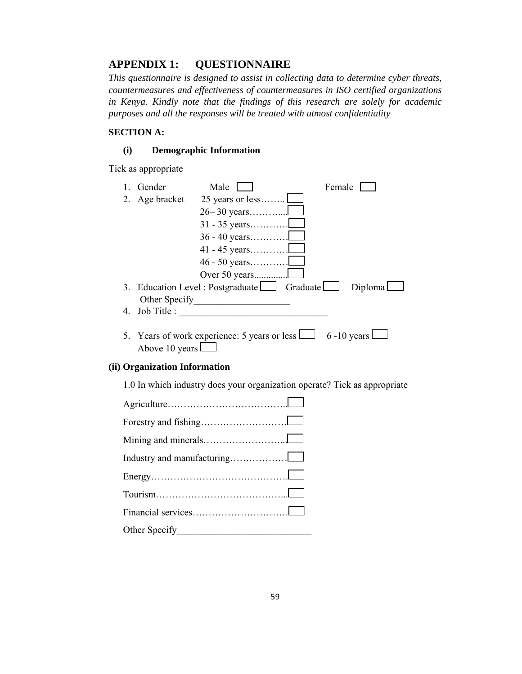# **APPENDIX 1: QUESTIONNAIRE**

*This questionnaire is designed to assist in collecting data to determine cyber threats, countermeasures and effectiveness of countermeasures in ISO certified organizations in Kenya. Kindly note that the findings of this research are solely for academic purposes and all the responses will be treated with utmost confidentiality* 

# **SECTION A:**

## **(i) Demographic Information**

Tick as appropriate

| $\mathbf{1}$ | Gender                        | Male I                                                                    | Female  |
|--------------|-------------------------------|---------------------------------------------------------------------------|---------|
|              |                               | 2. Age bracket $25$ years or less                                         |         |
|              |                               |                                                                           |         |
|              |                               |                                                                           |         |
|              |                               | $36 - 40$ years                                                           |         |
|              |                               | 41 - 45 years                                                             |         |
|              |                               | 46 - 50 years                                                             |         |
|              |                               |                                                                           |         |
| 3.           |                               | Education Level : Postgraduate $\Box$ Graduate $\Box$                     | Diploma |
|              |                               |                                                                           |         |
| 4.           |                               |                                                                           |         |
|              | Above 10 years                | 5. Years of work experience: 5 years or less $\Box$ 6-10 years $\Box$     |         |
|              | (ii) Organization Information |                                                                           |         |
|              |                               | 1.0 In which industry does your organization operate? Tick as appropriate |         |
|              |                               |                                                                           |         |
|              |                               |                                                                           |         |
|              |                               |                                                                           |         |
|              |                               | Industry and manufacturing                                                |         |
|              |                               |                                                                           |         |
|              |                               |                                                                           |         |
|              |                               |                                                                           |         |
|              | Other Specify                 |                                                                           |         |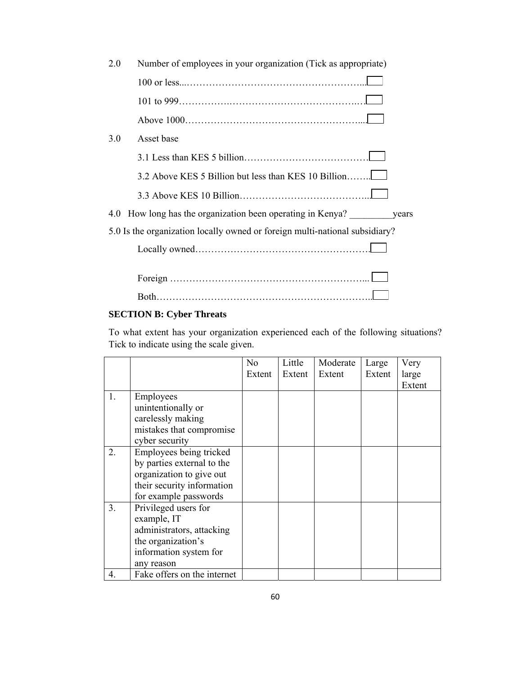| 2.0 | Number of employees in your organization (Tick as appropriate)              |
|-----|-----------------------------------------------------------------------------|
|     |                                                                             |
|     |                                                                             |
|     |                                                                             |
| 3.0 | Asset base                                                                  |
|     |                                                                             |
|     | 3.2 Above KES 5 Billion but less than KES 10 Billion                        |
|     |                                                                             |
|     | 4.0 How long has the organization been operating in Kenya?<br>vears         |
|     | 5.0 Is the organization locally owned or foreign multi-national subsidiary? |
|     |                                                                             |
|     |                                                                             |
|     |                                                                             |
|     |                                                                             |

# **SECTION B: Cyber Threats**

To what extent has your organization experienced each of the following situations? Tick to indicate using the scale given.

|    |                             | N <sub>0</sub> | Little | Moderate | Large  | Very   |
|----|-----------------------------|----------------|--------|----------|--------|--------|
|    |                             | Extent         | Extent | Extent   | Extent | large  |
|    |                             |                |        |          |        | Extent |
| 1. | Employees                   |                |        |          |        |        |
|    | unintentionally or          |                |        |          |        |        |
|    | carelessly making           |                |        |          |        |        |
|    | mistakes that compromise    |                |        |          |        |        |
|    | cyber security              |                |        |          |        |        |
| 2. | Employees being tricked     |                |        |          |        |        |
|    | by parties external to the  |                |        |          |        |        |
|    | organization to give out    |                |        |          |        |        |
|    | their security information  |                |        |          |        |        |
|    | for example passwords       |                |        |          |        |        |
| 3. | Privileged users for        |                |        |          |        |        |
|    | example, IT                 |                |        |          |        |        |
|    | administrators, attacking   |                |        |          |        |        |
|    | the organization's          |                |        |          |        |        |
|    | information system for      |                |        |          |        |        |
|    | any reason                  |                |        |          |        |        |
| 4. | Fake offers on the internet |                |        |          |        |        |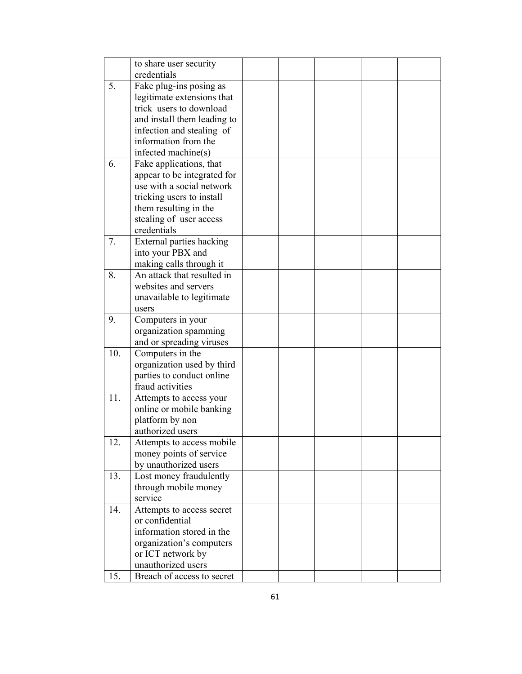|     | to share user security<br>credentials                 |  |  |  |
|-----|-------------------------------------------------------|--|--|--|
| 5.  |                                                       |  |  |  |
|     | Fake plug-ins posing as<br>legitimate extensions that |  |  |  |
|     | trick users to download                               |  |  |  |
|     | and install them leading to                           |  |  |  |
|     |                                                       |  |  |  |
|     | infection and stealing of<br>information from the     |  |  |  |
|     | infected machine(s)                                   |  |  |  |
| 6.  | Fake applications, that                               |  |  |  |
|     | appear to be integrated for                           |  |  |  |
|     | use with a social network                             |  |  |  |
|     | tricking users to install                             |  |  |  |
|     | them resulting in the                                 |  |  |  |
|     | stealing of user access                               |  |  |  |
|     | credentials                                           |  |  |  |
| 7.  | External parties hacking                              |  |  |  |
|     | into your PBX and                                     |  |  |  |
|     | making calls through it                               |  |  |  |
| 8.  | An attack that resulted in                            |  |  |  |
|     | websites and servers                                  |  |  |  |
|     | unavailable to legitimate                             |  |  |  |
|     | users                                                 |  |  |  |
| 9.  | Computers in your                                     |  |  |  |
|     | organization spamming                                 |  |  |  |
|     | and or spreading viruses                              |  |  |  |
| 10. | Computers in the                                      |  |  |  |
|     | organization used by third                            |  |  |  |
|     | parties to conduct online                             |  |  |  |
|     | fraud activities                                      |  |  |  |
| 11. | Attempts to access your                               |  |  |  |
|     | online or mobile banking                              |  |  |  |
|     | platform by non                                       |  |  |  |
|     | authorized users                                      |  |  |  |
| 12. | Attempts to access mobile                             |  |  |  |
|     | money points of service                               |  |  |  |
|     | by unauthorized users                                 |  |  |  |
| 13. | Lost money fraudulently                               |  |  |  |
|     | through mobile money                                  |  |  |  |
|     | service                                               |  |  |  |
| 14. | Attempts to access secret                             |  |  |  |
|     | or confidential                                       |  |  |  |
|     | information stored in the                             |  |  |  |
|     | organization's computers                              |  |  |  |
|     | or ICT network by                                     |  |  |  |
|     | unauthorized users                                    |  |  |  |
| 15. | Breach of access to secret                            |  |  |  |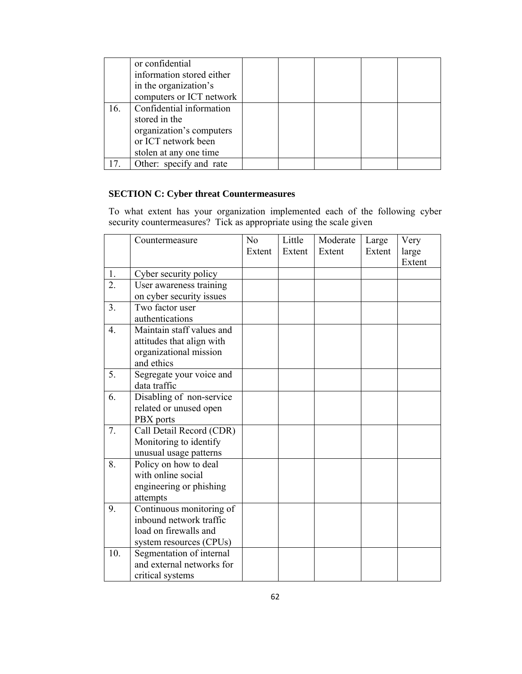|     | or confidential           |  |  |  |
|-----|---------------------------|--|--|--|
|     | information stored either |  |  |  |
|     | in the organization's     |  |  |  |
|     | computers or ICT network  |  |  |  |
| 16. | Confidential information  |  |  |  |
|     | stored in the             |  |  |  |
|     | organization's computers  |  |  |  |
|     | or ICT network been       |  |  |  |
|     | stolen at any one time    |  |  |  |
|     | Other: specify and rate   |  |  |  |

# **SECTION C: Cyber threat Countermeasures**

To what extent has your organization implemented each of the following cyber security countermeasures? Tick as appropriate using the scale given

|                  | Countermeasure            | N <sub>0</sub> | Little | Moderate | Large  | Very   |
|------------------|---------------------------|----------------|--------|----------|--------|--------|
|                  |                           | Extent         | Extent | Extent   | Extent | large  |
|                  |                           |                |        |          |        | Extent |
| 1.               | Cyber security policy     |                |        |          |        |        |
| 2.               | User awareness training   |                |        |          |        |        |
|                  | on cyber security issues  |                |        |          |        |        |
| 3.               | Two factor user           |                |        |          |        |        |
|                  | authentications           |                |        |          |        |        |
| $\overline{4}$ . | Maintain staff values and |                |        |          |        |        |
|                  | attitudes that align with |                |        |          |        |        |
|                  | organizational mission    |                |        |          |        |        |
|                  | and ethics                |                |        |          |        |        |
| 5.               | Segregate your voice and  |                |        |          |        |        |
|                  | data traffic              |                |        |          |        |        |
| 6.               | Disabling of non-service  |                |        |          |        |        |
|                  | related or unused open    |                |        |          |        |        |
|                  | PBX ports                 |                |        |          |        |        |
| 7.               | Call Detail Record (CDR)  |                |        |          |        |        |
|                  | Monitoring to identify    |                |        |          |        |        |
|                  | unusual usage patterns    |                |        |          |        |        |
| 8.               | Policy on how to deal     |                |        |          |        |        |
|                  | with online social        |                |        |          |        |        |
|                  | engineering or phishing   |                |        |          |        |        |
|                  | attempts                  |                |        |          |        |        |
| 9.               | Continuous monitoring of  |                |        |          |        |        |
|                  | inbound network traffic   |                |        |          |        |        |
|                  | load on firewalls and     |                |        |          |        |        |
|                  | system resources (CPUs)   |                |        |          |        |        |
| 10.              | Segmentation of internal  |                |        |          |        |        |
|                  | and external networks for |                |        |          |        |        |
|                  | critical systems          |                |        |          |        |        |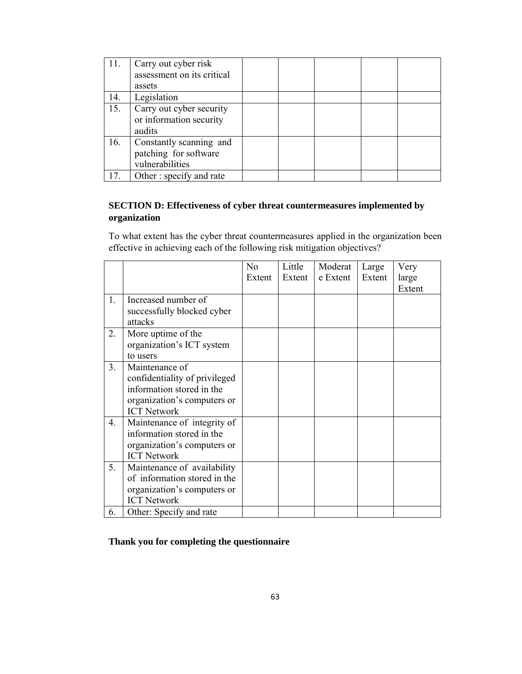| 11. | Carry out cyber risk<br>assessment on its critical<br>assets        |  |  |  |
|-----|---------------------------------------------------------------------|--|--|--|
| 14. | Legislation                                                         |  |  |  |
| 15. | Carry out cyber security<br>or information security<br>audits       |  |  |  |
| 16. | Constantly scanning and<br>patching for software<br>vulnerabilities |  |  |  |
| 17. | Other: specify and rate                                             |  |  |  |

## **SECTION D: Effectiveness of cyber threat countermeasures implemented by organization**

To what extent has the cyber threat countermeasures applied in the organization been effective in achieving each of the following risk mitigation objectives?

|                |                               | No     | Little | Moderat  | Large  | Very   |
|----------------|-------------------------------|--------|--------|----------|--------|--------|
|                |                               | Extent | Extent | e Extent | Extent | large  |
|                |                               |        |        |          |        | Extent |
| 1.             | Increased number of           |        |        |          |        |        |
|                | successfully blocked cyber    |        |        |          |        |        |
|                | attacks                       |        |        |          |        |        |
| 2.             | More uptime of the            |        |        |          |        |        |
|                | organization's ICT system     |        |        |          |        |        |
|                | to users                      |        |        |          |        |        |
| 3 <sub>1</sub> | Maintenance of                |        |        |          |        |        |
|                | confidentiality of privileged |        |        |          |        |        |
|                | information stored in the     |        |        |          |        |        |
|                | organization's computers or   |        |        |          |        |        |
|                | <b>ICT Network</b>            |        |        |          |        |        |
| 4.             | Maintenance of integrity of   |        |        |          |        |        |
|                | information stored in the     |        |        |          |        |        |
|                | organization's computers or   |        |        |          |        |        |
|                | <b>ICT Network</b>            |        |        |          |        |        |
| 5.             | Maintenance of availability   |        |        |          |        |        |
|                | of information stored in the  |        |        |          |        |        |
|                | organization's computers or   |        |        |          |        |        |
|                | <b>ICT Network</b>            |        |        |          |        |        |
| 6.             | Other: Specify and rate       |        |        |          |        |        |

## **Thank you for completing the questionnaire**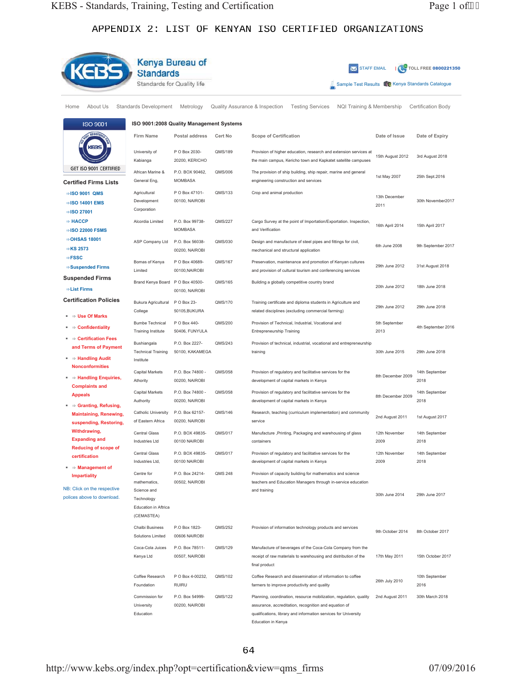| EBS                                                                                          | <b>Standards</b>                                                | <b>Kenya Bureau of</b>                   |                    | <b>XXI</b> STAFF EMAIL                                                                                                                                                                                               |                       | <b>TOLL FREE 0800221350</b>                      |
|----------------------------------------------------------------------------------------------|-----------------------------------------------------------------|------------------------------------------|--------------------|----------------------------------------------------------------------------------------------------------------------------------------------------------------------------------------------------------------------|-----------------------|--------------------------------------------------|
|                                                                                              | Standards for Quality life                                      |                                          |                    |                                                                                                                                                                                                                      |                       | Sample Test Results UC Kenya Standards Catalogue |
| About Us<br>Home                                                                             | <b>Standards Development</b>                                    | Metrology                                |                    | Quality Assurance & Inspection<br><b>Testing Services</b><br>NQI Training & Membership                                                                                                                               |                       | <b>Certification Body</b>                        |
| <b>ISO 9001</b>                                                                              |                                                                 | ISO 9001:2008 Quality Management Systems |                    |                                                                                                                                                                                                                      |                       |                                                  |
|                                                                                              | Firm Name<br>University of                                      | Postal address<br>P O Box 2030-          | Cert No<br>QMS/189 | <b>Scope of Certification</b><br>Provision of higher education, research and extension services at                                                                                                                   | Date of Issue         | Date of Expiry                                   |
|                                                                                              | Kabianga                                                        | 20200, KERICHO                           |                    | the main campus, Kericho town and Kapkatet satellite campuses                                                                                                                                                        | 15th August 2012      | 3rd August 2018                                  |
| GET ISO 9001 CERTIFIED                                                                       | African Marine &<br>General Eng,                                | P.O. BOX 90462,<br><b>MOMBASA</b>        | QMS/006            | The provision of ship building, ship repair, marine and general<br>engineering construction and services                                                                                                             | 1st May 2007          | 25th Sept.2016                                   |
| <b>Certified Firms Lists</b><br>$\Rightarrow$ ISO 9001 QMS                                   | Agricultural                                                    | P O Box 47101-                           | QMS/133            | Crop and animal production                                                                                                                                                                                           |                       |                                                  |
| ⇒ISO 14001 EMS<br>$\Rightarrow$ ISO 27001                                                    | Development<br>Corporation                                      | 00100, NAIROBI                           |                    |                                                                                                                                                                                                                      | 13th December<br>2011 | 30th November2017                                |
| $\Rightarrow$ HACCP<br>$\Rightarrow$ ISO 22000 FSMS                                          | Alcordia Limited                                                | P.O. Box 99738-<br><b>MOMBASA</b>        | QMS/227            | Cargo Survey at the point of Importation/Exportation. Inspection,<br>and Verification                                                                                                                                | 16th April 2014       | 15th April 2017                                  |
| $\Rightarrow$ OHSAS 18001<br>$\Rightarrow$ KS 2573                                           | ASP Company Ltd                                                 | P.O. Box 56038-<br>00200, NAIROBI        | QMS/030            | Design and manufacture of steel pipes and fittings for civil,<br>mechanical and structural application                                                                                                               | 6th June 2008         | 9th September 2017                               |
| $\Rightarrow$ FSSC<br>$\Rightarrow$ Suspended Firms                                          | Bomas of Kenya<br>Limited                                       | P O Box 40689-<br>00100, NAIROBI         | QMS/167            | Preservation, maintenance and promotion of Kenyan cultures<br>and provision of cultural tourism and conferencing services                                                                                            | 29th June 2012        | 31st August 2018                                 |
| <b>Suspended Firms</b><br>⇒List Firms                                                        | Brand Kenya Board P O Box 40500-                                | 00100, NAIROBI                           | QMS/165            | Building a globally competitive country brand                                                                                                                                                                        | 20th June 2012        | 18th June 2018                                   |
| <b>Certification Policies</b>                                                                | Bukura Agricultural<br>College                                  | P O Box 23-<br>50105, BUKURA             | QMS/170            | Training certificate and diploma students in Agriculture and<br>related disciplines (excluding commercial farming)                                                                                                   | 29th June 2012        | 29th June 2018                                   |
| $\Rightarrow$ Use Of Marks<br>$\Rightarrow$ Confidentiality                                  | <b>Bumbe Technical</b>                                          | P O Box 440-                             | QMS/200            | Provision of Technical, Industrial, Vocational and                                                                                                                                                                   | 5th September         | 4th September 2016                               |
| $\blacksquare \Rightarrow$ Certification Fees                                                | Training Institute<br>Bushiangala                               | 50406, FUNYULA<br>P.O. Box 2227-         | QMS/243            | Entrepreneurship Training<br>Provision of technical, industrial, vocational and entrepreneurship                                                                                                                     | 2013                  |                                                  |
| and Terms of Payment<br>$\blacksquare \Rightarrow$ Handling Audit                            | <b>Technical Training</b><br>Institute                          | 50100, KAKAMEGA                          |                    | training                                                                                                                                                                                                             | 30th June 2015        | 29th June 2018                                   |
| <b>Nonconformities</b><br>$\Rightarrow$ Handling Enquiries,                                  | <b>Capital Markets</b><br>Athority                              | P.O. Box 74800 -<br>00200, NAIROBI       | QMS/058            | Provision of regulatory and facilitative services for the<br>development of capital markets in Kenya                                                                                                                 | 8th December 2009     | 14th September<br>2018                           |
| <b>Complaints and</b><br><b>Appeals</b>                                                      | Capital Markets<br>Authority                                    | P.O. Box 74800 -<br>00200, NAIROBI       | QMS/058            | Provision of regulatory and facilitative services for the<br>development of capital markets in Kenya                                                                                                                 | 8th December 2009     | 14th September<br>2018                           |
| $\Rightarrow$ Granting, Refusing,<br><b>Maintaining, Renewing,</b><br>suspending, Restoring, | Catholic University<br>of Eastern Africa                        | P.O. Box 62157-<br>00200, NAIROBI        | QMS/146            | Research, teaching (curriculum implementation) and community<br>service                                                                                                                                              | 2nd August 2011       | 1st August 2017                                  |
| Withdrawing,<br><b>Expanding and</b>                                                         | Central Glass<br>Industries Ltd                                 | P.O. BOX 49835-<br>00100 NAIROBI         | QMS/017            | Manufacture, Printing, Packaging and warehousing of glass<br>containers                                                                                                                                              | 12th November<br>2009 | 14th September<br>2018                           |
| <b>Reducing of scope of</b><br>certification                                                 | Central Glass<br>Industries Ltd,                                | P.O. BOX 49835-<br>00100 NAIROBI         | QMS/017            | Provision of regulatory and facilitative services for the                                                                                                                                                            | 12th November<br>2009 | 14th September<br>2018                           |
| $\Rightarrow$ Management of<br><b>Impartiality</b>                                           | Centre for<br>mathematics,                                      | P.O. Box 24214-<br>00502, NAIROBI        | <b>QMS 248</b>     | development of capital markets in Kenya<br>Provision of capacity building for mathematics and science<br>teachers and Education Managers through in-service education                                                |                       |                                                  |
| NB: Click on the respective<br>polices above to download.                                    | Science and<br>Technology<br>Education in Aftrica<br>(CEMASTEA) |                                          |                    | and training                                                                                                                                                                                                         | 30th June 2014        | 29th June 2017                                   |
|                                                                                              | Chalbi Business<br>Solutions Limited                            | P.O Box 1823-<br>00606 NAIROBI           | QMS/252            | Provision of information technology products and services                                                                                                                                                            | 9th October 2014      | 8th October 2017                                 |
|                                                                                              | Coca-Cola Juices<br>Kenya Ltd                                   | P.O. Box 78511-<br>00507, NAIROBI        | QMS/129            | Manufacture of beverages of the Coca-Cola Company from the<br>receipt of raw materials to warehousing and distribution of the<br>final product                                                                       | 17th May 2011         | 15th October 2017                                |
|                                                                                              | Coffee Research<br>Foundation                                   | P O Box 4-00232,<br><b>RUIRU</b>         | QMS/102            | Coffee Research and dissemination of information to coffee<br>farmers to improve productivity and quality                                                                                                            | 26th July 2010        | 10th September<br>2016                           |
|                                                                                              | Commission for<br>University<br>Education                       | P.O. Box 54999-<br>00200, NAIROBI        | QMS/122            | Planning, coordination, resource mobilization, regulation, quality<br>assurance, accreditation, recognition and equation of<br>qualifications, library and information services for University<br>Education in Kenya | 2nd August 2011       | 30th March 2018                                  |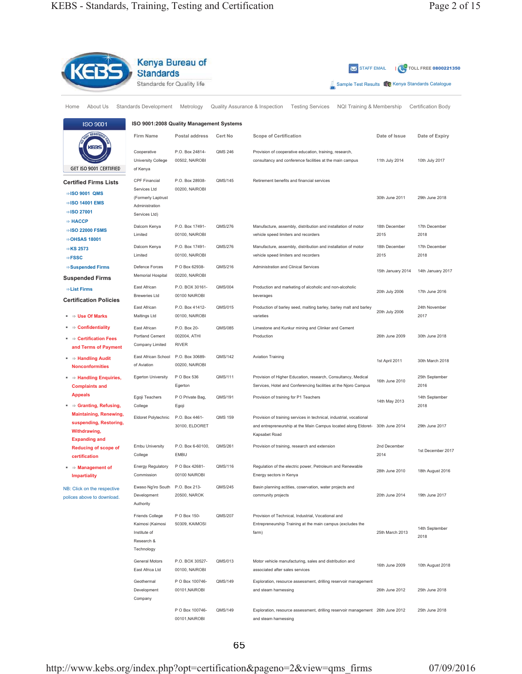|                                                                                                        | Kenya Bureau of<br><b>Standards</b><br>Standards for Quality life                             |                                              |                                | <b>XX</b> STAFF EMAIL                                                                                                                                                 | Sample Test Results UC Kenya Standards Catalogue | TOLL FREE 0800221350      |
|--------------------------------------------------------------------------------------------------------|-----------------------------------------------------------------------------------------------|----------------------------------------------|--------------------------------|-----------------------------------------------------------------------------------------------------------------------------------------------------------------------|--------------------------------------------------|---------------------------|
|                                                                                                        |                                                                                               |                                              |                                |                                                                                                                                                                       |                                                  |                           |
| Home<br>About Us                                                                                       | <b>Standards Development</b>                                                                  | Metrology                                    | Quality Assurance & Inspection | <b>Testing Services</b><br>NQI Training & Membership                                                                                                                  |                                                  | <b>Certification Body</b> |
| <b>ISO 9001</b>                                                                                        | ISO 9001:2008 Quality Management Systems                                                      |                                              |                                |                                                                                                                                                                       |                                                  |                           |
|                                                                                                        | <b>Firm Name</b>                                                                              | Postal address                               | Cert No                        | <b>Scope of Certification</b>                                                                                                                                         | Date of Issue                                    | Date of Expiry            |
| GET ISO 9001 CERTIFIED                                                                                 | Cooperative<br>University College<br>of Kenya                                                 | P.O. Box 24814-<br>00502, NAIROBI            | QMS 246                        | Provision of cooperative education, training, research,<br>consultancy and conference facilities at the main campus                                                   | 11th July 2014                                   | 10th July 2017            |
| Certified Firms Lists<br>$\Rightarrow$ ISO 9001 QMS<br>⇒ISO 14001 EMS<br>$\Rightarrow$ ISO 27001       | <b>CPF Financial</b><br>Services Ltd<br>(Formerly Laptrust<br>Administration<br>Services Ltd) | P.O. Box 28938-<br>00200, NAIROBI            | QMS/145                        | Retirement benefits and financial services                                                                                                                            | 30th June 2011                                   | 29th June 2018            |
| $\Rightarrow$ HACCP<br>$\Rightarrow$ ISO 22000 FSMS                                                    | Dalcom Kenya<br>Limited                                                                       | P.O. Box 17491-<br>00100, NAIROBI            | QMS/276                        | Manufacture, assembly, distribution and installation of motor<br>vehicle speed limiters and recorders                                                                 | 18th December<br>2015                            | 17th December<br>2018     |
| $\Rightarrow$ OHSAS 18001<br>$\Rightarrow$ KS 2573<br>$\Rightarrow$ FSSC                               | Dalcom Kenya<br>Limited                                                                       | P.O. Box 17491-<br>00100, NAIROBI            | QMS/276                        | Manufacture, assembly, distribution and installation of motor<br>vehicle speed limiters and recorders                                                                 | 18th December<br>2015                            | 17th December<br>2018     |
| $\Rightarrow$ Suspended Firms<br><b>Suspended Firms</b>                                                | Defence Forces<br>Memorial Hospital                                                           | P O Box 62938-<br>00200, NAIROBI             | QMS/216                        | Administration and Clinical Services                                                                                                                                  | 15th January 2014                                | 14th January 2017         |
| $\Rightarrow$ List Firms                                                                               | East African<br><b>Breweries Ltd</b>                                                          | P.O. BOX 30161-<br>00100 NAIROBI             | QMS/004                        | Production and marketing of alcoholic and non-alcoholic<br>beverages                                                                                                  | 20th July 2006                                   | 17th June 2016            |
| <b>Certification Policies</b><br>$\Rightarrow$ Use Of Marks                                            | East African<br>Maltings Ltd                                                                  | P.O. Box 41412-<br>00100, NAIROBI            | QMS/015                        | Production of barley seed, malting barley, barley malt and barley<br>varieties                                                                                        | 20th July 2006                                   | 24th November<br>2017     |
| $\Rightarrow$ Confidentiality<br>$\blacksquare \Rightarrow$ Certification Fees<br>and Terms of Payment | East African<br>Portland Cement<br>Company Limited                                            | P.O. Box 20-<br>002004, ATHI<br><b>RIVER</b> | QMS/085                        | Limestone and Kunkur mining and Clinker and Cement<br>Production                                                                                                      | 26th June 2009                                   | 30th June 2018            |
| $\Rightarrow$ Handling Audit<br><b>Nonconformities</b>                                                 | East African School<br>of Aviation                                                            | P.O. Box 30689-<br>00200, NAIROBI            | QMS/142                        | <b>Aviation Training</b>                                                                                                                                              | 1st April 2011                                   | 30th March 2018           |
| $\Rightarrow$ Handling Enquiries,<br><b>Complaints and</b>                                             | <b>Egerton University</b>                                                                     | P O Box 536<br>Egerton                       | QMS/111                        | Provision of Higher Education, research, Consultancy, Medical<br>Services, Hotel and Conferencing facilities at the Njoro Campus                                      | 16th June 2010                                   | 25th September<br>2016    |
| <b>Appeals</b><br>$\Rightarrow$ Granting, Refusing,                                                    | Egoji Teachers<br>College                                                                     | P O Private Bag,<br>Egoji                    | QMS/191                        | Provision of training for P1 Teachers                                                                                                                                 | 14th May 2013                                    | 14th September<br>2018    |
| <b>Maintaining, Renewing,</b><br>suspending, Restoring,<br><b>Withdrawing,</b><br><b>Expanding and</b> | Eldoret Polytechnic                                                                           | P.O. Box 4461-<br>30100, ELDORET             | <b>QMS 159</b>                 | Provision of training services in technical, industrial, vocational<br>and entrepreneurship at the Main Campus located along Eldoret- 30th June 2014<br>Kapsabet Road |                                                  | 29th June 2017            |
| <b>Reducing of scope of</b><br>certification                                                           | Embu University<br>College                                                                    | P.O. Box 6-60100,<br><b>EMBU</b>             | QMS/261                        | Provision of training, research and extension                                                                                                                         | 2nd December<br>2014                             | 1st December 2017         |
| $\Rightarrow$ Management of<br><b>Impartiality</b>                                                     | Energy Regulatory<br>Commission                                                               | P O Box 42681-<br>00100 NAIROBI              | QMS/116                        | Regulation of the electric power, Petroleum and Renewable<br>Energy sectors in Kenya                                                                                  | 28th June 2010                                   | 18th August 2016          |
| NB: Click on the respective<br>polices above to download.                                              | Ewaso Ng'iro South<br>Development<br>Authority                                                | P.O. Box 213-<br>20500, NAROK                | QMS/245                        | Basin planning actities, coservation, water projects and<br>community projects                                                                                        | 20th June 2014                                   | 19th June 2017            |
|                                                                                                        | Friends College<br>Kaimosi (Kaimosi<br>Institute of<br>Research &<br>Technology               | P O Box 150-<br>50309, KAIMOSI               | QMS/207                        | Provision of Technical, Industrial, Vocational and<br>Entrepreneurship Training at the main campus (excludes the<br>farm)                                             | 25th March 2013                                  | 14th September<br>2018    |
|                                                                                                        | General Motors<br>East Africa Ltd                                                             | P.O. BOX 30527-<br>00100, NAIROBI            | QMS/013                        | Motor vehicle manufacturing, sales and distribution and<br>associated after sales services                                                                            | 16th June 2009                                   | 10th August 2018          |
|                                                                                                        | Geothermal<br>Development<br>Company                                                          | P O Box 100746-<br>00101, NAIROBI            | QMS/149                        | Exploration, resource assessment, drilling reservoir management<br>and steam harnessing                                                                               | 26th June 2012                                   | 25th June 2018            |
|                                                                                                        |                                                                                               | P O Box 100746-<br>00101, NAIROBI            | QMS/149                        | Exploration, resource assessment, drilling reservoir management 26th June 2012<br>and steam harnessing                                                                |                                                  | 25th June 2018            |

http://www.kebs.org/index.php?opt=certification&pageno=2&view=qms\_firms 07/09/2016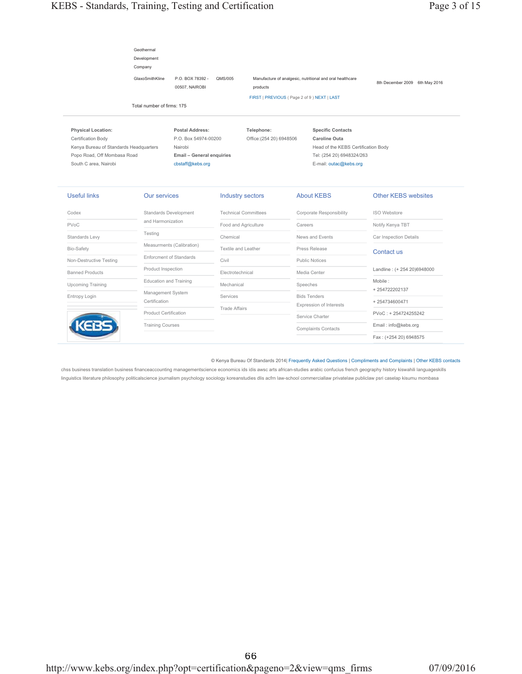|                                                                                                                                                   | Development<br>Company<br>GlaxoSmithKline<br>Total number of firms: 175 | P.O. BOX 78392 -<br>00507, NAIROBI                                                                  | QMS/005                                             | products<br>FIRST   PREVIOUS (Page 2 of 9) NEXT   LAST |          | Manufacture of analgesic, nutritional and oral healthcare                                                                                      | 8th December 2009 6th May 2016 |
|---------------------------------------------------------------------------------------------------------------------------------------------------|-------------------------------------------------------------------------|-----------------------------------------------------------------------------------------------------|-----------------------------------------------------|--------------------------------------------------------|----------|------------------------------------------------------------------------------------------------------------------------------------------------|--------------------------------|
| <b>Physical Location:</b><br>Certification Body<br>Kenya Bureau of Standards Headquarters<br>Popo Road, Off Mombasa Road<br>South C area, Nairobi |                                                                         | Postal Address:<br>P.O. Box 54974-00200<br>Nairobi<br>Email - General enquiries<br>cbstaff@kebs.org |                                                     | Telephone:<br>Office: (254 20) 6948506                 |          | <b>Specific Contacts</b><br><b>Caroline Outa</b><br>Head of the KEBS Certification Body<br>Tel: (254 20) 6948324/263<br>E-mail: outac@kebs.org |                                |
| <b>Useful links</b>                                                                                                                               | <b>Our services</b>                                                     |                                                                                                     |                                                     | <b>Industry sectors</b>                                |          | <b>About KEBS</b>                                                                                                                              | <b>Other KEBS websites</b>     |
| Codex                                                                                                                                             |                                                                         | Standards Development                                                                               | <b>Technical Committees</b><br>Food and Agriculture |                                                        |          | <b>Corporate Responsibility</b>                                                                                                                | <b>ISO Webstore</b>            |
| <b>PVoC</b>                                                                                                                                       | and Harmonization                                                       |                                                                                                     |                                                     |                                                        | Careers  |                                                                                                                                                | Notify Kenya TBT               |
| Standards Levy                                                                                                                                    | Testing                                                                 |                                                                                                     | Chemical                                            |                                                        |          | News and Events                                                                                                                                | Car Inspection Details         |
| Bio-Safety                                                                                                                                        |                                                                         | Measurments (Calibration)                                                                           | <b>Textile and Leather</b>                          |                                                        |          | Press Release                                                                                                                                  | Contact us                     |
| Non-Destructive Testing                                                                                                                           |                                                                         | <b>Enforcment of Standards</b>                                                                      | Civil                                               |                                                        |          | <b>Public Notices</b>                                                                                                                          |                                |
| <b>Banned Products</b>                                                                                                                            | Product Inspection                                                      |                                                                                                     | Electrotechnical                                    |                                                        |          | Media Center                                                                                                                                   | Landline: (+ 254 20)6948000    |
| <b>Upcoming Training</b>                                                                                                                          |                                                                         | <b>Education and Training</b>                                                                       | Mechanical                                          |                                                        | Speeches |                                                                                                                                                | Mobile:                        |
| Entropy Login                                                                                                                                     | Management System                                                       |                                                                                                     | Services                                            |                                                        |          | <b>Bids Tenders</b>                                                                                                                            | +254722202137                  |
|                                                                                                                                                   | Certification                                                           |                                                                                                     | <b>Trade Affairs</b>                                |                                                        |          | Expression of Interests                                                                                                                        | +254734600471                  |
|                                                                                                                                                   | <b>Product Certification</b>                                            |                                                                                                     |                                                     |                                                        |          | Service Charter                                                                                                                                | PVoC: +254724255242            |
|                                                                                                                                                   | <b>Training Courses</b>                                                 |                                                                                                     |                                                     |                                                        |          | <b>Complaints Contacts</b>                                                                                                                     | Email: info@kebs.org           |
|                                                                                                                                                   |                                                                         |                                                                                                     |                                                     |                                                        |          |                                                                                                                                                | Fax: (+254 20) 6948575         |

© Kenya Bureau Of Standards 2014| Frequently Asked Questions | Compliments and Complaints | Other KEBS contacts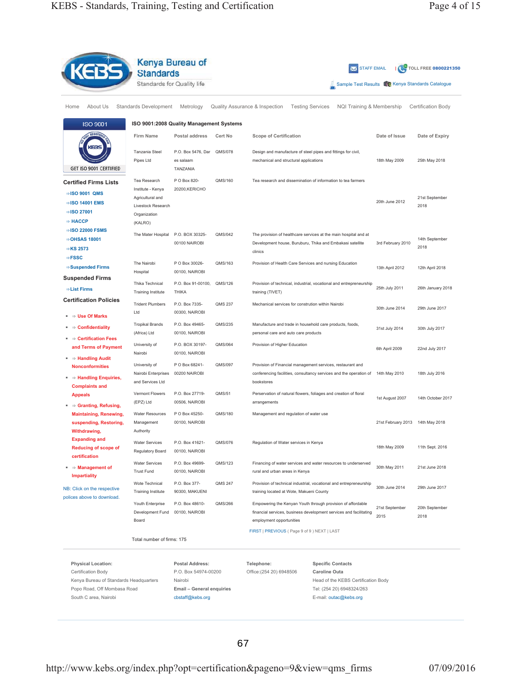|                                                                                                                                                   | <b>Standards</b>                                                                       | Kenya Bureau of                                                                                                   |                |                                                                                                         | <b>XX</b> STAFF EMAIL                                                                                                                   |                                                  | TOLL FREE 0800221350      |
|---------------------------------------------------------------------------------------------------------------------------------------------------|----------------------------------------------------------------------------------------|-------------------------------------------------------------------------------------------------------------------|----------------|---------------------------------------------------------------------------------------------------------|-----------------------------------------------------------------------------------------------------------------------------------------|--------------------------------------------------|---------------------------|
|                                                                                                                                                   | Standards for Quality life                                                             |                                                                                                                   |                |                                                                                                         |                                                                                                                                         | Sample Test Results UC Kenya Standards Catalogue |                           |
| About Us<br>Home                                                                                                                                  | <b>Standards Development</b>                                                           | Metrology                                                                                                         |                | Quality Assurance & Inspection                                                                          | <b>Testing Services</b><br>NQI Training & Membership                                                                                    |                                                  | <b>Certification Body</b> |
| <b>ISO 9001</b>                                                                                                                                   |                                                                                        | ISO 9001:2008 Quality Management Systems                                                                          |                |                                                                                                         |                                                                                                                                         |                                                  |                           |
|                                                                                                                                                   | <b>Firm Name</b>                                                                       | Postal address                                                                                                    | <b>Cert No</b> | <b>Scope of Certification</b>                                                                           |                                                                                                                                         | Date of Issue                                    | Date of Expiry            |
| GET ISO 9001 CERTIFIED                                                                                                                            | Tanzania Steel<br>Pipes Ltd                                                            | P.O. Box 5476, Dar<br>es salaam<br>TANZANIA                                                                       | QMS/078        | Design and manufacture of steel pipes and fittings for civil,<br>mechanical and structural applications |                                                                                                                                         | 18th May 2009                                    | 25th May 2018             |
| <b>Certified Firms Lists</b>                                                                                                                      | Tea Research                                                                           | P O Box 820-                                                                                                      | QMS/160        |                                                                                                         | Tea research and dissemination of information to tea farmers                                                                            |                                                  |                           |
| ⇒ISO 9001 QMS<br>$\Rightarrow$ ISO 14001 EMS<br>$\Rightarrow$ ISO 27001<br>$\Rightarrow$ HACCP                                                    | Institute - Kenya<br>Agricultural and<br>Livestock Research<br>Organization<br>(KALRO) | 20200, KERICHO                                                                                                    |                |                                                                                                         |                                                                                                                                         | 20th June 2012                                   | 21st September<br>2018    |
| $\Rightarrow$ ISO 22000 FSMS<br>$\Rightarrow$ OHSAS 18001<br>$\Rightarrow$ KS 2573                                                                | The Mater Hospital                                                                     | P.O. BOX 30325-<br>00100 NAIROBI                                                                                  | QMS/042        | Development house, Buruburu, Thika and Embakasi satellite<br>clinics                                    | The provision of healthcare services at the main hospital and at                                                                        | 3rd February 2010                                | 14th September<br>2018    |
| $\Rightarrow$ FSSC<br>$\Rightarrow$ Suspended Firms                                                                                               | The Nairobi<br>Hospital                                                                | P O Box 30026-<br>00100, NAIROBI                                                                                  | QMS/163        | Provision of Health Care Services and nursing Education                                                 |                                                                                                                                         | 13th April 2012                                  | 12th April 2018           |
| <b>Suspended Firms</b><br>$\Rightarrow$ List Firms                                                                                                | Thika Technical<br><b>Training Institute</b>                                           | P.O. Box 91-00100,<br><b>THIKA</b>                                                                                | QMS/126        | training (TIVET)                                                                                        | Provision of technical, industrial, vocational and entrepreneurship                                                                     | 25th July 2011                                   | 26th January 2018         |
| <b>Certification Policies</b>                                                                                                                     | <b>Trident Plumbers</b><br>Ltd                                                         | P.O. Box 7335-<br>00300, NAIROBI                                                                                  | QMS 237        | Mechanical services for constrution within Nairobi                                                      |                                                                                                                                         | 30th June 2014                                   | 29th June 2017            |
| $\Rightarrow$ Use Of Marks<br>$\Rightarrow$ Confidentiality                                                                                       | <b>Tropikal Brands</b><br>(Africa) Ltd                                                 | P.O. Box 49465-<br>00100, NAIROBI                                                                                 | QMS/235        | Manufacture and trade in household care products, foods,<br>personal care and auto care products        |                                                                                                                                         | 31st July 2014                                   | 30th July 2017            |
| $\Rightarrow$ Certification Fees<br>and Terms of Payment                                                                                          | University of<br>Nairobi                                                               | P.O. BOX 30197-<br>00100, NAIROBI                                                                                 | QMS/064        | Provision of Higher Education                                                                           |                                                                                                                                         | 6th April 2009                                   | 22nd July 2017            |
| $\Rightarrow$ Handling Audit<br><b>Nonconformities</b><br>$\Rightarrow$ Handling Enquiries,<br><b>Complaints and</b>                              | University of<br>Nairobi Enterprises<br>and Services Ltd                               | P O Box 68241-<br>00200 NAIROBI                                                                                   | QMS/097        | Provision of Financial management services, restaurant and<br>bookstores                                | conferencing facilities, consultancy services and the operation of                                                                      | 14th May 2010                                    | 18th July 2016            |
| <b>Appeals</b><br>$\Rightarrow$ Granting, Refusing,                                                                                               | Vermont Flowers<br>(EPZ) Ltd                                                           | P.O. Box 27719-<br>00506, NAIROBI                                                                                 | QMS/51         | arrangements                                                                                            | Perservation of natural flowers, foliages and creation of floral                                                                        | 1st August 2007                                  | 14th October 2017         |
| <b>Maintaining, Renewing,</b><br>suspending, Restoring,<br>Withdrawing,                                                                           | <b>Water Resources</b><br>Management<br>Authority                                      | P O Box 45250-<br>00100, NAIROBI                                                                                  | QMS/180        | Management and regulation of water use                                                                  |                                                                                                                                         | 21st February 2013                               | 14th May 2018             |
| <b>Expanding and</b><br><b>Reducing of scope of</b><br>certification                                                                              | Water Services<br><b>Regulatory Board</b>                                              | P.O. Box 41621-<br>00100, NAIROBI                                                                                 | QMS/076        | Regulation of Water services in Kenya                                                                   |                                                                                                                                         | 18th May 2009                                    | 11th Sept. 2016           |
| $\Rightarrow$ Management of<br><b>Impartiality</b>                                                                                                | <b>Water Services</b><br><b>Trust Fund</b>                                             | P.O. Box 49699-<br>00100, NAIROBI                                                                                 | QMS/123        | rural and urban areas in Kenya                                                                          | Financing of water services and water resources to underserved                                                                          | 30th May 2011                                    | 21st June 2018            |
| NB: Click on the respective                                                                                                                       | Wote Technical<br><b>Training Institute</b>                                            | P.O. Box 377-<br>90300, MAKUENI                                                                                   | <b>QMS 247</b> | training located at Wote, Makueni County                                                                | Provision of technical industrial, vocational and entrepreneurship                                                                      | 30th June 2014                                   | 29th June 2017            |
| polices above to download.                                                                                                                        | Youth Enterprise<br>Development Fund<br>Board                                          | P.O. Box 48610-<br>00100, NAIROBI                                                                                 | QMS/266        | employment opportunities                                                                                | Empowering the Kenyan Youth through provision of affordable<br>financial services, business development services and facilitating       | 21st September<br>2015                           | 20th September<br>2018    |
|                                                                                                                                                   | Total number of firms: 175                                                             |                                                                                                                   |                | FIRST   PREVIOUS ( Page 9 of 9 ) NEXT   LAST                                                            |                                                                                                                                         |                                                  |                           |
| <b>Physical Location:</b><br>Certification Body<br>Kenya Bureau of Standards Headquarters<br>Popo Road, Off Mombasa Road<br>South C area, Nairobi |                                                                                        | <b>Postal Address:</b><br>P.O. Box 54974-00200<br>Nairobi<br><b>Email - General enquiries</b><br>cbstaff@kebs.org |                | Telephone:<br>Office: (254 20) 6948506                                                                  | <b>Specific Contacts</b><br>Caroline Outa<br>Head of the KEBS Certification Body<br>Tel: (254 20) 6948324/263<br>E-mail: outac@kebs.org |                                                  |                           |

http://www.kebs.org/index.php?opt=certification&pageno=9&view=qms\_firms 07/09/2016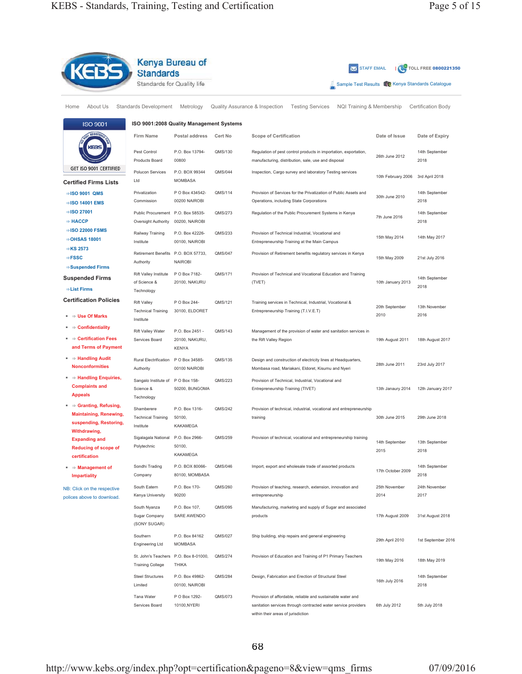|                                                                                                                           | Kenya Bureau of<br><b>Standards</b><br>Standards for Quality life |                                                   |                                | <b>STAFF EMAIL</b>                                                                                                                                                  | Sample Test Results UC Kenya Standards Catalogue | TOLL FREE 0800221350      |
|---------------------------------------------------------------------------------------------------------------------------|-------------------------------------------------------------------|---------------------------------------------------|--------------------------------|---------------------------------------------------------------------------------------------------------------------------------------------------------------------|--------------------------------------------------|---------------------------|
| Home<br>About Us                                                                                                          | <b>Standards Development</b>                                      | Metrology                                         | Quality Assurance & Inspection | <b>Testing Services</b><br>NQI Training & Membership                                                                                                                |                                                  | <b>Certification Body</b> |
| <b>ISO 9001</b>                                                                                                           | ISO 9001:2008 Quality Management Systems                          |                                                   |                                |                                                                                                                                                                     |                                                  |                           |
|                                                                                                                           | <b>Firm Name</b>                                                  | Postal address                                    | Cert No                        | <b>Scope of Certification</b>                                                                                                                                       | Date of Issue                                    | Date of Expiry            |
|                                                                                                                           | Pest Control<br>Products Board                                    | P.O. Box 13794-<br>00800                          | QMS/130                        | Regulation of pest control products in importation, exportation,<br>manufacturing, distribution, sale, use and disposal                                             | 26th June 2012                                   | 14th September<br>2018    |
| GET ISO 9001 CERTIFIED                                                                                                    | Polucon Services                                                  | P.O. BOX 99344                                    | QMS/044                        | Inspection, Cargo survey and laboratory Testing services                                                                                                            | 10th February 2006                               | 3rd April 2018            |
| <b>Certified Firms Lists</b>                                                                                              | Ltd                                                               | <b>MOMBASA</b>                                    |                                |                                                                                                                                                                     |                                                  |                           |
| $\Rightarrow$ ISO 9001 QMS<br>$\Rightarrow$ ISO 14001 EMS                                                                 | Privatization<br>Commission                                       | P O Box 434542-<br>00200 NAIROBI                  | QMS/114                        | Provision of Services for the Privatization of Public Assets and<br>Operations, including State Corporations                                                        | 30th June 2010                                   | 14th September<br>2018    |
| $\Rightarrow$ ISO 27001<br>$\Rightarrow$ HACCP                                                                            | <b>Public Procurement</b><br>Oversight Authority                  | P.O. Box 58535-<br>00200, NAIROBI                 | QMS/273                        | Regulation of the Public Procurement Systems in Kenya                                                                                                               | 7th June 2016                                    | 14th September<br>2018    |
| $\Rightarrow$ ISO 22000 FSMS<br>⇒OHSAS 18001                                                                              | Railway Training<br>Institute                                     | P.O. Box 42226-<br>00100, NAIROBI                 | QMS/233                        | Provision of Technical Industrial, Vocational and<br>Entrepreneurship Training at the Main Campus                                                                   | 15th May 2014                                    | 14th May 2017             |
| $\Rightarrow$ KS 2573<br>$\Rightarrow$ FSSC                                                                               | <b>Retirement Benefits</b><br>Authority                           | P.O. BOX 57733,<br><b>NAIROBI</b>                 | QMS/047                        | Provision of Retirement benefits regulatory services in Kenya                                                                                                       | 15th May 2009                                    | 21st July 2016            |
| ⇒Suspended Firms<br><b>Suspended Firms</b><br>$\Rightarrow$ List Firms                                                    | Rift Valley Institute<br>of Science &<br>Technology               | P O Box 7182-<br>20100, NAKURU                    | QMS/171                        | Provision of Technical and Vocational Education and Training<br>(TVET)                                                                                              | 10th January 2013                                | 14th September<br>2018    |
| <b>Certification Policies</b><br>$\Rightarrow$ Use Of Marks                                                               | <b>Rift Valley</b><br><b>Technical Training</b>                   | P O Box 244-<br>30100, ELDORET                    | QMS/121                        | Training services in Technical, Industrial, Vocational &<br>Entrepreneurship Training (T.I.V.E.T)                                                                   | 20th September<br>2010                           | 13th November<br>2016     |
| $\Rightarrow$ Confidentiality                                                                                             | Institute                                                         |                                                   |                                |                                                                                                                                                                     |                                                  |                           |
| $\blacksquare \Rightarrow$ Certification Fees<br>and Terms of Payment                                                     | Rift Valley Water<br>Services Board                               | P.O. Box 2451 -<br>20100, NAKURU,<br><b>KENYA</b> | QMS/143                        | Management of the provision of water and sanitation services in<br>the Rift Valley Region                                                                           | 19th August 2011                                 | 18th August 2017          |
| $\blacksquare \Rightarrow$ Handling Audit<br><b>Nonconformities</b>                                                       | Rural Electrification<br>Authority                                | P O Box 34585-<br>00100 NAIROBI                   | QMS/135                        | Design and construction of electricity lines at Headquarters,<br>Mombasa road, Mariakani, Eldoret, Kisumu and Nyeri                                                 | 28th June 2011                                   | 23rd July 2017            |
| $\Rightarrow$ Handling Enquiries,<br><b>Complaints and</b><br><b>Appeals</b>                                              | Sangalo Institute of<br>Science &<br>Technology                   | P O Box 158-<br>50200, BUNGOMA                    | QMS/223                        | Provision of Technical, Industrial, Vocational and<br>Entrepreneurship Training (TIVET)                                                                             | 13th Janaury 2014                                | 12th January 2017         |
| $\blacksquare \Rightarrow$ Granting, Refusing,<br><b>Maintaining, Renewing,</b><br>suspending, Restoring,<br>Withdrawing, | Shamberere<br><b>Technical Training</b><br>Institute              | P.O. Box 1316-<br>50100,<br><b>KAKAMEGA</b>       | QMS/242                        | Provision of technical, industrial, vocational and entrepreneurship<br>training                                                                                     | 30th June 2015                                   | 29th June 2018            |
| <b>Expanding and</b><br><b>Reducing of scope of</b><br>certification                                                      | Sigalagala National<br>Polytechnic                                | P.O. Box 2966-<br>50100,<br><b>KAKAMEGA</b>       | QMS/259                        | Provision of technical, vocational and entrepreneurship training                                                                                                    | 14th September<br>2015                           | 13th September<br>2018    |
| $\Rightarrow$ Management of<br><b>Impartiality</b>                                                                        | Sondhi Trading<br>Company                                         | P.O. BOX 80066-<br>80100, MOMBASA                 | QMS/046                        | Import, export and wholesale trade of assorted products                                                                                                             | 17th October 2009                                | 14th September<br>2018    |
| NB: Click on the respective<br>polices above to download.                                                                 | South Eatern<br>Kenya University                                  | P.O. Box 170-<br>90200                            | QMS/260                        | Provision of teaching, research, extension, innovation and<br>entrepreneurship                                                                                      | 25th November<br>2014                            | 24th November<br>2017     |
|                                                                                                                           | South Nyanza<br>Sugar Company<br>(SONY SUGAR)                     | P.O. Box 107,<br>SARE AWENDO                      | QMS/095                        | Manufacturing, marketing and supply of Sugar and associated<br>products                                                                                             | 17th August 2009                                 | 31st August 2018          |
|                                                                                                                           | Southern<br><b>Engineering Ltd</b>                                | P.O. Box 84162<br><b>MOMBASA</b>                  | QMS/027                        | Ship building, ship repairs and general engineering                                                                                                                 | 29th April 2010                                  | 1st September 2016        |
|                                                                                                                           | St. John's Teachers<br><b>Training College</b>                    | P.O. Box 8-01000,<br>THIKA                        | QMS/274                        | Provision of Education and Training of P1 Primary Teachers                                                                                                          | 19th May 2016                                    | 18th May 2019             |
|                                                                                                                           | <b>Steel Structures</b><br>Limited                                | P.O. Box 49862-<br>00100, NAIROBI                 | QMS/284                        | Design, Fabrication and Erection of Structural Steel                                                                                                                | 16th July 2016                                   | 14th September<br>2018    |
|                                                                                                                           | Tana Water<br>Services Board                                      | P O Box 1292-<br>10100, NYERI                     | QMS/073                        | Provision of affordable, reliable and sustainable water and<br>sanitation services through contracted water service providers<br>within their areas of jurisdiction | 6th July 2012                                    | 5th July 2018             |

http://www.kebs.org/index.php?opt=certification&pageno=8&view=qms\_firms 07/09/2016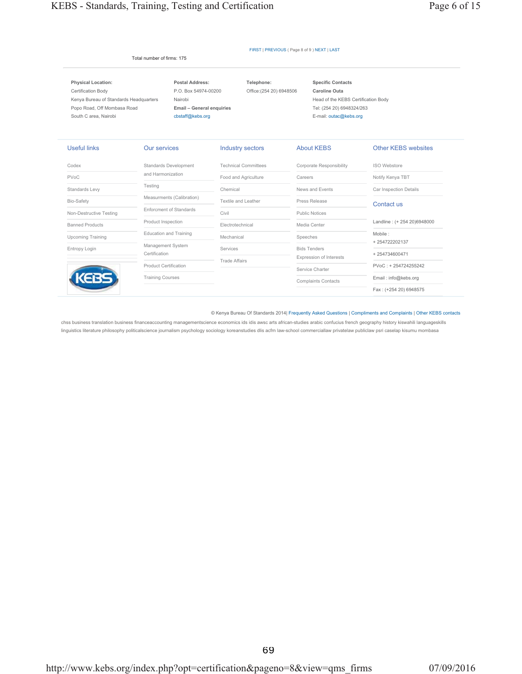Total number of firms: 175

### FIRST | PREVIOUS ( Page 8 of 9 ) NEXT | LAST

| <b>Physical Location:</b>              | Postal Address:           | Telephone:               | <b>Specific Contacts</b>            |
|----------------------------------------|---------------------------|--------------------------|-------------------------------------|
| Certification Body                     | P.O. Box 54974-00200      | Office: (254 20) 6948506 | Caroline Outa                       |
| Kenya Bureau of Standards Headquarters | Nairobi                   |                          | Head of the KEBS Certification Body |
| Popo Road, Off Mombasa Road            | Email - General enquiries |                          | Tel: (254 20) 6948324/263           |
| South C area, Nairobi                  | cbstaff@kebs.org          |                          | E-mail: outac@kebs.org              |
|                                        |                           |                          |                                     |

| <b>Useful links</b>      | <b>Our services</b>            | <b>Industry sectors</b>     | <b>About KEBS</b>          | <b>Other KEBS websites</b>  |
|--------------------------|--------------------------------|-----------------------------|----------------------------|-----------------------------|
| Codex                    | Standards Development          | <b>Technical Committees</b> | Corporate Responsibility   | <b>ISO Webstore</b>         |
| <b>PVoC</b>              | and Harmonization              | Food and Agriculture        | Careers                    | Notify Kenya TBT            |
| Standards Levy           | Testing                        | Chemical                    | News and Events            | Car Inspection Details      |
| <b>Bio-Safety</b>        | Measurments (Calibration)      | Textile and Leather         | Press Release              | Contact us                  |
| Non-Destructive Testing  | <b>Enforcment of Standards</b> | Civil                       | <b>Public Notices</b>      |                             |
| <b>Banned Products</b>   | Product Inspection             | Electrotechnical            | Media Center               | Landline: (+ 254 20)6948000 |
| <b>Upcoming Training</b> | Education and Training         | Mechanical                  | Speeches                   | Mobile:                     |
| Entropy Login            | Management System              | Services                    | <b>Bids Tenders</b>        | +254722202137               |
|                          | Certification                  | <b>Trade Affairs</b>        | Expression of Interests    | +254734600471               |
| (EBS                     | <b>Product Certification</b>   |                             | Service Charter            | PVoC: +254724255242         |
|                          | <b>Training Courses</b>        |                             | <b>Complaints Contacts</b> | Email: info@kebs.org        |
|                          |                                |                             |                            | Fax: (+254 20) 6948575      |

#### © Kenya Bureau Of Standards 2014| Frequently Asked Questions | Compliments and Complaints | Other KEBS contacts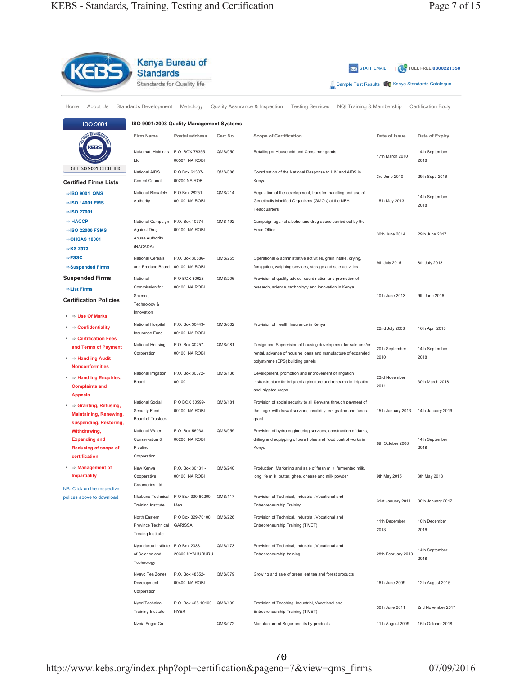|                                                                                              | <b>Standards</b>                                                  | <b>Kenya Bureau of</b>                      |                                |                                                                                                   | <b>XX</b> STAFF EMAIL     |                                                  | TOLL FREE 0800221350      |
|----------------------------------------------------------------------------------------------|-------------------------------------------------------------------|---------------------------------------------|--------------------------------|---------------------------------------------------------------------------------------------------|---------------------------|--------------------------------------------------|---------------------------|
|                                                                                              | Standards for Quality life                                        |                                             |                                |                                                                                                   |                           | Sample Test Results 40 Kenya Standards Catalogue |                           |
| About Us<br>Home                                                                             | <b>Standards Development</b>                                      | Metrology                                   | Quality Assurance & Inspection | <b>Testing Services</b>                                                                           | NQI Training & Membership |                                                  | <b>Certification Body</b> |
| <b>ISO 9001</b>                                                                              |                                                                   | ISO 9001:2008 Quality Management Systems    |                                |                                                                                                   |                           |                                                  |                           |
|                                                                                              | <b>Firm Name</b>                                                  | Postal address                              | Cert No                        | <b>Scope of Certification</b>                                                                     |                           | Date of Issue                                    | Date of Expiry            |
|                                                                                              | Nakumatt Holdings<br>Ltd                                          | P.O. BOX 78355-<br>00507, NAIROBI           | QMS/050                        | Retailing of Household and Consumer goods                                                         |                           | 17th March 2010                                  | 14th September<br>2018    |
| GET ISO 9001 CERTIFIED                                                                       | National AIDS                                                     | P O Box 61307-                              | QMS/086                        | Coordination of the National Response to HIV and AIDS in                                          |                           | 3rd June 2010                                    | 29th Sept. 2016           |
| <b>Certified Firms Lists</b>                                                                 | Control Council                                                   | 00200 NAIROBI                               |                                | Kenya                                                                                             |                           |                                                  |                           |
| $\Rightarrow$ ISO 9001 QMS                                                                   | National Biosafety                                                | P O Box 28251-                              | QMS/214                        | Regulation of the development, transfer, handling and use of                                      |                           |                                                  | 14th September            |
| $\Rightarrow$ ISO 14001 EMS                                                                  | Authority                                                         | 00100, NAIROBI                              |                                | Genetically Modified Organisms (GMOs) at the NBA<br>Headquarters                                  |                           | 15th May 2013                                    | 2018                      |
| $\Rightarrow$ ISO 27001                                                                      |                                                                   |                                             |                                |                                                                                                   |                           |                                                  |                           |
| $\Rightarrow$ HACCP<br>$\Rightarrow$ ISO 22000 FSMS                                          | National Campaign<br>Against Drug                                 | P.O. Box 10774-<br>00100, NAIROBI           | QMS 192                        | Campaign against alcohol and drug abuse carried out by the<br><b>Head Office</b>                  |                           |                                                  |                           |
| $\Rightarrow$ OHSAS 18001                                                                    | Abuse Authority                                                   |                                             |                                |                                                                                                   |                           | 30th June 2014                                   | 29th June 2017            |
| $\Rightarrow$ KS 2573                                                                        | (NACADA)                                                          |                                             |                                |                                                                                                   |                           |                                                  |                           |
| $\Rightarrow$ FSSC                                                                           | National Cereals                                                  | P.O. Box 30586-                             | QMS/255                        | Operational & administrative activities, grain intake, drying,                                    |                           |                                                  |                           |
| $\Rightarrow$ Suspended Firms                                                                | and Produce Board                                                 | 00100, NAIROBI                              |                                | fumigation, weighing services, storage and sale activities                                        |                           | 9th July 2015                                    | 8th July 2018             |
| <b>Suspended Firms</b>                                                                       | National                                                          | P O BOX 30623-                              | QMS/206                        | Provision of quality advice, coordination and promotion of                                        |                           |                                                  |                           |
| $\Rightarrow$ List Firms                                                                     | Commission for                                                    | 00100, NAIROBI                              |                                | research, science, technology and innovation in Kenya                                             |                           |                                                  |                           |
| <b>Certification Policies</b>                                                                | Science,<br>Technology &                                          |                                             |                                |                                                                                                   |                           | 10th June 2013                                   | 9th June 2016             |
| $\Rightarrow$ Use Of Marks                                                                   | Innovation                                                        |                                             |                                |                                                                                                   |                           |                                                  |                           |
| $\Rightarrow$ Confidentiality                                                                | National Hospital<br>Insurance Fund                               | P.O. Box 30443-<br>00100, NAIROBI           | QMS/062                        | Provision of Health Insurance in Kenya                                                            |                           | 22nd July 2008                                   | 16th April 2018           |
| $\blacksquare \Rightarrow$ Certification Fees<br>and Terms of Payment                        | National Housing                                                  | P.O. Box 30257-                             | QMS/081                        | Design and Supervision of housing development for sale and/or                                     |                           |                                                  |                           |
| $\blacksquare \Rightarrow$ Handling Audit<br><b>Nonconformities</b>                          | Corporation                                                       | 00100, NAIROBI                              |                                | rental, advance of housing loans and manufacture of expanded<br>polystyrene (EPS) building panels |                           | 20th September<br>2010                           | 14th September<br>2018    |
| $\Rightarrow$ Handling Enquiries,                                                            | National Irrigation                                               | P.O. Box 30372-                             | QMS/136                        | Development, promotion and improvement of irrigation                                              |                           | 23rd November                                    |                           |
| <b>Complaints and</b>                                                                        | Board                                                             | 00100                                       |                                | insfrastructure for irrigated agriculture and research in irrigation<br>and irrigated crops       |                           | 2011                                             | 30th March 2018           |
| <b>Appeals</b>                                                                               | National Social                                                   | P O BOX 30599-                              | QMS/181                        | Provision of social security to all Kenyans through payment of                                    |                           |                                                  |                           |
| $\Rightarrow$ Granting, Refusing,<br><b>Maintaining, Renewing,</b><br>suspending, Restoring, | Security Fund -<br>Board of Trustees                              | 00100, NAIROBI                              |                                | the : age, withdrawal surviors, invalidity, emigration and funeral<br>grant                       |                           | 15th January 2013                                | 14th January 2019         |
| Withdrawing,                                                                                 | National Water                                                    | P.O. Box 56038-                             | QMS/059                        | Provision of hydro engineering services, construction of dams                                     |                           |                                                  |                           |
| <b>Expanding and</b>                                                                         | Conservation &                                                    | 00200, NAIROBI                              |                                | driling and equipping of bore holes and flood control works in                                    |                           | 8th October 2008                                 | 14th September            |
| <b>Reducing of scope of</b>                                                                  | Pipeline                                                          |                                             |                                | Kenya                                                                                             |                           |                                                  | 2018                      |
| certification                                                                                | Corporation                                                       |                                             |                                |                                                                                                   |                           |                                                  |                           |
| $\Rightarrow$ Management of                                                                  | New Kenya                                                         | P.O. Box 30131 -                            | QMS/240                        | Production, Marketing and sale of fresh milk, fermented milk,                                     |                           |                                                  |                           |
| <b>Impartiality</b>                                                                          | Cooperative<br>Creameries Ltd                                     | 00100, NAIROBI                              |                                | long life milk, butter, ghee, cheese and milk powder                                              |                           | 9th May 2015                                     | 8th May 2018              |
| NB: Click on the respective                                                                  |                                                                   |                                             |                                |                                                                                                   |                           |                                                  |                           |
| polices above to download.                                                                   | Nkabune Technical<br>Training Institute                           | P O Box 330-60200<br>Meru                   | QMS/117                        | Provision of Technical, Industrial, Vocational and<br><b>Entrepreneurship Training</b>            |                           | 31st January 2011                                | 30th January 2017         |
|                                                                                              |                                                                   | P O Box 329-70100, QMS/226                  |                                | Provision of Technical, Industrial, Vocational and                                                |                           |                                                  |                           |
|                                                                                              | North Eastern<br>Province Technical                               | <b>GARISSA</b>                              |                                | Entrepreneurship Training (TIVET)                                                                 |                           | 11th December<br>2013                            | 10th December<br>2016     |
|                                                                                              | <b>Treaing Institute</b>                                          |                                             |                                |                                                                                                   |                           |                                                  |                           |
|                                                                                              | Nyandarua Institute P O Box 2033-<br>of Science and<br>Technology | 20300, NYAHURURU                            | QMS/173                        | Provision of Technical, Industrial, Vocational and<br>Entrepreneurship training                   |                           | 28th February 2013                               | 14th September<br>2018    |
|                                                                                              | Nyayo Tea Zones                                                   | P.O. Box 48552-                             | QMS/079                        | Growing and sale of green leaf tea and forest products                                            |                           |                                                  |                           |
|                                                                                              | Development<br>Corporation                                        | 00400, NAIROBI.                             |                                |                                                                                                   |                           | 16th June 2009                                   | 12th August 2015          |
|                                                                                              | Nyeri Technical<br>Training Institute                             | P.O. Box 465-10100, QMS/139<br><b>NYERI</b> |                                | Provision of Teaching, Industrial, Vocational and<br>Entrepreneurship Training (TIVET)            |                           | 30th June 2011                                   | 2nd November 2017         |
|                                                                                              | Nzoia Sugar Co.                                                   |                                             | QMS/072                        | Manufacture of Sugar and its by-products                                                          |                           | 11th August 2009                                 | 15th October 2018         |

http://www.kebs.org/index.php?opt=certification&pageno=7&view=qms\_firms 07/09/2016 70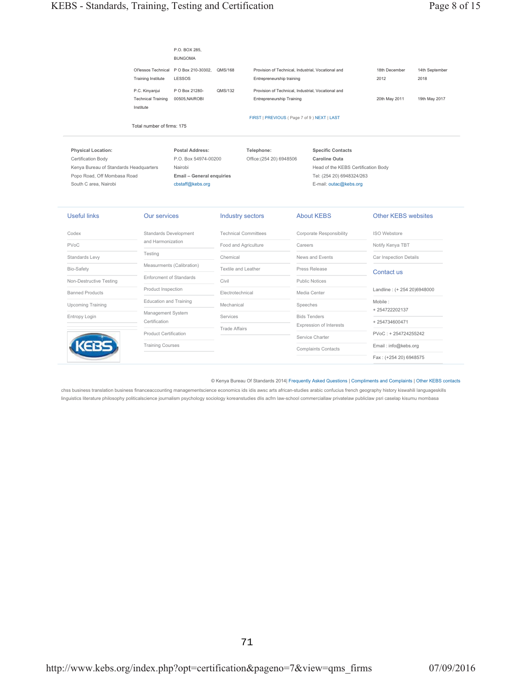## KEBS - Standards, Training, Testing and Certification Page 8 of 15

|                                                                                                                                                   | Ol'lessos Technical<br><b>Training Institute</b><br>P.C. Kinyanjui<br><b>Technical Training</b><br>Institute<br>Total number of firms: 175 | <b>BUNGOMA</b><br>P O Box 210-30302.<br>LESSOS<br>P O Box 21280-<br>00505, NAIROBI                         | QMS/168<br>QMS/132                                  | Entrepreneurship training<br><b>Entrepreneurship Training</b><br>FIRST   PREVIOUS ( Page 7 of 9 ) NEXT   LAST |          | Provision of Technical, Industrial, Vocational and<br>Provision of Technical, Industrial, Vocational and                                       | 18th December<br>2012<br>20th May 2011         | 14th September<br>2018<br>19th May 2017 |
|---------------------------------------------------------------------------------------------------------------------------------------------------|--------------------------------------------------------------------------------------------------------------------------------------------|------------------------------------------------------------------------------------------------------------|-----------------------------------------------------|---------------------------------------------------------------------------------------------------------------|----------|------------------------------------------------------------------------------------------------------------------------------------------------|------------------------------------------------|-----------------------------------------|
| <b>Physical Location:</b><br>Certification Body<br>Kenya Bureau of Standards Headquarters<br>Popo Road, Off Mombasa Road<br>South C area, Nairobi |                                                                                                                                            | <b>Postal Address:</b><br>P.O. Box 54974-00200<br>Nairobi<br>Email - General enquiries<br>cbstaff@kebs.org |                                                     | Telephone:<br>Office: (254 20) 6948506                                                                        |          | <b>Specific Contacts</b><br><b>Caroline Outa</b><br>Head of the KEBS Certification Body<br>Tel: (254 20) 6948324/263<br>E-mail: outac@kebs.org |                                                |                                         |
| <b>Useful links</b>                                                                                                                               | <b>Our services</b>                                                                                                                        |                                                                                                            |                                                     | <b>Industry sectors</b>                                                                                       |          | <b>About KEBS</b>                                                                                                                              | <b>Other KEBS websites</b>                     |                                         |
| Codex                                                                                                                                             | Standards Development                                                                                                                      |                                                                                                            | <b>Technical Committees</b><br>Food and Agriculture |                                                                                                               |          | <b>Corporate Responsibility</b>                                                                                                                | <b>ISO Webstore</b>                            |                                         |
| PVoC                                                                                                                                              | and Harmonization                                                                                                                          |                                                                                                            |                                                     |                                                                                                               | Careers  |                                                                                                                                                | Notify Kenya TBT                               |                                         |
| Standards Levy                                                                                                                                    | Testing                                                                                                                                    |                                                                                                            | Chemical                                            |                                                                                                               |          | News and Events                                                                                                                                | Car Inspection Details                         |                                         |
| Bio-Safety                                                                                                                                        |                                                                                                                                            | Measurments (Calibration)                                                                                  | Textile and Leather                                 |                                                                                                               |          | Press Release                                                                                                                                  | Contact us                                     |                                         |
| Non-Destructive Testing                                                                                                                           | <b>Enforcment of Standards</b>                                                                                                             |                                                                                                            | Civil                                               |                                                                                                               |          | <b>Public Notices</b>                                                                                                                          |                                                |                                         |
| <b>Banned Products</b>                                                                                                                            | Product Inspection                                                                                                                         |                                                                                                            | Electrotechnical                                    |                                                                                                               |          | Media Center                                                                                                                                   | Landline: (+ 254 20)6948000                    |                                         |
| <b>Upcoming Training</b>                                                                                                                          | <b>Education and Training</b>                                                                                                              |                                                                                                            | Mechanical                                          |                                                                                                               | Speeches |                                                                                                                                                | Mobile:                                        |                                         |
| Management System<br>Entropy Login                                                                                                                |                                                                                                                                            |                                                                                                            | Services                                            |                                                                                                               |          | <b>Bids Tenders</b>                                                                                                                            | +254722202137                                  |                                         |
|                                                                                                                                                   | Certification                                                                                                                              |                                                                                                            | <b>Trade Affairs</b>                                |                                                                                                               |          | Expression of Interests                                                                                                                        | +254734600471                                  |                                         |
|                                                                                                                                                   | Product Certification                                                                                                                      |                                                                                                            |                                                     |                                                                                                               |          | Service Charter                                                                                                                                | PVoC: +254724255242                            |                                         |
|                                                                                                                                                   |                                                                                                                                            |                                                                                                            |                                                     |                                                                                                               |          |                                                                                                                                                |                                                |                                         |
|                                                                                                                                                   | <b>Training Courses</b>                                                                                                                    |                                                                                                            |                                                     |                                                                                                               |          | <b>Complaints Contacts</b>                                                                                                                     | Email: info@kebs.org<br>Fax: (+254 20) 6948575 |                                         |

#### © Kenya Bureau Of Standards 2014| Frequently Asked Questions | Compliments and Complaints | Other KEBS contacts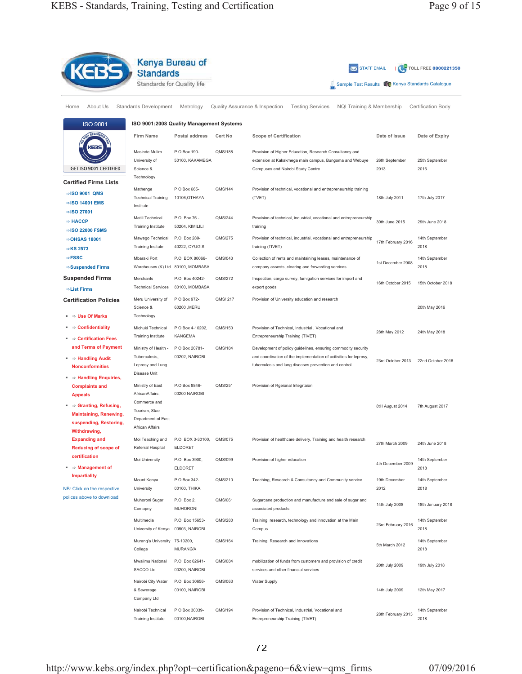|                                                                                                                                                                                                             | <b>Standards</b>                                                                                              | Kenya Bureau of                   |                                | <b>XX</b> STAFF EMAIL                                                                                                                                                                        |                                                  | TOLL FREE 0800221350      |
|-------------------------------------------------------------------------------------------------------------------------------------------------------------------------------------------------------------|---------------------------------------------------------------------------------------------------------------|-----------------------------------|--------------------------------|----------------------------------------------------------------------------------------------------------------------------------------------------------------------------------------------|--------------------------------------------------|---------------------------|
|                                                                                                                                                                                                             | Standards for Quality life                                                                                    |                                   |                                |                                                                                                                                                                                              | Sample Test Results UC Kenya Standards Catalogue |                           |
| Home<br>About Us                                                                                                                                                                                            | <b>Standards Development</b>                                                                                  | Metrology                         | Quality Assurance & Inspection | <b>Testing Services</b><br>NQI Training & Membership                                                                                                                                         |                                                  | <b>Certification Body</b> |
| <b>ISO 9001</b>                                                                                                                                                                                             | ISO 9001:2008 Quality Management Systems                                                                      |                                   |                                |                                                                                                                                                                                              |                                                  |                           |
|                                                                                                                                                                                                             | Firm Name                                                                                                     | Postal address                    | <b>Cert No</b>                 | <b>Scope of Certification</b>                                                                                                                                                                | Date of Issue                                    | Date of Expiry            |
| GET ISO 9001 CERTIFIED                                                                                                                                                                                      | Masinde Muliro<br>University of<br>Science &<br>Technology                                                    | P O Box 190-<br>50100, KAKAMEGA   | QMS/188                        | Provision of Higher Education, Research Consultancy and<br>extension at Kakakmega main campus, Bungoma and Webuye<br>Campuses and Nairobi Study Centre                                       | 26th September<br>2013                           | 25th September<br>2016    |
| <b>Certified Firms Lists</b>                                                                                                                                                                                |                                                                                                               |                                   |                                |                                                                                                                                                                                              |                                                  |                           |
| $\Rightarrow$ ISO 9001 QMS<br>$\Rightarrow$ ISO 14001 EMS                                                                                                                                                   | Mathenge<br><b>Technical Training</b>                                                                         | P O Box 665-<br>10106, OTHAYA     | QMS/144                        | Provision of technical, vocational and entrepreneurship training<br>(TVET)                                                                                                                   | 18th July 2011                                   | 17th July 2017            |
| $\Rightarrow$ ISO 27001                                                                                                                                                                                     | Institute                                                                                                     |                                   |                                |                                                                                                                                                                                              |                                                  |                           |
| $\Rightarrow$ HACCP<br>$\Rightarrow$ ISO 22000 FSMS                                                                                                                                                         | Matili Technical<br><b>Training Institute</b>                                                                 | P.O. Box 76 -<br>50204, KIMILILI  | QMS/244                        | Provision of technical, industrial, vocational and entrepreneurship<br>training                                                                                                              | 30th June 2015                                   | 29th June 2018            |
| $\Rightarrow$ OHSAS 18001<br>$\Rightarrow$ KS 2573                                                                                                                                                          | Mawego Technical<br><b>Training Insitute</b>                                                                  | P.O. Box 289-<br>40222, OYUGIS    | QMS/275                        | Provision of technical, industrial, vocational and entrepreneurship<br>training (TIVET)                                                                                                      | 17th February 2016                               | 14th September<br>2018    |
| $\Rightarrow$ FSSC                                                                                                                                                                                          | Mbaraki Port                                                                                                  |                                   | QMS/043                        |                                                                                                                                                                                              |                                                  |                           |
| $\Rightarrow$ Suspended Firms                                                                                                                                                                               | Warehouses (K) Ltd                                                                                            | P.O. BOX 80066-<br>80100, MOMBASA |                                | Collection of rents and maintaining leases, maintenance of<br>company assests, clearing and forwarding services                                                                              | 1st December 2008                                | 14th September<br>2018    |
| <b>Suspended Firms</b><br>$\Rightarrow$ List Firms                                                                                                                                                          | Merchants<br><b>Technical Services</b>                                                                        | P.O. Box 40242-<br>80100, MOMBASA | QMS/272                        | Inspection, cargo survey, fumigation services for import and<br>export goods                                                                                                                 | 16th October 2015                                | 15th October 2018         |
| <b>Certification Policies</b>                                                                                                                                                                               | Meru University of                                                                                            | P O Box 972-                      | QMS/217                        | Provision of University education and research                                                                                                                                               |                                                  |                           |
| $\Rightarrow$ Use Of Marks                                                                                                                                                                                  | Science &<br>Technology                                                                                       | 60200, MERU                       |                                |                                                                                                                                                                                              |                                                  | 20th May 2016             |
| $\Rightarrow$ Confidentiality                                                                                                                                                                               | Michuki Technical                                                                                             | P O Box 4-10202,                  | QMS/150                        |                                                                                                                                                                                              |                                                  |                           |
| $\blacksquare \Rightarrow$ Certification Fees                                                                                                                                                               | <b>Training Institute</b>                                                                                     | KANGEMA                           |                                | Provision of Technical, Industrial, Vocational and<br>Entrepreneurship Training (TIVET)                                                                                                      | 28th May 2012                                    | 24th May 2018             |
| and Terms of Payment<br>$\Rightarrow$ Handling Audit<br><b>Nonconformities</b>                                                                                                                              | Ministry of Health -<br>Tuberculosis,<br>Leprosy and Lung<br>Disease Unit                                     | P O Box 20781-<br>00202, NAIROBI  | QMS/184                        | Development of policy guidelines, ensuring commodity security<br>and coordination of the implementation of acitivities for leprosy,<br>tuberculosis and lung diseases prevention and control | 23rd October 2013                                | 22nd October 2016         |
| $\Rightarrow$ Handling Enquiries,<br><b>Complaints and</b><br><b>Appeals</b><br>$\blacksquare$ $\Rightarrow$ Granting, Refusing,<br><b>Maintaining, Renewing,</b><br>suspending, Restoring,<br>Withdrawing, | Ministry of East<br>AfricanAffairs,<br>Commerce and<br>Tourism, Stae<br>Department of East<br>African Affairs | P.O Box 8846-<br>00200 NAIROBI    | QMS/251                        | Provision of Rgeional Integrtaion                                                                                                                                                            | 8tH August 2014                                  | 7th August 2017           |
| <b>Expanding and</b>                                                                                                                                                                                        | Moi Teaching and                                                                                              | P.O. BOX 3-30100,                 | QMS/075                        | Provision of healthcare delivery, Training and health research                                                                                                                               | 27th March 2009                                  | 24th June 2018            |
| <b>Reducing of scope of</b>                                                                                                                                                                                 | Referral Hospital                                                                                             | <b>ELDORET</b>                    |                                |                                                                                                                                                                                              |                                                  |                           |
| certification<br>$\Rightarrow$ Management of                                                                                                                                                                | Moi University                                                                                                | P.O. Box 3900,<br><b>ELDORET</b>  | QMS/099                        | Provision of higher education                                                                                                                                                                | 4th December 2009                                | 14th September<br>2018    |
| <b>Impartiality</b><br>NB: Click on the respective                                                                                                                                                          | Mount Kenya<br>University                                                                                     | P O Box 342-<br>00100, THIKA      | QMS/210                        | Teaching, Research & Consultancy and Community service                                                                                                                                       | 19th December<br>2012                            | 14th September<br>2018    |
| polices above to download.                                                                                                                                                                                  |                                                                                                               |                                   |                                |                                                                                                                                                                                              |                                                  |                           |
|                                                                                                                                                                                                             | Muhoroni Sugar<br>Comapny                                                                                     | P.O. Box 2,<br><b>MUHORONI</b>    | QMS/061                        | Sugarcane production and manufacture and sale of sugar and<br>associated products                                                                                                            | 14th July 2008                                   | 18th January 2018         |
|                                                                                                                                                                                                             | Multimedia<br>University of Kenya                                                                             | P.O. Box 15653-<br>00503, NAIROBI | QMS/280                        | Training, research, technology and innovation at the Main<br>Campus                                                                                                                          | 23rd February 2016                               | 14th September<br>2018    |
|                                                                                                                                                                                                             | Murang'a University 75-10200,<br>College                                                                      | <b>MURANG'A</b>                   | QMS/164                        | Training, Research and Innovations                                                                                                                                                           | 5th March 2012                                   | 14th September<br>2018    |
|                                                                                                                                                                                                             | Mwalimu National<br>SACCO Ltd                                                                                 | P.O. Box 62641-<br>00200, NAIROBI | QMS/084                        | mobilization of funds from customers and provision of credit<br>services and other financial services                                                                                        | 20th July 2009                                   | 19th July 2018            |
|                                                                                                                                                                                                             | Nairobi City Water<br>& Sewerage<br>Company Ltd                                                               | P.O. Box 30656-<br>00100, NAIROBI | QMS/063                        | Water Supply                                                                                                                                                                                 | 14th July 2009                                   | 12th May 2017             |
|                                                                                                                                                                                                             | Nairobi Technical<br>Training Institute                                                                       | P O Box 30039-<br>00100, NAIROBI  | QMS/194                        | Provision of Technical, Industrial, Vocational and<br>Entrepreneurship Training (TIVET)                                                                                                      | 28th February 2013                               | 14th September<br>2018    |

http://www.kebs.org/index.php?opt=certification&pageno=6&view=qms\_firms 07/09/2016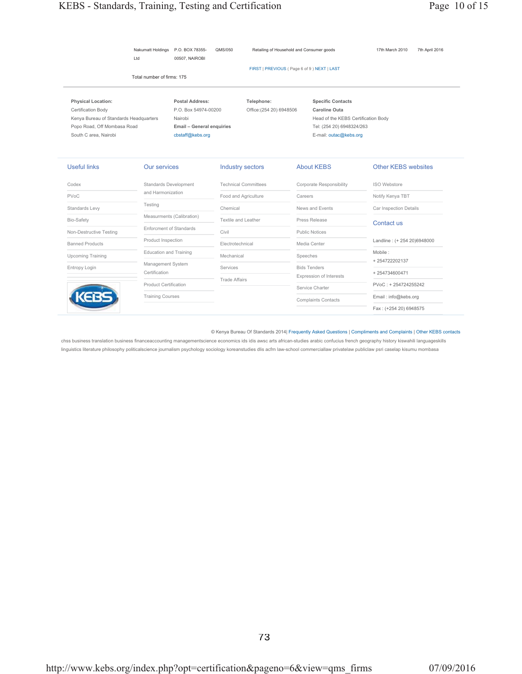Nakumatt Holdings P.O. BOX 78355- Ltd 00507, NAIROBI

Retailing of Household and Consumer goods 17th March 2010 7th April 2016

FIRST | PREVIOUS ( Page 6 of 9 ) NEXT | LAST

Total number of firms: 175

| <b>Physical Location:</b>              | Postal Address:           | Telephone:               | <b>Specific Contacts</b>            |
|----------------------------------------|---------------------------|--------------------------|-------------------------------------|
| Certification Body                     | P.O. Box 54974-00200      | Office: (254 20) 6948506 | Caroline Outa                       |
| Kenya Bureau of Standards Headquarters | Nairobi                   |                          | Head of the KEBS Certification Body |
| Popo Road, Off Mombasa Road            | Email - General enquiries |                          | Tel: (254 20) 6948324/263           |
| South C area, Nairobi                  | cbstaff@kebs.org          |                          | E-mail: outac@kebs.org              |
|                                        |                           |                          |                                     |
|                                        |                           |                          |                                     |

| Useful links             | Our services                   | Industry sectors            | <b>About KEBS</b>          | <b>Other KEBS websites</b>  |
|--------------------------|--------------------------------|-----------------------------|----------------------------|-----------------------------|
| Codex                    | Standards Development          | <b>Technical Committees</b> | Corporate Responsibility   | <b>ISO Webstore</b>         |
| PVoC                     | and Harmonization              | Food and Agriculture        | Careers                    | Notify Kenya TBT            |
| Standards Levy           | Testing                        | Chemical                    | News and Events            | Car Inspection Details      |
| Bio-Safety               | Measurments (Calibration)      | Textile and Leather         | Press Release              | Contact us                  |
| Non-Destructive Testing  | <b>Enforcment of Standards</b> | Civil                       | <b>Public Notices</b>      |                             |
| <b>Banned Products</b>   | Product Inspection             | Electrotechnical            | Media Center               | Landline: (+ 254 20)6948000 |
| <b>Upcoming Training</b> | <b>Education and Training</b>  | Mechanical                  | Speeches                   | Mobile:                     |
| Entropy Login            | Management System              | Services                    | <b>Bids Tenders</b>        | +254722202137               |
|                          | Certification                  | <b>Trade Affairs</b>        | Expression of Interests    | +254734600471               |
|                          | <b>Product Certification</b>   |                             | Service Charter            | PVoC: +254724255242         |
| <b>KEBS</b>              | <b>Training Courses</b>        |                             | <b>Complaints Contacts</b> | Email: info@kebs.org        |
|                          |                                |                             |                            | Fax: (+254 20) 6948575      |

#### © Kenya Bureau Of Standards 2014| Frequently Asked Questions | Compliments and Complaints | Other KEBS contacts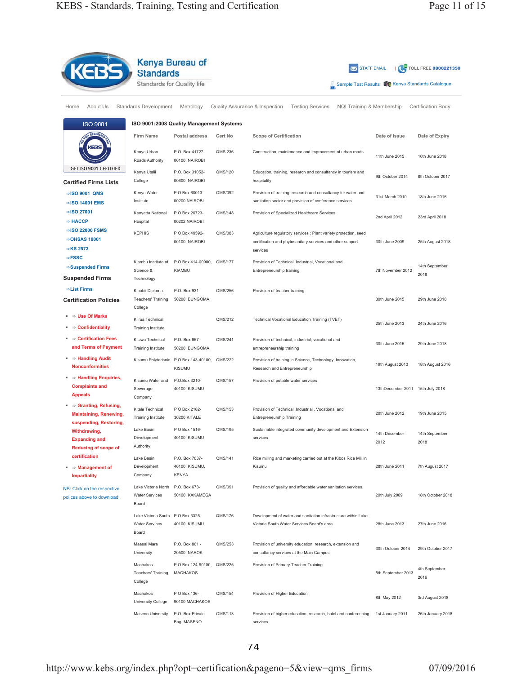|                                                                              | <b>Standards</b><br>Standards for Quality life           | <b>Kenya Bureau of</b>                          |                                |                                                                                                              | <b>XX</b> STAFF EMAIL     | Sample Test Results UC Kenya Standards Catalogue | TOLL FREE 0800221350      |
|------------------------------------------------------------------------------|----------------------------------------------------------|-------------------------------------------------|--------------------------------|--------------------------------------------------------------------------------------------------------------|---------------------------|--------------------------------------------------|---------------------------|
|                                                                              |                                                          |                                                 |                                |                                                                                                              |                           |                                                  |                           |
| Home<br>About Us                                                             | Standards Development                                    | Metrology                                       | Quality Assurance & Inspection | <b>Testing Services</b>                                                                                      | NQI Training & Membership |                                                  | <b>Certification Body</b> |
| <b>ISO 9001</b>                                                              | ISO 9001:2008 Quality Management Systems                 |                                                 |                                |                                                                                                              |                           |                                                  |                           |
|                                                                              | <b>Firm Name</b>                                         | Postal address                                  | Cert No                        | <b>Scope of Certification</b>                                                                                |                           | Date of Issue                                    | Date of Expiry            |
|                                                                              | Kenya Urban<br>Roads Authority                           | P.O. Box 41727-<br>00100, NAIROBI               | QMS.236                        | Construction, maintenance and improvement of urban roads                                                     |                           | 11th June 2015                                   | 10th June 2018            |
| GET ISO 9001 CERTIFIED<br>Certified Firms Lists                              | Kenya Utalii<br>College                                  | P.O. Box 31052-<br>00600, NAIROBI               | QMS/120                        | Education, training, research and consultancy in tourism and<br>hospitality                                  |                           | 9th October 2014                                 | 8th October 2017          |
|                                                                              | Kenya Water                                              | P O Box 60013-                                  | QMS/092                        | Provision of training, research and consultancy for water and                                                |                           |                                                  |                           |
| $\Rightarrow$ ISO 9001 QMS<br>$\Rightarrow$ ISO 14001 EMS                    | Institute                                                | 00200, NAIROBI                                  |                                | sanitation sector and provision of conference services                                                       |                           | 31st March 2010                                  | 18th June 2016            |
| $\Rightarrow$ ISO 27001                                                      | Kenyatta National                                        | P O Box 20723-                                  | QMS/148                        | Provision of Specialized Healthcare Services                                                                 |                           |                                                  |                           |
| $\Rightarrow$ HACCP                                                          | Hospital                                                 | 00202, NAIROBI                                  |                                |                                                                                                              |                           | 2nd April 2012                                   | 23rd April 2018           |
| $\Rightarrow$ ISO 22000 FSMS                                                 | <b>KEPHIS</b>                                            | P O Box 49592-                                  | QMS/083                        | Agriculture regulatory services : Plant variety protection, seed                                             |                           |                                                  |                           |
| $\Rightarrow$ OHSAS 18001                                                    |                                                          | 00100, NAIROBI                                  |                                | certification and phytosanitary services and other support                                                   |                           | 30th June 2009                                   | 25th August 2018          |
| $\Rightarrow$ KS 2573                                                        |                                                          |                                                 |                                | services                                                                                                     |                           |                                                  |                           |
| $\Rightarrow$ FSSC<br>⇒Suspended Firms<br><b>Suspended Firms</b>             | Kiambu Institute of<br>Science &<br>Technology           | P O Box 414-00900, QMS/177<br><b>KIAMBU</b>     |                                | Provision of Technical, Industrial, Vocational and<br>Entrepreneurship training                              |                           | 7th November 2012                                | 14th September<br>2018    |
| $\Rightarrow$ List Firms                                                     | Kibabii Diploma                                          | P.O. Box 931-                                   | QMS/256                        | Provision of teacher training                                                                                |                           |                                                  |                           |
| <b>Certification Policies</b>                                                | <b>Teachers' Training</b><br>College                     | 50200, BUNGOMA                                  |                                |                                                                                                              |                           | 30th June 2015                                   | 29th June 2018            |
| $\Rightarrow$ Use Of Marks<br>$\Rightarrow$ Confidentiality                  | Kiirua Technical<br><b>Training Institute</b>            |                                                 | QMS/212                        | Technical Vocational Education Training (TVET)                                                               |                           | 25th June 2013                                   | 24th June 2016            |
| $\Rightarrow$ Certification Fees<br>and Terms of Payment                     | Kisiwa Technical<br><b>Training Institute</b>            | P.O. Box 657-<br>50200, BUNGOMA                 | QMS/241                        | Provision of technical, industrial, vocational and<br>entrepreneurship training                              |                           | 30th June 2015                                   | 29th June 2018            |
| $\Rightarrow$ Handling Audit<br><b>Nonconformities</b>                       |                                                          | Kisumu Polytechnic P O Box 143-40100,<br>KISUMU | QMS/222                        | Provision of training in Science, Technology, Innovation,<br>Research and Entrepreneurship                   |                           | 19th August 2013                                 | 18th August 2016          |
| $\Rightarrow$ Handling Enquiries,<br><b>Complaints and</b><br><b>Appeals</b> | Kisumu Water and<br>Sewerage                             | P.O.Box 3210-<br>40100, KISUMU                  | QMS/157                        | Provision of potable water services                                                                          |                           | 13thDecember 2011                                | 15th July 2018            |
| $\Rightarrow$ Granting, Refusing,<br><b>Maintaining, Renewing,</b>           | Company<br>Kitale Technical<br><b>Training Institute</b> | P O Box 2162-<br>30200, KITALE                  | QMS/153                        | Provision of Technical, Industrial, Vocational and<br>Entrepreneurship Training                              |                           | 20th June 2012                                   | 19th June 2015            |
| suspending, Restoring,<br>Withdrawing,                                       | Lake Basin                                               | P O Box 1516-                                   | QMS/195                        | Sustainable integrated community development and Extension                                                   |                           |                                                  |                           |
| <b>Expanding and</b><br><b>Reducing of scope of</b>                          | Development<br>Authority                                 | 40100, KISUMU                                   |                                | services                                                                                                     |                           | 14th December<br>2012                            | 14th September<br>2018    |
| certification                                                                | Lake Basin                                               | P.O. Box 7037-                                  | QMS/141                        | Rice milling and marketing carried out at the Kibos Rice Mill in                                             |                           |                                                  |                           |
| $\Rightarrow$ Management of<br><b>Impartiality</b>                           | Development<br>Company                                   | 40100, KISUMU,<br><b>KENYA</b>                  |                                | Kisumu                                                                                                       |                           | 28th June 2011                                   | 7th August 2017           |
| NB: Click on the respective<br>polices above to download.                    | Lake Victoria North<br><b>Water Services</b><br>Board    | P.O. Box 673-<br>50100, KAKAMEGA                | QMS/091                        | Provision of quality and affordable water sanitation services.                                               |                           | 20th July 2009                                   | 18th October 2018         |
|                                                                              | Lake Victoria South<br><b>Water Services</b><br>Board    | P O Box 3325-<br>40100, KISUMU                  | QMS/176                        | Development of water and sanitation infrastructure within Lake<br>Victoria South Water Services Board's area |                           | 28th June 2013                                   | 27th June 2016            |
|                                                                              | Maasai Mara<br>University                                | P.O. Box 861 -<br>20500, NAROK                  | QMS/253                        | Provision of university education, research, extension and<br>consultancy services at the Main Campus        |                           | 30th October 2014                                | 29th October 2017         |
|                                                                              | Machakos<br>Teachers' Training<br>College                | P O Box 124-90100, QMS/225<br><b>MACHAKOS</b>   |                                | Provision of Primary Teacher Training                                                                        |                           | 5th September 2013                               | 4th September<br>2016     |
|                                                                              | Machakos<br>University College                           | P O Box 136-<br>90100, MACHAKOS                 | QMS/154                        | Provision of Higher Education                                                                                |                           | 8th May 2012                                     | 3rd August 2018           |
|                                                                              | Maseno University                                        | P.O. Box Private<br>Bag, MASENO                 | QMS/113                        | Provision of higher education, research, hotel and conferencing<br>services                                  |                           | 1st January 2011                                 | 26th January 2018         |

http://www.kebs.org/index.php?opt=certification&pageno=5&view=qms\_firms 07/09/2016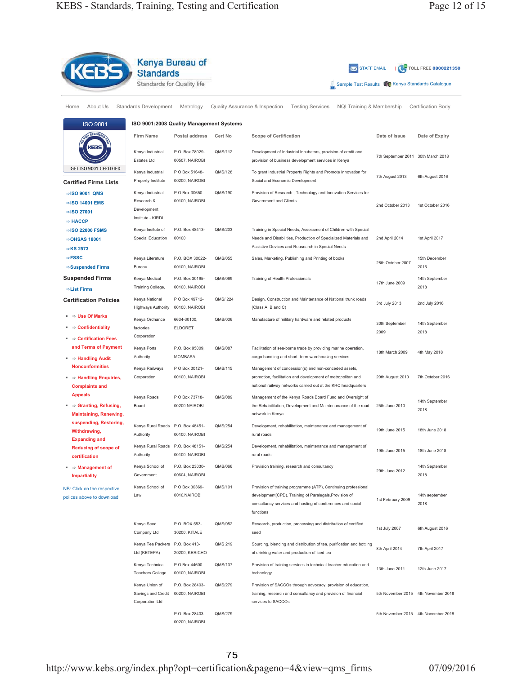|                                                           | <b>Standards</b>                                        | Kenya Bureau of                   |                                |                                                                                                                                                                                        | <b>XX</b> STAFF EMAIL     |                                                  | TOLL FREE 0800221350      |
|-----------------------------------------------------------|---------------------------------------------------------|-----------------------------------|--------------------------------|----------------------------------------------------------------------------------------------------------------------------------------------------------------------------------------|---------------------------|--------------------------------------------------|---------------------------|
|                                                           | Standards for Quality life                              |                                   |                                |                                                                                                                                                                                        |                           | Sample Test Results UC Kenya Standards Catalogue |                           |
| About Us<br>Home                                          | <b>Standards Development</b>                            | Metrology                         | Quality Assurance & Inspection | <b>Testing Services</b>                                                                                                                                                                | NQI Training & Membership |                                                  | <b>Certification Body</b> |
| <b>ISO 9001</b>                                           | ISO 9001:2008 Quality Management Systems                |                                   |                                |                                                                                                                                                                                        |                           |                                                  |                           |
|                                                           | <b>Firm Name</b>                                        | Postal address                    | Cert No                        | <b>Scope of Certification</b>                                                                                                                                                          |                           | Date of Issue                                    | Date of Expiry            |
|                                                           | Kenya Industrial<br>Estates Ltd                         | P.O. Box 78029-<br>00507, NAIROBI | QMS/112                        | Development of Industrial Incubators, provision of credit and<br>provision of business development services in Kenya                                                                   |                           | 7th September 2011                               | 30th March 2018           |
| GET ISO 9001 CERTIFIED                                    | Kenya Industrial                                        | P O Box 51648-                    | QMS/128                        | To grant Industrial Property Rights and Promote Innovation for                                                                                                                         |                           | 7th August 2013                                  | 6th August 2016           |
| <b>Certified Firms Lists</b>                              | Property Institute                                      | 00200, NAIROBI                    |                                | Social and Economic Development                                                                                                                                                        |                           |                                                  |                           |
| $\Rightarrow$ ISO 9001 QMS                                | Kenya Industrial<br>Research &                          | P O Box 30650-<br>00100, NAIROBI  | QMS/190                        | Provision of Research, Technology and Innovation Services for<br>Government and Clients                                                                                                |                           |                                                  |                           |
| $\Rightarrow$ ISO 14001 EMS<br>⇒ISO 27001                 | Development                                             |                                   |                                |                                                                                                                                                                                        |                           | 2nd October 2013                                 | 1st October 2016          |
| $\Rightarrow$ HACCP                                       | Institute - KIRDI                                       |                                   |                                |                                                                                                                                                                                        |                           |                                                  |                           |
| $\Rightarrow$ ISO 22000 FSMS                              | Kenya Insitute of                                       | P.O. Box 48413-                   | QMS/203                        | Training in Special Needs, Assessment of Children with Special                                                                                                                         |                           |                                                  |                           |
| $\Rightarrow$ OHSAS 18001                                 | Special Education                                       | 00100                             |                                | Needs and Disabilities, Production of Specialized Materials and                                                                                                                        |                           | 2nd April 2014                                   | 1st April 2017            |
| $\Rightarrow$ KS 2573                                     |                                                         |                                   |                                | Assistive Devices and Reasearch in Special Needs                                                                                                                                       |                           |                                                  |                           |
| $\Rightarrow$ FSSC<br>$\Rightarrow$ Suspended Firms       | Kenya Literature<br>Bureau                              | P.O. BOX 30022-<br>00100, NAIROBI | QMS/055                        | Sales, Marketing, Publishing and Printing of books                                                                                                                                     |                           | 28th October 2007                                | 15th December<br>2016     |
| <b>Suspended Firms</b>                                    | Kenya Medical                                           | P.O. Box 30195-                   | QMS/069                        | Training of Health Professionals                                                                                                                                                       |                           |                                                  | 14th September            |
| ⇒List Firms                                               | Training College,                                       | 00100, NAIROBI                    |                                |                                                                                                                                                                                        |                           | 17th June 2009                                   | 2018                      |
| <b>Certification Policies</b>                             | Kenya National<br><b>Highways Authority</b>             | P O Box 49712-<br>00100, NAIROBI  | QMS/224                        | Design, Construction and Maintenance of National trunk roads<br>(Class A, B and C)                                                                                                     |                           | 3rd July 2013                                    | 2nd July 2016             |
| $\Rightarrow$ Use Of Marks                                | Kenya Ordnance                                          | 6634-30100,                       | QMS/036                        | Manufacture of military hardware and related products                                                                                                                                  |                           |                                                  |                           |
| $\Rightarrow$ Confidentiality                             | factories                                               | <b>ELDORET</b>                    |                                |                                                                                                                                                                                        |                           | 30th September<br>2009                           | 14th September<br>2018    |
| $\Rightarrow$ Certification Fees                          | Corporation                                             |                                   |                                |                                                                                                                                                                                        |                           |                                                  |                           |
| and Terms of Payment                                      | Kenya Ports                                             | P.O. Box 95009,                   | QMS/087                        | Facilitation of sea-borne trade by providing marine operation,                                                                                                                         |                           | 18th March 2009                                  |                           |
| $\Rightarrow$ Handling Audit                              | Authority                                               | <b>MOMBASA</b>                    |                                | cargo handling and short- term warehousing services                                                                                                                                    |                           |                                                  | 4th May 2018              |
| <b>Nonconformities</b>                                    | Kenya Railways                                          | P O Box 30121-                    | QMS/115                        | Management of concession(s) and non-conceded assets,                                                                                                                                   |                           |                                                  |                           |
| $\Rightarrow$ Handling Enquiries,                         | Corporation                                             | 00100, NAIROBI                    |                                | promotion, facilitation and development of metropolitan and                                                                                                                            |                           | 20th August 2010                                 | 7th October 2016          |
| <b>Complaints and</b>                                     |                                                         |                                   |                                | national railway networks carried out at the KRC headquarters                                                                                                                          |                           |                                                  |                           |
| <b>Appeals</b>                                            | Kenya Roads                                             | P O Box 73718-                    | QMS/089                        | Management of the Kenya Roads Board Fund and Oversight of                                                                                                                              |                           |                                                  | 14th September            |
| $\Rightarrow$ Granting, Refusing,                         | Board                                                   | 00200 NAIROBI                     |                                | the Rehabilitation, Development and Maintenanance of the road<br>network in Kenya                                                                                                      |                           | 25th June 2010                                   | 2018                      |
| <b>Maintaining, Renewing,</b><br>suspending, Restoring,   |                                                         |                                   |                                |                                                                                                                                                                                        |                           |                                                  |                           |
| Withdrawing,                                              | Kenya Rural Roads P.O. Box 48451-<br>Authority          | 00100, NAIROBI                    | QMS/254                        | Development, rehabilitation, maintenance and management of<br>rural roads                                                                                                              |                           | 19th June 2015                                   | 18th June 2018            |
| <b>Expanding and</b>                                      |                                                         |                                   |                                |                                                                                                                                                                                        |                           |                                                  |                           |
| <b>Reducing of scope of</b><br>certification              | Kenya Rural Roads P.O. Box 48151-<br>Authority          | 00100, NAIROBI                    | QMS/254                        | Development, rehabilitation, maintenance and management of<br>rural roads                                                                                                              |                           | 19th June 2015                                   | 18th June 2018            |
|                                                           |                                                         |                                   |                                |                                                                                                                                                                                        |                           |                                                  |                           |
| $\Rightarrow$ Management of<br><b>Impartiality</b>        | Kenya School of<br>Government                           | P.O. Box 23030-<br>00604, NAIROBI | QMS/066                        | Provision training, research and consultancy                                                                                                                                           |                           | 29th June 2012                                   | 14th September<br>2018    |
| NB: Click on the respective<br>polices above to download. | Kenya School of<br>Law                                  | P O Box 30369-<br>0010, NAIROBI   | QMS/101                        | Provision of training programme (ATP), Continuing professional<br>development(CPD), Training of Paralegals, Provision of<br>consultancy services and hosting of conferences and social |                           | 1st February 2009                                | 14th aeptember<br>2018    |
|                                                           |                                                         |                                   |                                | functions                                                                                                                                                                              |                           |                                                  |                           |
|                                                           | Kenya Seed<br>Company Ltd                               | P.O. BOX 553-<br>30200, KITALE    | QMS/052                        | Research, production, processing and distribution of certified<br>seed                                                                                                                 |                           | 1st July 2007                                    | 6th August 2016           |
|                                                           | Kenya Tea Packers P.O. Box 413-<br>Ltd (KETEPA)         | 20200, KERICHO                    | QMS 219                        | Sourcing, blending and distribution of tea, purification and bottling<br>of drinking water and production of iced tea                                                                  |                           | 8th April 2014                                   | 7th April 2017            |
|                                                           | Kenya Technical<br><b>Teachers College</b>              | P O Box 44600-<br>00100, NAIROBI  | QMS/137                        | Provision of training services in technical teacher education and<br>technology                                                                                                        |                           | 13th June 2011                                   | 12th June 2017            |
|                                                           | Kenya Union of<br>Savings and Credit<br>Corporation Ltd | P.O. Box 28403-<br>00200, NAIROBI | QMS/279                        | Provision of SACCOs through advocacy, provision of education,<br>training, research and consultancy and provision of financial<br>services to SACCOs                                   |                           | 5th November 2015                                | 4th November 2018         |
|                                                           |                                                         | P.O. Box 28403-<br>00200, NAIROBI | QMS/279                        |                                                                                                                                                                                        |                           | 5th November 2015 4th November 2018              |                           |

http://www.kebs.org/index.php?opt=certification&pageno=4&view=qms\_firms 07/09/2016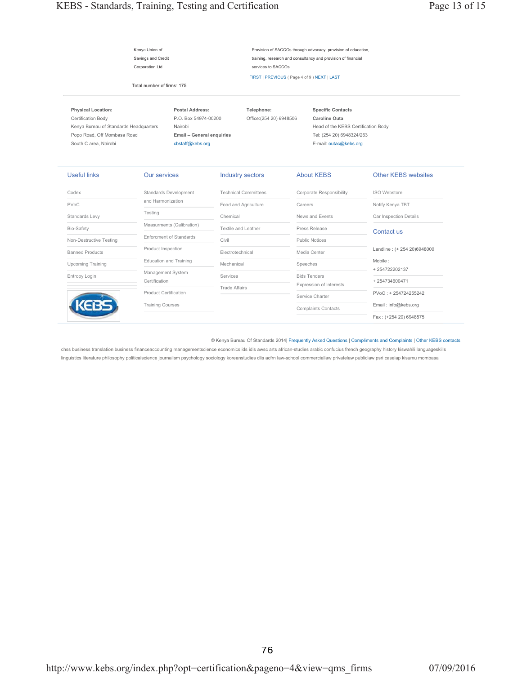- Kenya Union of Savings and Credit
- Corporation Ltd

Provision of SACCOs through advocacy, provision of education, training, research and consultancy and provision of financial services to SACCOs

FIRST | PREVIOUS ( Page 4 of 9 ) NEXT | LAST

Total number of firms: 175

| <b>Physical Location:</b>              | Postal Address:                  | Telephone:               | <b>Specific Contacts</b>            |
|----------------------------------------|----------------------------------|--------------------------|-------------------------------------|
| Certification Body                     | P.O. Box 54974-00200             | Office: (254 20) 6948506 | Caroline Outa                       |
| Kenya Bureau of Standards Headquarters | Nairobi                          |                          | Head of the KEBS Certification Body |
| Popo Road, Off Mombasa Road            | <b>Email - General enquiries</b> |                          | Tel: (254 20) 6948324/263           |
| South C area, Nairobi                  | cbstaff@kebs.org                 |                          | E-mail: outac@kebs.org              |

| <b>Useful links</b>     | Our services                       | Industry sectors            | <b>About KEBS</b>          | Other KEBS websites            |
|-------------------------|------------------------------------|-----------------------------|----------------------------|--------------------------------|
| Codex                   | Standards Development              | <b>Technical Committees</b> | Corporate Responsibility   | <b>ISO Webstore</b>            |
| <b>PVoC</b>             | and Harmonization                  | Food and Agriculture        | Careers                    | Notify Kenya TBT               |
| Standards Levy          | Testing                            | Chemical                    | News and Events            | Car Inspection Details         |
| Bio-Safety              | Measurments (Calibration)          | Textile and Leather         | Press Release              | Contact us                     |
| Non-Destructive Testing | <b>Enforcment of Standards</b>     | Civil                       | <b>Public Notices</b>      |                                |
| <b>Banned Products</b>  | Product Inspection                 | Electrotechnical            | Media Center               | Landline: (+ 254 20)6948000    |
| Upcoming Training       | Education and Training             | Mechanical                  | Speeches                   | Mobile:                        |
| Entropy Login           | Management System<br>Certification | Services                    | <b>Bids Tenders</b>        | +254722202137<br>+254734600471 |
| <b>EBS</b>              | <b>Product Certification</b>       | <b>Trade Affairs</b>        | Expression of Interests    |                                |
|                         |                                    |                             | Service Charter            | PVoC: +254724255242            |
|                         | <b>Training Courses</b>            |                             | <b>Complaints Contacts</b> | Email: info@kebs.org           |
|                         |                                    |                             |                            | Fax: (+254 20) 6948575         |

#### © Kenya Bureau Of Standards 2014| Frequently Asked Questions | Compliments and Complaints | Other KEBS contacts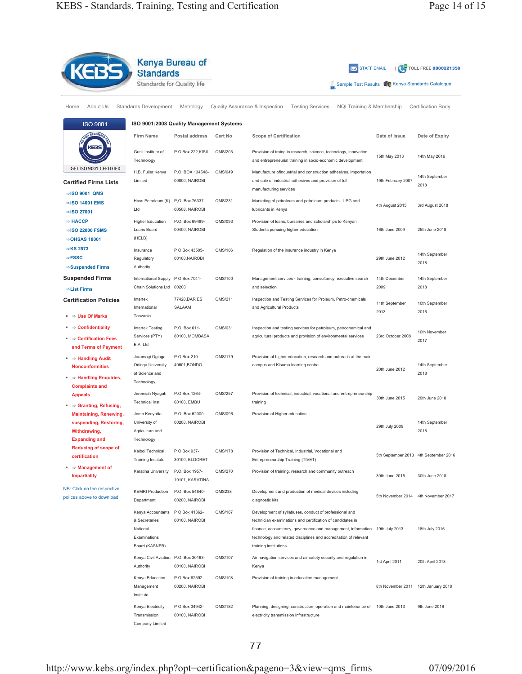|                                                                                                                           | <b>Kenya Bureau of</b><br><b>Standards</b><br>Standards for Quality life         |                                   |                                |                                                                                                                                                                                                                                                                                   | <b>XX</b> STAFF EMAIL     | Sample Test Results <b>10</b> Kenya Standards Catalogue | TOLL FREE 0800221350                  |
|---------------------------------------------------------------------------------------------------------------------------|----------------------------------------------------------------------------------|-----------------------------------|--------------------------------|-----------------------------------------------------------------------------------------------------------------------------------------------------------------------------------------------------------------------------------------------------------------------------------|---------------------------|---------------------------------------------------------|---------------------------------------|
| Home<br>About Us                                                                                                          | <b>Standards Development</b>                                                     | Metrology                         | Quality Assurance & Inspection | <b>Testing Services</b>                                                                                                                                                                                                                                                           | NQI Training & Membership |                                                         | <b>Certification Body</b>             |
| ISO 9001                                                                                                                  | ISO 9001:2008 Quality Management Systems                                         |                                   |                                |                                                                                                                                                                                                                                                                                   |                           |                                                         |                                       |
|                                                                                                                           | Firm Name                                                                        | Postal address                    | Cert No                        | <b>Scope of Certification</b>                                                                                                                                                                                                                                                     |                           | Date of Issue                                           | Date of Expiry                        |
|                                                                                                                           | Gusii Institute of<br>Technology                                                 | P O Box 222, KISII                | QMS/205                        | Provision of traing in research, science, technology, innovation<br>and entrepreneurial training in socio-economic development                                                                                                                                                    |                           | 15th May 2013                                           | 14th May 2016                         |
| GET ISO 9001 CERTIFIED                                                                                                    | H.B. Fuller Kenya                                                                | P.O. BOX 134548-                  | QMS/049                        | Manufacture ofindustrial and construction adhesives, importation                                                                                                                                                                                                                  |                           |                                                         | 14th September                        |
| <b>Certified Firms Lists</b>                                                                                              | Limited                                                                          | 00800, NAIROBI                    |                                | and sale of industrial adhesives and provision of toll<br>manufacturing services                                                                                                                                                                                                  |                           | 19th February 2007                                      | 2018                                  |
| $\Rightarrow$ ISO 9001 QMS                                                                                                |                                                                                  |                                   |                                |                                                                                                                                                                                                                                                                                   |                           |                                                         |                                       |
| $\Rightarrow$ ISO 14001 EMS                                                                                               | Hass Petroleum (K)<br>Ltd                                                        | P,O, Box 76337-<br>00508, NAIROBI | QMS/231                        | Marketing of petroleum and petroleum products - LPG and<br>lubricants in Kenya                                                                                                                                                                                                    |                           | 4th August 2015                                         | 3rd August 2018                       |
| $\Rightarrow$ ISO 27001<br>$\Rightarrow$ HACCP                                                                            |                                                                                  |                                   |                                |                                                                                                                                                                                                                                                                                   |                           |                                                         |                                       |
| $\Rightarrow$ ISO 22000 FSMS                                                                                              | <b>Higher Education</b><br>Loans Board                                           | P.O. Box 69489-<br>00400, NAIROBI | QMS/093                        | Provision of loans, bursaries and scholarships to Kenyan<br>Students pursuing higher education                                                                                                                                                                                    |                           | 16th June 2009                                          | 25th June 2018                        |
| $\Rightarrow$ OHSAS 18001                                                                                                 | (HELB)                                                                           |                                   |                                |                                                                                                                                                                                                                                                                                   |                           |                                                         |                                       |
| $\Rightarrow$ KS 2573<br>$\Rightarrow$ FSSC                                                                               | Insurance<br>Regulatory                                                          | P O Box 43505-<br>00100, NAIROBI  | QMS/186                        | Regulation of the insurance industry in Kenya                                                                                                                                                                                                                                     |                           | 29th June 2012                                          | 14th September<br>2018                |
| $\Rightarrow$ Suspended Firms                                                                                             | Authority                                                                        |                                   |                                |                                                                                                                                                                                                                                                                                   |                           |                                                         |                                       |
| <b>Suspended Firms</b><br>$\Rightarrow$ List Firms                                                                        | International Supply<br>Chain Solutions Ltd 00200                                | P O Box 7041-                     | QMS/100                        | Management services - training, consultancy, executive search<br>and selection                                                                                                                                                                                                    |                           | 14th December<br>2009                                   | 14th September<br>2018                |
| <b>Certification Policies</b><br>$\Rightarrow$ Use Of Marks                                                               | Intertek<br>International<br>Tanzania                                            | 77428, DAR ES<br>SALAAM           | QMS/211                        | Inspection and Testing Services for Proleum, Petro-chemicals<br>and Agricultural Products                                                                                                                                                                                         |                           | 11th September<br>2013                                  | 10th September<br>2016                |
| $\Rightarrow$ Confidentiality                                                                                             |                                                                                  |                                   | QMS/031                        |                                                                                                                                                                                                                                                                                   |                           |                                                         |                                       |
| ⇒ Certification Fees<br>and Terms of Payment                                                                              | Intertek Testing<br>Services (PTY)<br>E.A. Ltd                                   | P.O. Box 611-<br>80100, MOMBASA   |                                | Inspection and testing services for petroleum, petrochemical and<br>agricultural products and provision of environmental services                                                                                                                                                 |                           | 23rd October 2008                                       | 10th November<br>2017                 |
| $\Rightarrow$ Handling Audit<br>٠<br><b>Nonconformities</b><br>$\Rightarrow$ Handling Enquiries,<br><b>Complaints and</b> | Jaramogi Oginga<br>Odinga University<br>of Science and<br>Technology             | P O Box 210-<br>40601, BONDO      | QMS/179                        | Provision of higher education, research and outreach at the main<br>campus and Kisumu learning centre                                                                                                                                                                             |                           | 20th June 2012                                          | 14th September<br>2018                |
| <b>Appeals</b><br>$\Rightarrow$ Granting, Refusing,                                                                       | Jeremiah Nyagah<br><b>Technical Inst</b>                                         | P.O Box 1264-<br>60100, EMBU      | QMS/257                        | Provision of technical, industrial, vocational and entrepreneurship<br>training                                                                                                                                                                                                   |                           | 30th June 2015                                          | 29th June 2018                        |
| <b>Maintaining, Renewing,</b><br>suspending, Restoring,<br>Withdrawing,<br><b>Expanding and</b>                           | Jomo Kenyatta<br>University of<br>Agriculture and<br>Technology                  | P.O. Box 62000-<br>00200, NAIROBI | QMS/096                        | Provision of Higher education                                                                                                                                                                                                                                                     |                           | 29th July 2009                                          | 14th September<br>2018                |
| <b>Reducing of scope of</b><br>certification                                                                              | Kaiboi Technical<br><b>Training Institute</b>                                    | P O Box 937-<br>30100, ELDORET    | QMS/178                        | Provision of Technical, Industrial, Vocational and<br>Entrepreneurship Training (TIVET)                                                                                                                                                                                           |                           |                                                         | 5th September 2013 4th September 2016 |
| $\blacksquare \Rightarrow$ Management of<br><b>Impartiality</b>                                                           | Karatina University                                                              | P.O. Box 1957-<br>10101, KARATINA | QMS/270                        | Provision of training, research and community outreach                                                                                                                                                                                                                            |                           | 30th June 2015                                          | 30th June 2018                        |
| NB: Click on the respective<br>polices above to download.                                                                 | <b>KEMRI Production</b><br>Department                                            | P.O. Box 54840-<br>00200, NAIROBI | QMS238                         | Development and production of medical devices including<br>diagnostic kits                                                                                                                                                                                                        |                           | 5th November 2014                                       | 4th November 2017                     |
|                                                                                                                           | Kenya Accountants<br>& Secretaries<br>National<br>Examinations<br>Board (KASNEB) | P O Box 41362-<br>00100, NAIROBI  | QMS/187                        | Development of syllabuses, conduct of professional and<br>technician examinations and certification of candidates in<br>finance, accountancy, governance and management, information<br>technology and related disciplines and accreditation of relevant<br>training institutions |                           | 19th July 2013                                          | 18th July 2016                        |
|                                                                                                                           | Kenya Civil Aviation P.O. Box 30163-<br>Authority                                | 00100, NAIROBI                    | QMS/107                        | Air navigation services and air safety security and regulation in<br>Kenya                                                                                                                                                                                                        |                           | 1st April 2011                                          | 20th April 2018                       |
|                                                                                                                           | Kenya Education<br>Management<br>Institute                                       | P O Box 62592-<br>00200, NAIROBI  | QMS/108                        | Provision of training in education management                                                                                                                                                                                                                                     |                           | 8th November 2011                                       | 12th January 2018                     |
|                                                                                                                           | Kenya Electricity<br>Transmission<br>Company Limited                             | P O Box 34942-<br>00100, NAIROBI  | QMS/182                        | Planning, designing, construction, operation and maintenance of<br>electricity transmission infrastructure                                                                                                                                                                        |                           | 10th June 2013                                          | 9th June 2016                         |

http://www.kebs.org/index.php?opt=certification&pageno=3&view=qms\_firms 07/09/2016